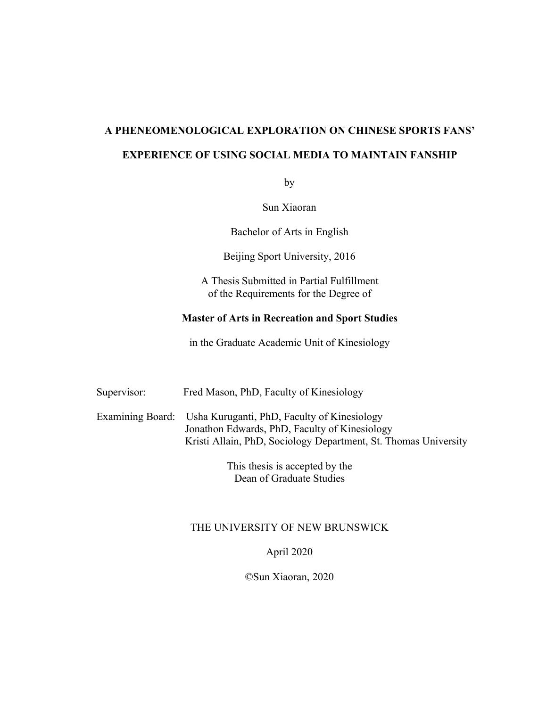# **A PHENEOMENOLOGICAL EXPLORATION ON CHINESE SPORTS FANS' EXPERIENCE OF USING SOCIAL MEDIA TO MAINTAIN FANSHIP**

by

Sun Xiaoran

Bachelor of Arts in English

Beijing Sport University, 2016

A Thesis Submitted in Partial Fulfillment of the Requirements for the Degree of

## **Master of Arts in Recreation and Sport Studies**

in the Graduate Academic Unit of Kinesiology

| Supervisor: | Fred Mason, PhD, Faculty of Kinesiology                                                                                                                                          |
|-------------|----------------------------------------------------------------------------------------------------------------------------------------------------------------------------------|
|             | Examining Board: Usha Kuruganti, PhD, Faculty of Kinesiology<br>Jonathon Edwards, PhD, Faculty of Kinesiology<br>Kristi Allain, PhD, Sociology Department, St. Thomas University |

This thesis is accepted by the Dean of Graduate Studies

## THE UNIVERSITY OF NEW BRUNSWICK

April 2020

©Sun Xiaoran, 2020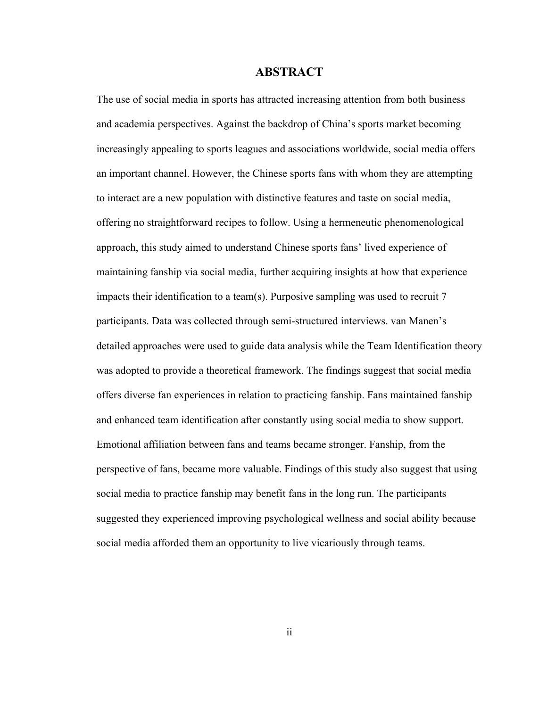## <span id="page-1-0"></span>**ABSTRACT**

The use of social media in sports has attracted increasing attention from both business and academia perspectives. Against the backdrop of China's sports market becoming increasingly appealing to sports leagues and associations worldwide, social media offers an important channel. However, the Chinese sports fans with whom they are attempting to interact are a new population with distinctive features and taste on social media, offering no straightforward recipes to follow. Using a hermeneutic phenomenological approach, this study aimed to understand Chinese sports fans' lived experience of maintaining fanship via social media, further acquiring insights at how that experience impacts their identification to a team(s). Purposive sampling was used to recruit 7 participants. Data was collected through semi-structured interviews. van Manen's detailed approaches were used to guide data analysis while the Team Identification theory was adopted to provide a theoretical framework. The findings suggest that social media offers diverse fan experiences in relation to practicing fanship. Fans maintained fanship and enhanced team identification after constantly using social media to show support. Emotional affiliation between fans and teams became stronger. Fanship, from the perspective of fans, became more valuable. Findings of this study also suggest that using social media to practice fanship may benefit fans in the long run. The participants suggested they experienced improving psychological wellness and social ability because social media afforded them an opportunity to live vicariously through teams.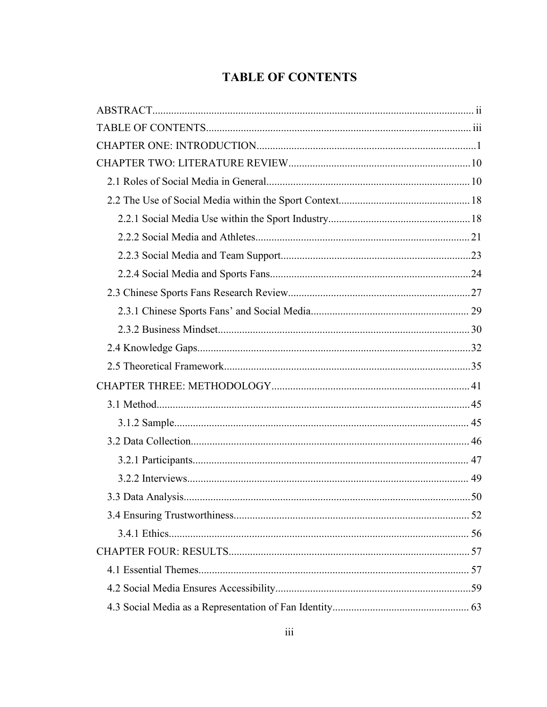# <span id="page-2-0"></span>**TABLE OF CONTENTS**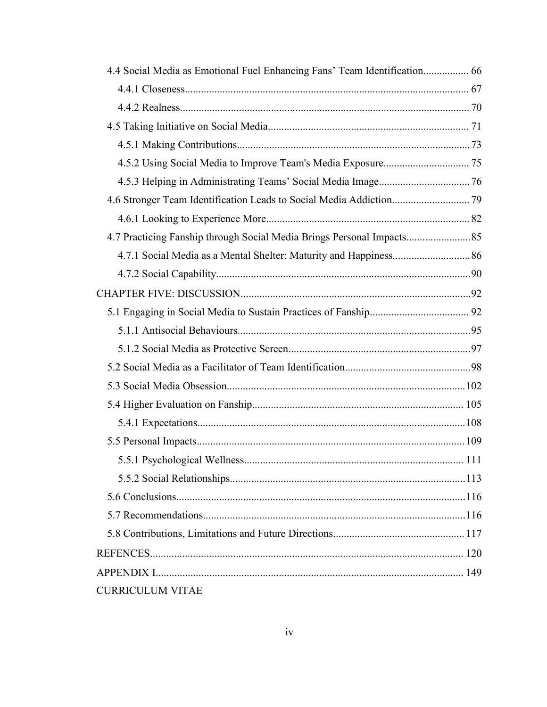| 4.4 Social Media as Emotional Fuel Enhancing Fans' Team Identification 66 |  |
|---------------------------------------------------------------------------|--|
|                                                                           |  |
|                                                                           |  |
|                                                                           |  |
|                                                                           |  |
|                                                                           |  |
|                                                                           |  |
|                                                                           |  |
|                                                                           |  |
| 4.7 Practicing Fanship through Social Media Brings Personal Impacts 85    |  |
|                                                                           |  |
|                                                                           |  |
|                                                                           |  |
|                                                                           |  |
|                                                                           |  |
|                                                                           |  |
|                                                                           |  |
|                                                                           |  |
|                                                                           |  |
|                                                                           |  |
|                                                                           |  |
|                                                                           |  |
|                                                                           |  |
|                                                                           |  |
|                                                                           |  |
|                                                                           |  |
|                                                                           |  |
|                                                                           |  |
| <b>CURRICULUM VITAE</b>                                                   |  |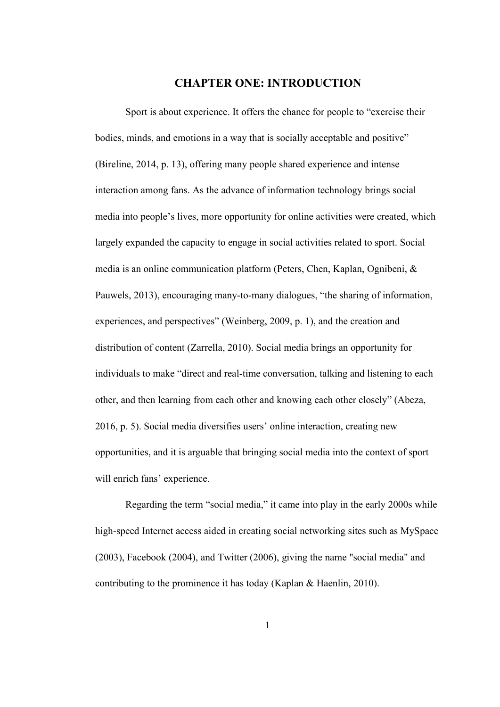## <span id="page-4-0"></span>**CHAPTER ONE: INTRODUCTION**

Sport is about experience. It offers the chance for people to "exercise their bodies, minds, and emotions in a way that is socially acceptable and positive" (Bireline, 2014, p. 13), offering many people shared experience and intense interaction among fans. As the advance of information technology brings social media into people's lives, more opportunity for online activities were created, which largely expanded the capacity to engage in social activities related to sport. Social media is an online communication platform (Peters, Chen, Kaplan, Ognibeni, & Pauwels, 2013), encouraging many-to-many dialogues, "the sharing of information, experiences, and perspectives" (Weinberg, 2009, p. 1), and the creation and distribution of content (Zarrella, 2010). Social media brings an opportunity for individuals to make "direct and real-time conversation, talking and listening to each other, and then learning from each other and knowing each other closely" (Abeza, 2016, p. 5). Social media diversifies users' online interaction, creating new opportunities, and it is arguable that bringing social media into the context of sport will enrich fans' experience.

Regarding the term "social media," it came into play in the early 2000s while high-speed Internet access aided in creating social networking sites such as MySpace (2003), Facebook (2004), and Twitter (2006), giving the name "social media" and contributing to the prominence it has today (Kaplan & Haenlin, 2010).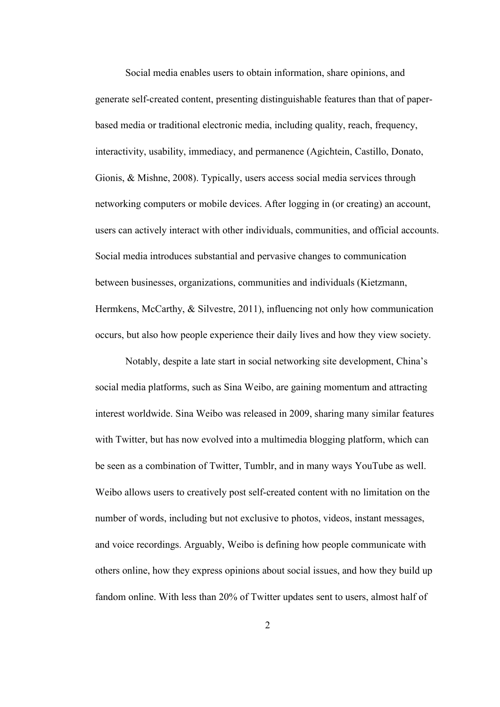Social media enables users to obtain information, share opinions, and generate self-created content, presenting distinguishable features than that of paper based media or traditional electronic media, including quality, reach, frequency, interactivity, usability, immediacy, and permanence (Agichtein, Castillo, Donato, Gionis, & Mishne, 2008). Typically, users access social media services through networking computers or mobile devices. After logging in (or creating) an account, users can actively interact with other individuals, communities, and official accounts. Social media introduces substantial and pervasive changes to communication between businesses, organizations, communities and individuals (Kietzmann, Hermkens, McCarthy, & Silvestre, 2011), influencing not only how communication occurs, but also how people experience their daily lives and how they view society.

Notably, despite a late start in social networking site development, China's social media platforms, such as Sina Weibo, are gaining momentum and attracting interest worldwide. Sina Weibo was released in 2009, sharing many similar features with Twitter, but has now evolved into a multimedia blogging platform, which can be seen as a combination of Twitter, Tumblr, and in many ways YouTube as well. Weibo allows users to creatively post self-created content with no limitation on the number of words, including but not exclusive to photos, videos, instant messages, and voice recordings. Arguably, Weibo is defining how people communicate with others online, how they express opinions about social issues, and how they build up fandom online. With less than 20% of Twitter updates sent to users, almost half of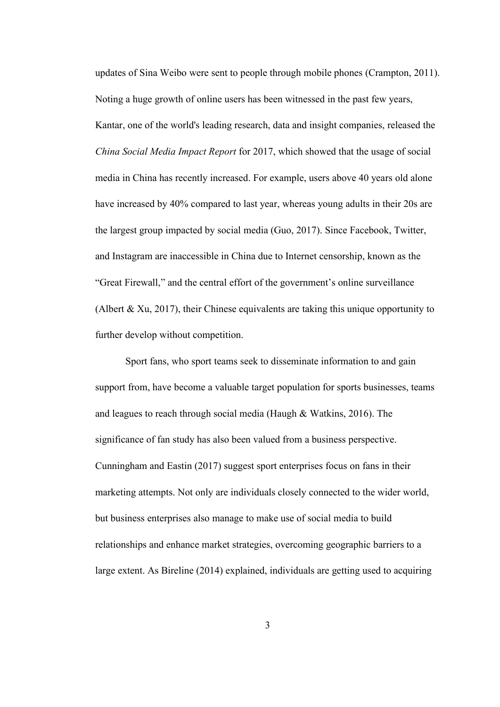updates of Sina Weibo were sent to people through mobile phones (Crampton, 2011). Noting a huge growth of online users has been witnessed in the past few years, Kantar, one of the world's leading research, data and insight companies, released the *China Social Media Impact Report* for 2017, which showed that the usage of social media in China has recently increased. For example, users above 40 years old alone have increased by 40% compared to last year, whereas young adults in their 20s are the largest group impacted by social media (Guo, 2017). Since Facebook, Twitter, and Instagram are inaccessible in China due to Internet censorship, known as the "Great Firewall," and the central effort of the government's online surveillance (Albert & Xu, 2017), their Chinese equivalents are taking this unique opportunity to further develop without competition.

Sport fans, who sport teams seek to disseminate information to and gain support from, have become a valuable target population for sports businesses, teams and leagues to reach through social media (Haugh & Watkins, 2016). The significance of fan study has also been valued from a business perspective. Cunningham and Eastin (2017) suggest sport enterprises focus on fans in their marketing attempts. Not only are individuals closely connected to the wider world, but business enterprises also manage to make use of social media to build relationships and enhance market strategies, overcoming geographic barriers to a large extent. As Bireline (2014) explained, individuals are getting used to acquiring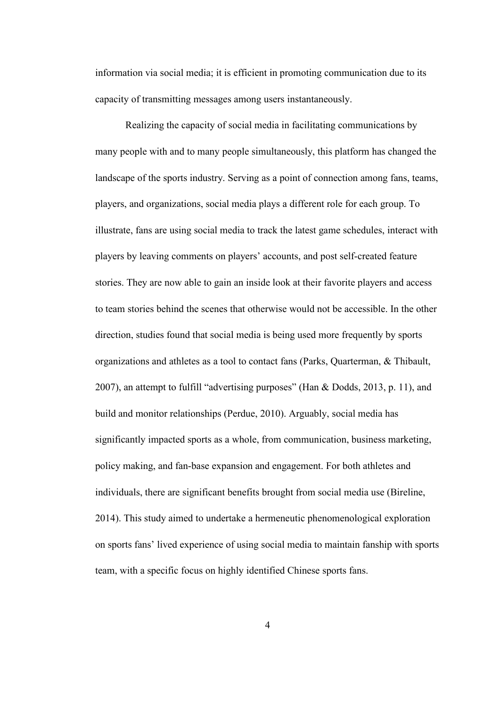information via social media; it is efficient in promoting communication due to its capacity of transmitting messages among users instantaneously.

Realizing the capacity of social media in facilitating communications by many people with and to many people simultaneously, this platform has changed the landscape of the sports industry. Serving as a point of connection among fans, teams, players, and organizations, social media plays a different role for each group. To illustrate, fans are using social media to track the latest game schedules, interact with players by leaving comments on players' accounts, and post self-created feature stories. They are now able to gain an inside look at their favorite players and access to team stories behind the scenes that otherwise would not be accessible. In the other direction, studies found that social media is being used more frequently by sports organizations and athletes as a tool to contact fans (Parks, Quarterman, & Thibault, 2007), an attempt to fulfill "advertising purposes" (Han & Dodds, 2013, p. 11), and build and monitor relationships (Perdue, 2010). Arguably, social media has significantly impacted sports as a whole, from communication, business marketing, policy making, and fan-base expansion and engagement. For both athletes and individuals, there are significant benefits brought from social media use (Bireline, 2014). This study aimed to undertake a hermeneutic phenomenological exploration on sports fans' lived experience of using social media to maintain fanship with sports team, with a specific focus on highly identified Chinese sports fans.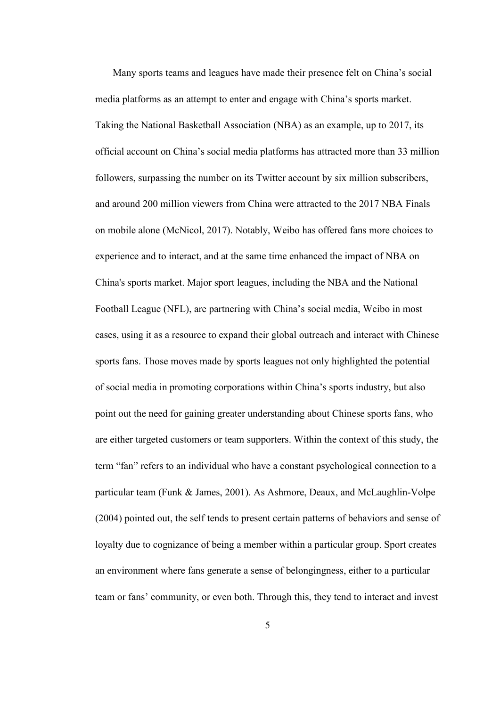Many sports teams and leagues have made their presence felt on China's social media platforms as an attempt to enter and engage with China's sports market. Taking the National Basketball Association (NBA) as an example, up to 2017, its official account on China's social media platforms has attracted more than 33 million followers, surpassing the number on its Twitter account by six million subscribers, and around 200 million viewers from China were attracted to the 2017 NBA Finals on mobile alone (McNicol, 2017). Notably, Weibo has offered fans more choices to experience and to interact, and at the same time enhanced the impact of NBA on China's sports market. Major sport leagues, including the NBA and the National Football League (NFL), are partnering with China's social media, Weibo in most cases, using it as a resource to expand their global outreach and interact with Chinese sports fans. Those moves made by sports leagues not only highlighted the potential of social media in promoting corporations within China's sports industry, but also point out the need for gaining greater understanding about Chinese sports fans, who are either targeted customers or team supporters. Within the context of this study, the term "fan" refers to an individual who have a constant psychological connection to a particular team (Funk & James, 2001). As Ashmore, Deaux, and McLaughlin-Volpe (2004) pointed out, the self tends to present certain patterns of behaviors and sense of loyalty due to cognizance of being a member within a particular group. Sport creates an environment where fans generate a sense of belongingness, either to a particular team or fans' community, or even both. Through this, they tend to interact and invest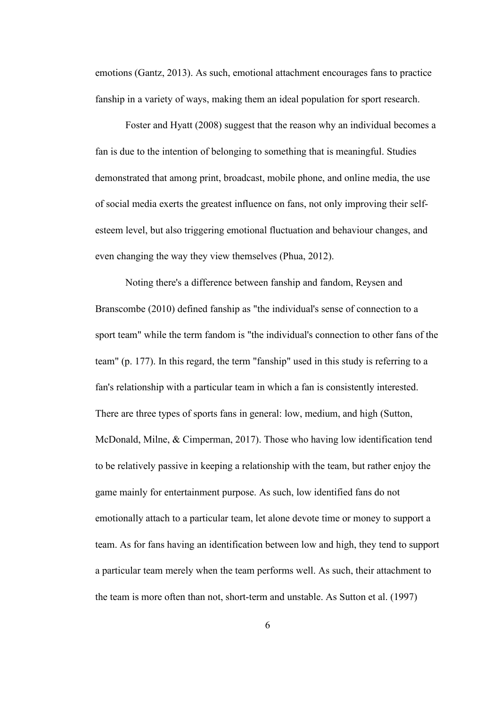emotions (Gantz, 2013). As such, emotional attachment encourages fans to practice fanship in a variety of ways, making them an ideal population for sport research.

Foster and Hyatt (2008) suggest that the reason why an individual becomes a fan is due to the intention of belonging to something that is meaningful. Studies demonstrated that among print, broadcast, mobile phone, and online media, the use of social media exerts the greatest influence on fans, not only improving their self esteem level, but also triggering emotional fluctuation and behaviour changes, and even changing the way they view themselves (Phua, 2012).

Noting there's a difference between fanship and fandom, Reysen and Branscombe (2010) defined fanship as "the individual's sense of connection to a sport team" while the term fandom is "the individual's connection to other fans of the team" (p. 177). In this regard, the term "fanship" used in this study is referring to a fan's relationship with a particular team in which a fan is consistently interested. There are three types of sports fans in general: low, medium, and high (Sutton, McDonald, Milne, & Cimperman, 2017). Those who having low identification tend to be relatively passive in keeping a relationship with the team, but rather enjoy the game mainly for entertainment purpose. As such, low identified fans do not emotionally attach to a particular team, let alone devote time or money to support a team. As for fans having an identification between low and high, they tend to support a particular team merely when the team performs well. As such, their attachment to the team is more often than not, short-term and unstable. As Sutton et al. (1997)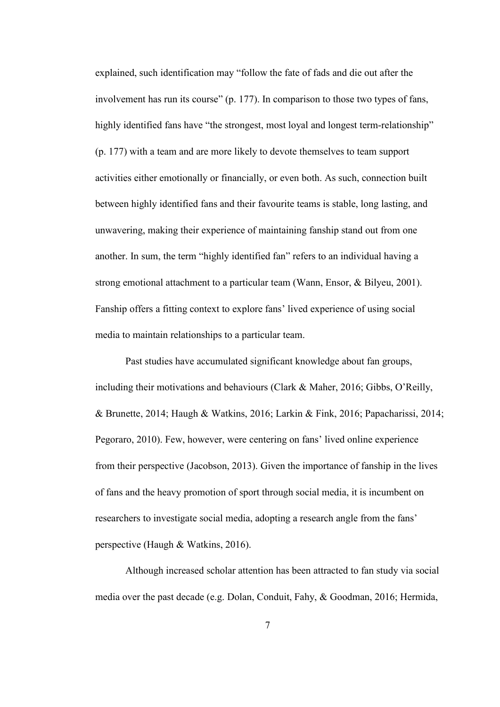explained, such identification may "follow the fate of fads and die out after the involvement has run its course" (p. 177). In comparison to those two types of fans, highly identified fans have "the strongest, most loyal and longest term-relationship" (p. 177) with a team and are more likely to devote themselves to team support activities either emotionally or financially, or even both. As such, connection built between highly identified fans and their favourite teams is stable, long lasting, and unwavering, making their experience of maintaining fanship stand out from one another. In sum, the term "highly identified fan" refers to an individual having a strong emotional attachment to a particular team (Wann, Ensor, & Bilyeu, 2001). Fanship offers a fitting context to explore fans' lived experience of using social media to maintain relationships to a particular team.

Past studies have accumulated significant knowledge about fan groups, including their motivations and behaviours (Clark & Maher, 2016; Gibbs, O'Reilly, & Brunette, 2014; Haugh & Watkins, 2016; Larkin & Fink, 2016; Papacharissi, 2014; Pegoraro, 2010). Few, however, were centering on fans' lived online experience from their perspective (Jacobson, 2013). Given the importance of fanship in the lives of fans and the heavy promotion of sport through social media, it is incumbent on researchers to investigate social media, adopting a research angle from the fans' perspective (Haugh & Watkins, 2016).

Although increased scholarattention has been attracted to fan study via social media over the past decade (e.g. Dolan, Conduit, Fahy, & Goodman, 2016; Hermida,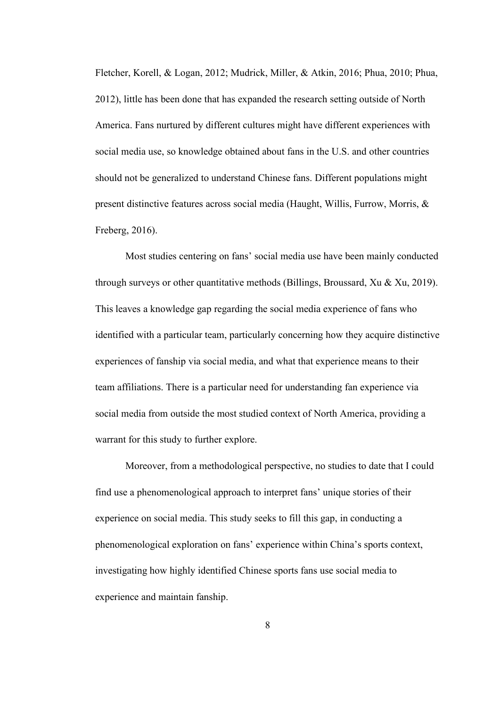Fletcher, Korell, & Logan, 2012; Mudrick, Miller, & Atkin, 2016; Phua, 2010; Phua, 2012), little has been done that has expanded the research setting outside of North America. Fans nurtured by different cultures might have different experiences with social media use, so knowledge obtained about fans in the U.S. and other countries should not be generalized to understand Chinese fans. Different populations might present distinctive features across social media (Haught, Willis, Furrow, Morris, & Freberg, 2016).

Most studies centering on fans' social media use have been mainly conducted through surveys or other quantitative methods (Billings, Broussard, Xu & Xu, 2019). This leaves a knowledge gap regarding the social media experience of fans who identified with a particular team, particularly concerning how they acquire distinctive experiences of fanship via social media, and what that experience means to their team affiliations. There is a particular need for understanding fan experience via social media from outside the most studied context of North America, providing a warrant for this study to further explore.

Moreover, from a methodological perspective, no studies to date that I could find use a phenomenological approach to interpret fans' unique stories of their experience on social media. This study seeks to fill this gap, in conducting a phenomenological exploration on fans' experience within China's sports context, investigating how highly identified Chinese sports fans use social media to experience and maintain fanship.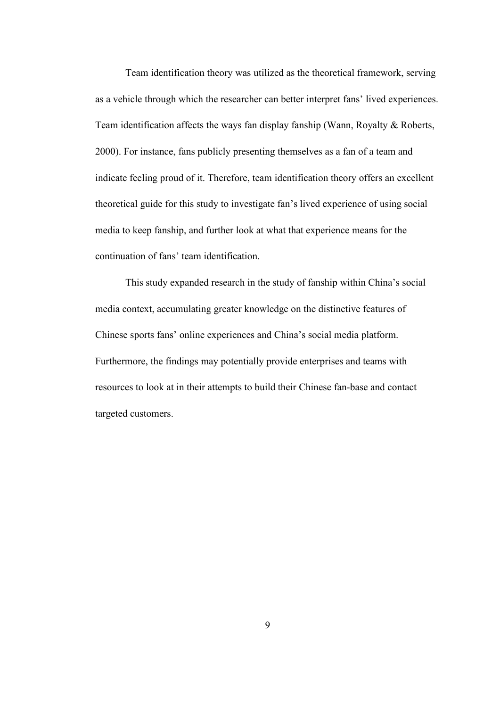Team identification theory was utilized as the theoretical framework, serving as a vehicle through which the researcher can better interpret fans' lived experiences. Team identification affects the ways fan display fanship (Wann, Royalty & Roberts, 2000). For instance, fans publicly presenting themselves as a fan of a team and indicate feeling proud of it. Therefore, team identification theory offers an excellent theoretical guide for this study to investigate fan's lived experience of using social media to keep fanship, and further look at what that experience means for the continuation of fans' team identification.

This study expanded research in the study of fanship within China's social media context, accumulating greater knowledge on the distinctive features of Chinese sports fans' online experiences and China's social media platform. Furthermore, the findings may potentially provide enterprises and teams with resources to look at in their attempts to build their Chinese fan-base and contact targeted customers.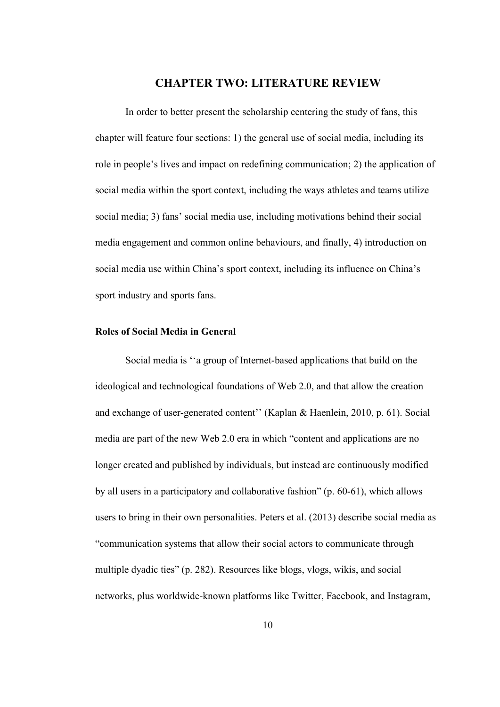## <span id="page-13-0"></span>**CHAPTER TWO: LITERATURE REVIEW**

In order to better present the scholarship centering the study of fans, this chapter will feature four sections: 1) the general use of social media, including its role in people's lives and impact on redefining communication; 2) the application of social media within the sport context, including the ways athletes and teams utilize social media; 3) fans' social media use, including motivations behind their social media engagement and common online behaviours, and finally, 4) introduction on social media use within China's sport context, including its influence on China's sport industry and sports fans.

## <span id="page-13-1"></span>**Roles ofSocial Media in General**

Social media is ''a group of Internet-based applications that build on the ideological and technological foundations of Web 2.0, and that allow the creation and exchange of user-generated content'' (Kaplan & Haenlein, 2010, p. 61). Social media are part of the new Web 2.0 era in which "content and applications are no longer created and published by individuals, but instead are continuously modified by all users in a participatory and collaborative fashion" (p. 60-61), which allows users to bring in their own personalities. Peters et al. (2013) describe social media as "communication systems that allow their social actors to communicate through multiple dyadic ties" (p. 282). Resources like blogs, vlogs, wikis, and social networks, plus worldwide-known platforms like Twitter, Facebook, and Instagram,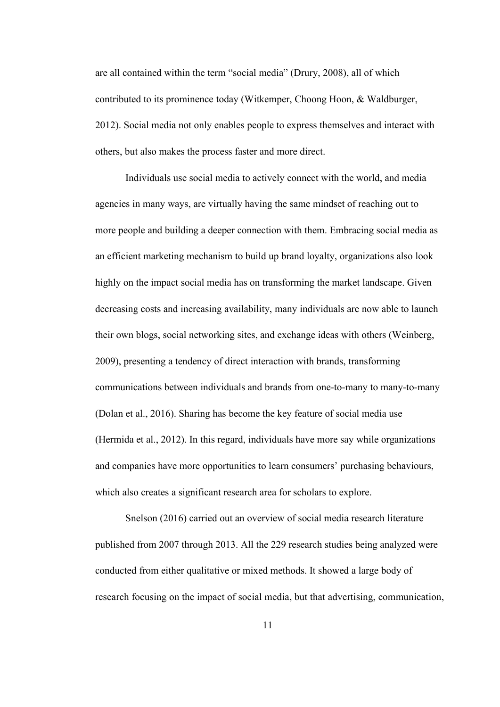are all contained within the term "social media" (Drury, 2008), all of which contributed to its prominence today (Witkemper, Choong Hoon, & Waldburger, 2012). Social media not only enables people to express themselves and interact with others, but also makes the process faster and more direct.

Individuals use social media to actively connect with the world, and media agencies in many ways, are virtually having the same mindset of reaching out to more people and building a deeper connection with them. Embracing social media as an efficient marketing mechanism to build up brand loyalty, organizations also look highly on the impact social media has on transforming the market landscape. Given decreasing costs and increasing availability, many individuals are now able to launch their own blogs, social networking sites, and exchange ideas with others (Weinberg, 2009), presenting a tendency of direct interaction with brands, transforming communications between individuals and brands from one-to-many to many-to-many (Dolan et al., 2016). Sharing has become the key feature of social media use (Hermida et al., 2012). In this regard, individuals have more say while organizations and companies have more opportunities to learn consumers' purchasing behaviours, which also creates a significant research area for scholars to explore.

Snelson (2016) carried out an overview of social media research literature published from 2007 through 2013. All the 229 research studies being analyzed were conducted from either qualitative or mixed methods. It showed a large body of research focusing on the impact of social media, but that advertising, communication,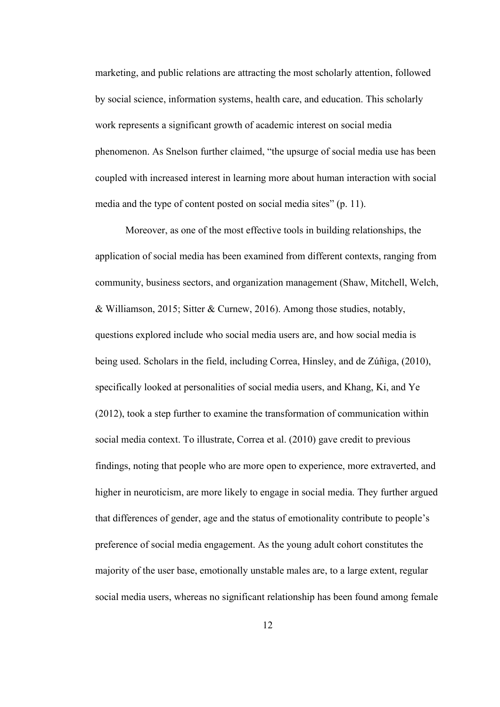marketing, and public relations are attracting the most scholarly attention, followed by social science, information systems, health care, and education. This scholarly work represents a significant growth of academic intereston social media phenomenon. As Snelson further claimed, "the upsurge of social media use has been coupled with increased interest in learning more about human interaction with social media and the type of content posted on social media sites" (p. 11).

Moreover, as one of the most effective tools in building relationships, the application of social media has been examined from different contexts, ranging from community, business sectors, and organization management (Shaw, Mitchell, Welch, & Williamson, 2015; Sitter & Curnew, 2016). Among those studies, notably, questions explored include who social media users are, and how social media is being used. Scholars in the field, including Correa, Hinsley, and de Zúñiga, (2010), specifically looked at personalities of social media users, and Khang, Ki, and Ye (2012), took a step further to examine the transformation of communication within social media context. To illustrate, Correa et al. (2010) gave credit to previous findings, noting that people who are more open to experience, more extraverted, and higher in neuroticism, are more likely to engage in social media. They further argued that differences of gender, age and the status of emotionality contribute to people's preference of social media engagement. As the young adult cohort constitutes the majority of the user base, emotionally unstable males are, to a large extent, regular social media users, whereas no significant relationship has been found among female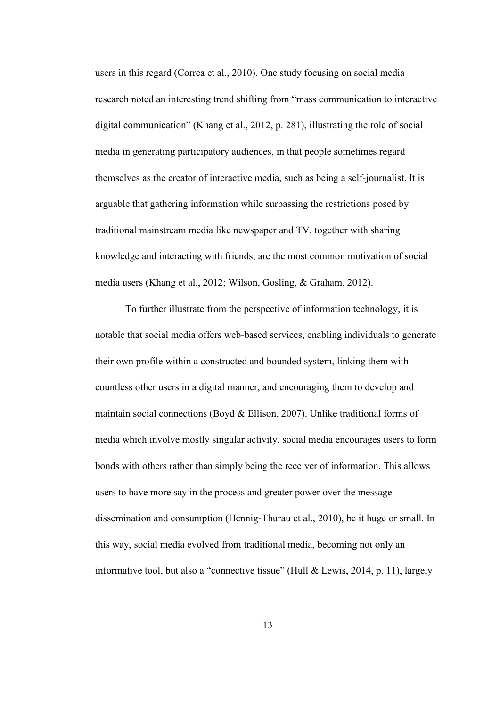users in this regard (Correa et al., 2010). One study focusing on social media research noted an interesting trend shifting from "mass communication to interactive digital communication" (Khang et al., 2012, p. 281), illustrating the role of social media in generating participatory audiences, in that people sometimes regard themselves as the creator of interactive media, such as being a self-journalist. It is arguable that gathering information while surpassing the restrictions posed by traditional mainstream media like newspaper and TV, together with sharing knowledge and interacting with friends, are the most common motivation of social media users (Khang et al., 2012; Wilson, Gosling, & Graham, 2012).

To further illustrate from the perspective of information technology, it is notable that social media offers web-based services, enabling individuals to generate their own profile within a constructed and bounded system, linking them with countless other users in a digital manner, and encouraging them to develop and maintain social connections (Boyd & Ellison, 2007). Unlike traditional forms of media which involve mostly singular activity, social media encourages users to form bonds with others rather than simply being the receiver of information. This allows users to have more say in the process and greater power over the message dissemination and consumption (Hennig-Thurau et al., 2010), be it huge or small. In this way, social media evolved from traditional media, becoming not only an informative tool, but also a "connective tissue" (Hull & Lewis, 2014, p. 11), largely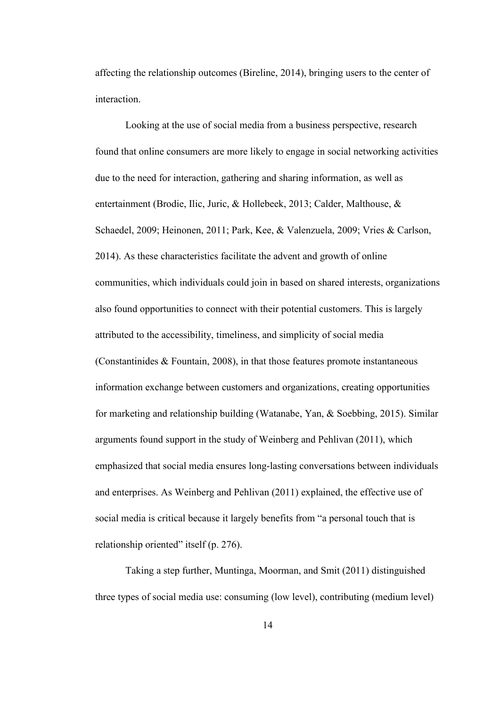affecting the relationship outcomes (Bireline, 2014), bringing users to the center of interaction.

Looking at the use of social media from a business perspective, research found that online consumers are more likely to engage in social networking activities due to the need for interaction, gathering and sharing information, as well as entertainment (Brodie, Ilic, Juric, & Hollebeek, 2013; Calder, Malthouse, & Schaedel, 2009; Heinonen, 2011; Park, Kee, & Valenzuela, 2009; Vries & Carlson, 2014). As these characteristics facilitate the advent and growth of online communities, which individuals could join in based on shared interests, organizations also found opportunities to connect with their potential customers. This is largely attributed to the accessibility, timeliness, and simplicity of social media (Constantinides & Fountain, 2008), in that those features promote instantaneous information exchange between customers and organizations, creating opportunities for marketing and relationship building (Watanabe, Yan, & Soebbing, 2015). Similar arguments found support in the study of Weinberg and Pehlivan (2011), which emphasized that social media ensures long-lasting conversations between individuals and enterprises. As Weinberg and Pehlivan (2011) explained, the effective use of social media is critical because it largely benefits from "a personal touch that is relationship oriented" itself (p. 276).

Taking a step further, Muntinga, Moorman, and Smit (2011) distinguished three types of social media use: consuming (low level), contributing (medium level)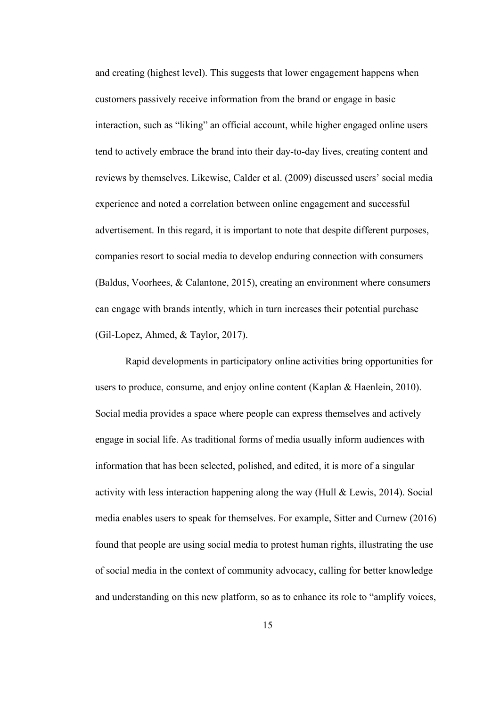and creating (highest level). This suggests that lower engagement happens when customers passively receive information from the brand or engage in basic interaction, such as "liking" an official account, while higher engaged online users tend to actively embrace the brand into their day-to-day lives, creating content and reviews by themselves. Likewise, Calder et al. (2009) discussed users' social media experience and noted a correlation between online engagement and successful advertisement. In this regard, it is important to note that despite different purposes, companies resort to social media to develop enduring connection with consumers (Baldus, Voorhees, & Calantone, 2015), creating an environment where consumers can engage with brands intently, which in turn increases their potential purchase (Gil-Lopez, Ahmed, & Taylor, 2017).

Rapid developments in participatory online activities bring opportunities for users to produce, consume, and enjoy online content(Kaplan & Haenlein, 2010). Social media provides a space where people can express themselves and actively engage in social life. As traditional forms of media usually inform audiences with information that has been selected, polished, and edited, it is more of a singular activity with less interaction happening along the way (Hull & Lewis, 2014). Social media enables users to speak for themselves. For example, Sitter and Curnew (2016) found that people are using social media to protest human rights, illustrating the use of social media in the context of community advocacy, calling for better knowledge and understanding on this new platform, so as to enhance its role to "amplify voices,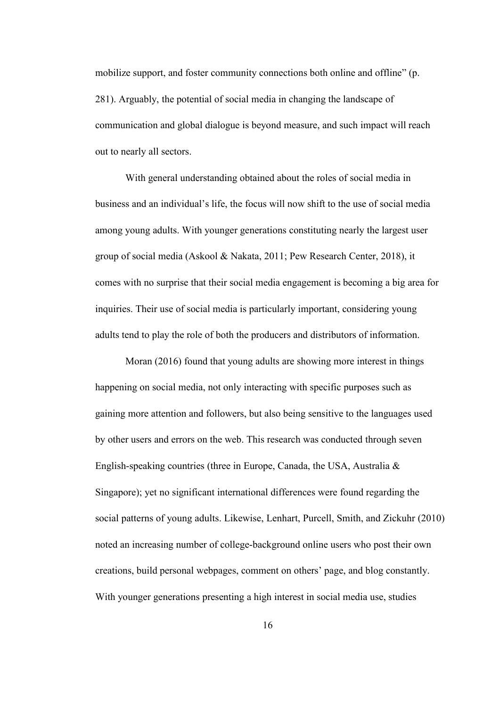mobilize support, and foster community connections both online and offline" (p. 281). Arguably, the potential of social media in changing the landscape of communication and global dialogue is beyond measure, and such impact will reach out to nearly all sectors.

With general understanding obtained about the roles of social media in business and an individual's life, the focus will now shift to the use of social media among young adults. With younger generations constituting nearly the largest user group of social media (Askool & Nakata, 2011; Pew Research Center, 2018), it comes with no surprise that their social media engagement is becoming a big area for inquiries. Their use of social media is particularly important, considering young adults tend to play the role of both the producers and distributors of information.

Moran (2016) found that young adults are showing more interest in things happening on social media, not only interacting with specific purposes such as gaining more attention and followers, but also being sensitive to the languages used by other users and errors on the web. This research was conducted through seven English-speaking countries (three in Europe, Canada, the USA, Australia & Singapore); yet no significant international differences were found regarding the social patterns of young adults. Likewise, Lenhart, Purcell, Smith, and Zickuhr (2010) noted an increasing number of college-background online users who post their own creations, build personal webpages, comment on others' page, and blog constantly. With younger generations presenting a high interest in social media use, studies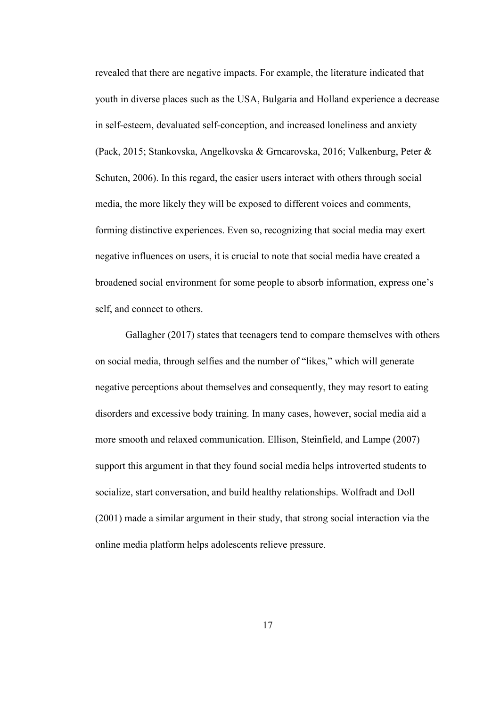revealed that there are negative impacts. For example, the literature indicated that youth in diverse places such as the USA, Bulgaria and Holland experience a decrease in self-esteem, devaluated self-conception, and increased loneliness and anxiety (Pack, 2015; Stankovska, Angelkovska & Grncarovska, 2016; Valkenburg, Peter & Schuten, 2006). In this regard, the easier users interact with others through social media, the more likely they will be exposed to different voices and comments, forming distinctive experiences. Even so, recognizing that social media may exert negative influences on users, it is crucial to note that social media have created a broadened social environment for some people to absorb information, express one's self, and connect to others.

Gallagher (2017) states that teenagers tend to compare themselves with others on social media, through selfies and the number of "likes," which will generate negative perceptions about themselves and consequently, they may resort to eating disorders and excessive body training. In many cases, however, social media aid a more smooth and relaxed communication. Ellison, Steinfield, and Lampe (2007) support this argument in that they found social media helps introverted students to socialize, start conversation, and build healthy relationships. Wolfradt and Doll (2001) made a similar argument in their study, that strong social interaction via the online media platform helps adolescents relieve pressure.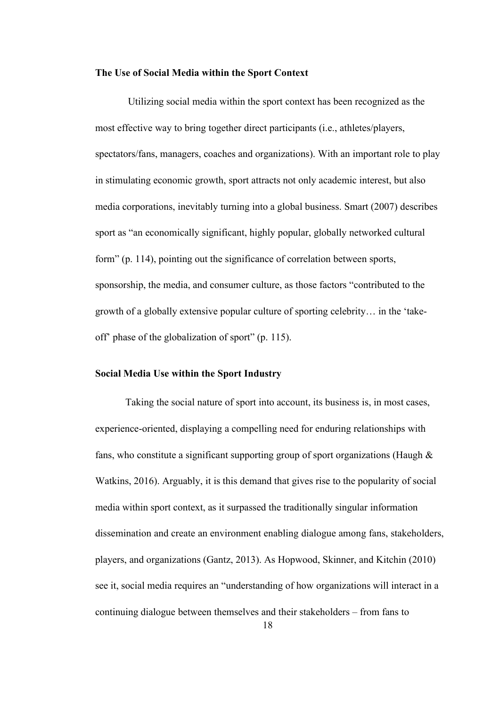#### <span id="page-21-0"></span>**The Use of Social Media within the SportContext**

Utilizing social media within the sport context has been recognized as the most effective way to bring together direct participants (i.e., athletes/players, spectators/fans, managers, coaches and organizations). With an important role to play in stimulating economic growth, sport attracts not only academic interest, but also media corporations, inevitably turning into a global business. Smart (2007) describes sport as "an economically significant, highly popular, globally networked cultural form" (p. 114), pointing out the significance of correlation between sports, sponsorship, the media, and consumer culture, as those factors "contributed to the growth of a globally extensive popular culture of sporting celebrity… in the 'take off' phase of the globalization of sport" (p. 115).

## <span id="page-21-1"></span>**Social Media Use within the SportIndustry**

Taking the social nature of sport into account, its business is, in most cases, experience-oriented, displaying a compelling need for enduring relationships with fans, who constitute a significant supporting group of sport organizations (Haugh & Watkins, 2016). Arguably, it is this demand that gives rise to the popularity of social media within sport context, as it surpassed the traditionally singular information dissemination and create an environment enabling dialogue among fans, stakeholders, players, and organizations (Gantz, 2013). As Hopwood, Skinner, and Kitchin (2010) see it, social media requires an "understanding of how organizations will interact in a continuing dialogue between themselves and their stakeholders – from fans to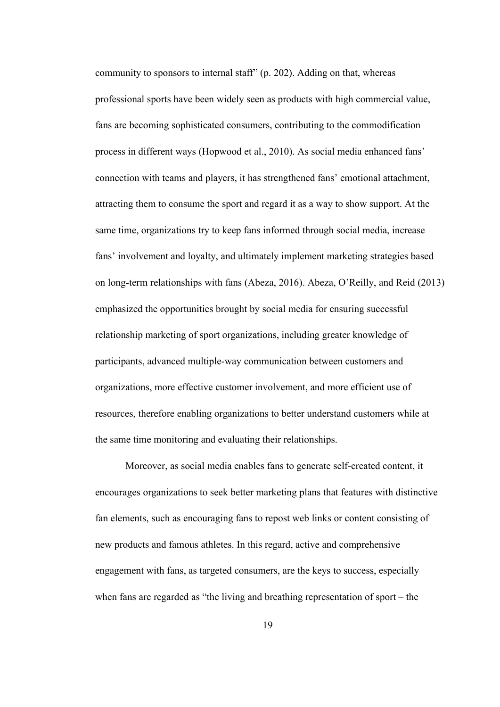community to sponsors to internal staff"  $(p. 202)$ . Adding on that, whereas professional sports have been widely seen as products with high commercial value, fans are becoming sophisticated consumers, contributing to the commodification process in different ways (Hopwood et al., 2010). As social media enhanced fans' connection with teams and players, it has strengthened fans' emotional attachment, attracting them to consume the sport and regard it as a way to show support. At the same time, organizations try to keep fans informed through social media, increase fans' involvement and loyalty, and ultimately implement marketing strategies based on long-term relationships with fans (Abeza, 2016). Abeza, O'Reilly, and Reid (2013) emphasized the opportunities brought by social media for ensuring successful relationship marketing of sport organizations, including greater knowledge of participants, advanced multiple-way communication between customers and organizations, more effective customer involvement, and more efficient use of resources, therefore enabling organizations to better understand customers while at the same time monitoring and evaluating their relationships.

Moreover, as social media enables fans to generate self-created content, it encourages organizations to seek better marketing plans that features with distinctive fan elements, such as encouraging fans to repost web links or content consisting of new products and famous athletes. In this regard, active and comprehensive engagement with fans, as targeted consumers, are the keys to success, especially when fans are regarded as "the living and breathing representation of sport – the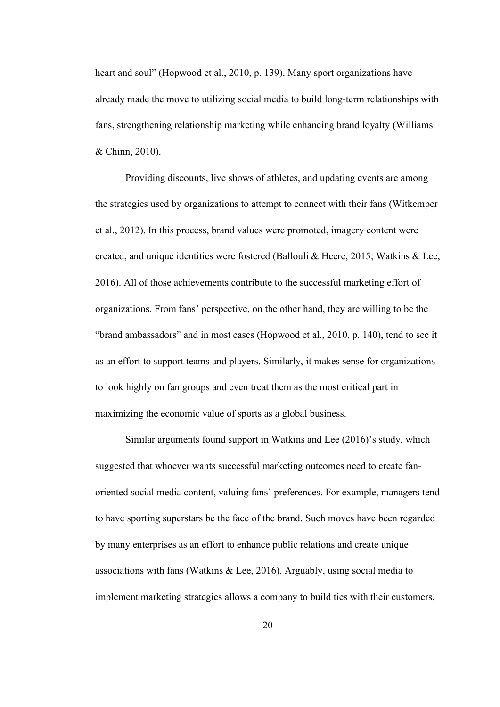heart and soul" (Hopwood et al., 2010, p. 139). Many sport organizations have already made the move to utilizing social media to build long-term relationships with fans, strengthening relationship marketing while enhancing brand loyalty (Williams & Chinn, 2010).

Providing discounts, live shows of athletes, and updating events are among the strategies used by organizations to attempt to connect with their fans (Witkemper et al., 2012). In this process, brand values were promoted, imagery content were created, and unique identities were fostered (Ballouli & Heere, 2015; Watkins & Lee, 2016). All of those achievements contribute to the successful marketing effort of organizations. From fans' perspective, on the other hand, they are willing to be the "brand ambassadors" and in most cases (Hopwood et al., 2010, p. 140), tend to see it as an effort to support teams and players. Similarly, it makes sense for organizations to look highly on fan groups and even treat them as the most critical part in maximizing the economic value of sports as a global business.

Similar arguments found support in Watkins and Lee  $(2016)$ 's study, which suggested that whoever wants successful marketing outcomes need to create fan oriented social media content, valuing fans' preferences. For example, managers tend to have sporting superstars be the face of the brand. Such moves have been regarded by many enterprises as an effort to enhance public relations and create unique associations with fans (Watkins & Lee, 2016). Arguably, using social media to implement marketing strategies allows a company to build ties with their customers,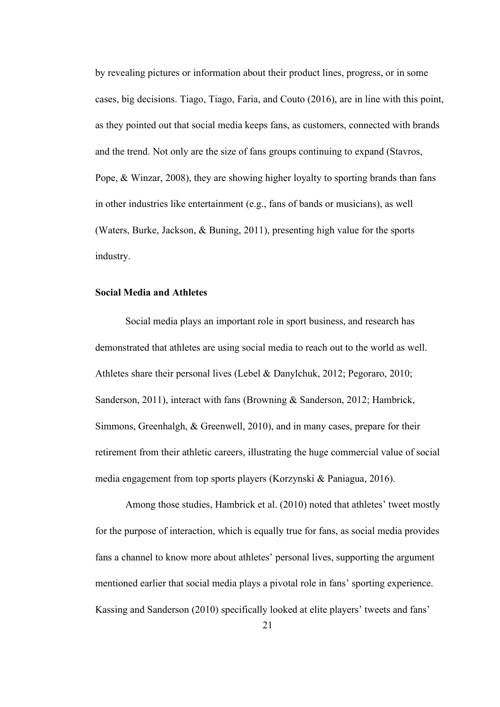by revealing pictures or information about their product lines, progress, or in some cases, big decisions. Tiago, Tiago, Faria, and Couto (2016), are in line with this point,<br>as they pointed out that social media keeps fans, as customers, connected with brands and the trend. Not only are the size of fans groups continuing to expand (Stavros, Pope, & Winzar, 2008), they are showing higher loyalty to sporting brands than fans in other industries like entertainment (e.g., fans of bands or musicians), as well (Waters, Burke, Jackson, & Buning, 2011), presenting high value for the sports industry.

## <span id="page-24-0"></span>**Social Media and Athletes**

Social media plays an important role in sport business, and research has demonstrated that athletes are using social media to reach out to the world as well. Athletes share their personal lives (Lebel & Danylchuk, 2012; Pegoraro, 2010; Sanderson, 2011), interact with fans (Browning & Sanderson, 2012; Hambrick, Simmons, Greenhalgh, & Greenwell, 2010), and in many cases, prepare for their retirement from their athletic careers, illustrating the huge commercial value of social media engagement from top sports players (Korzynski & Paniagua, 2016).

Among those studies, Hambrick et al. (2010) noted that athletes' tweet mostly for the purpose of interaction, which is equally true for fans, as social media provides fans a channel to know more about athletes' personal lives, supporting the argument mentioned earlier that social media plays a pivotal role in fans' sporting experience. Kassing and Sanderson (2010) specifically looked at elite players' tweets and fans'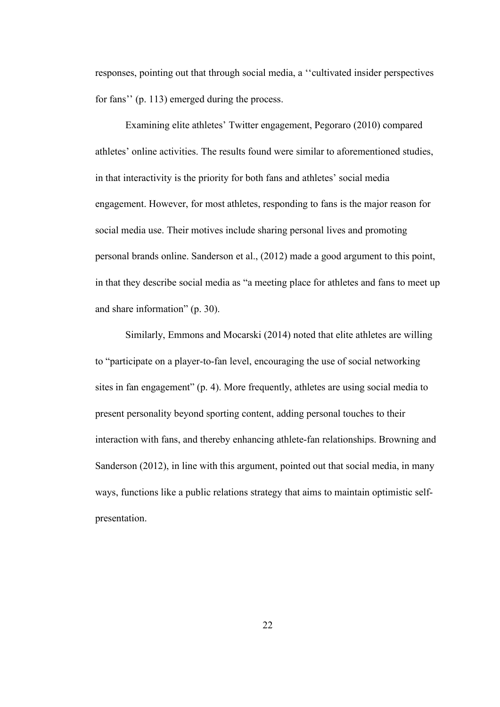responses, pointing out that through social media, a ''cultivated insider perspectives for fans'' (p. 113) emerged during the process.

Examining elite athletes' Twitter engagement, Pegoraro (2010) compared athletes' online activities. The results found were similar to aforementioned studies, in that interactivity is the priority for both fans and athletes' social media engagement. However, for most athletes, responding to fans is the major reason for social media use. Their motives include sharing personal lives and promoting personal brands online. Sanderson et al., (2012) made a good argument to this point, in that they describe social media as"a meeting place for athletes and fans to meet up and share information" (p. 30).

Similarly, Emmons and Mocarski (2014) noted that elite athletes are willing to "participate on a player-to-fan level, encouraging the use of social networking sites in fan engagement" (p. 4). More frequently, athletes are using social media to present personality beyond sporting content, adding personal touches to their interaction with fans, and thereby enhancing athlete-fan relationships. Browning and Sanderson (2012), in line with this argument, pointed out that social media, in many ways, functions like a public relations strategy that aims to maintain optimistic self presentation.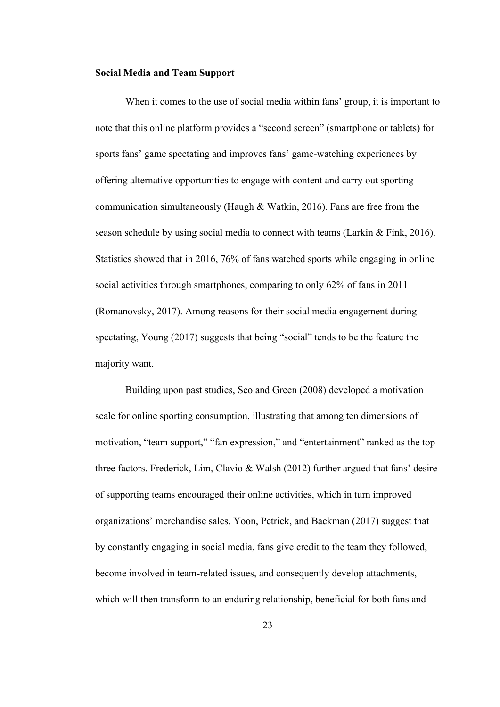## <span id="page-26-0"></span>**Social Media and Team Support**

When it comes to the use of social media within fans' group, it is important to note that this online platform provides a "second screen" (smartphone or tablets) for sports fans' game spectating and improves fans' game-watching experiences by offering alternative opportunities to engage with content and carry out sporting communication simultaneously (Haugh & Watkin, 2016). Fans are free from the season schedule by using social media to connect with teams (Larkin & Fink, 2016). Statistics showed that in 2016, 76% of fans watched sports while engaging in online social activities through smartphones, comparing to only  $62\%$  of fans in 2011 (Romanovsky, 2017). Among reasons for their social media engagement during spectating, Young (2017) suggests that being "social" tends to be the feature the majority want.

Building upon past studies, Seo and Green (2008) developed a motivation scale for online sporting consumption, illustrating that among ten dimensions of motivation, "team support," "fan expression," and "entertainment" ranked as the top three factors. Frederick, Lim, Clavio & Walsh (2012) further argued that fans' desire of supporting teams encouraged their online activities, which in turn improved organizations' merchandise sales. Yoon, Petrick, and Backman (2017) suggest that by constantly engaging in social media, fans give credit to the team they followed, become involved in team-related issues, and consequently develop attachments, which will then transform to an enduring relationship, beneficial for both fans and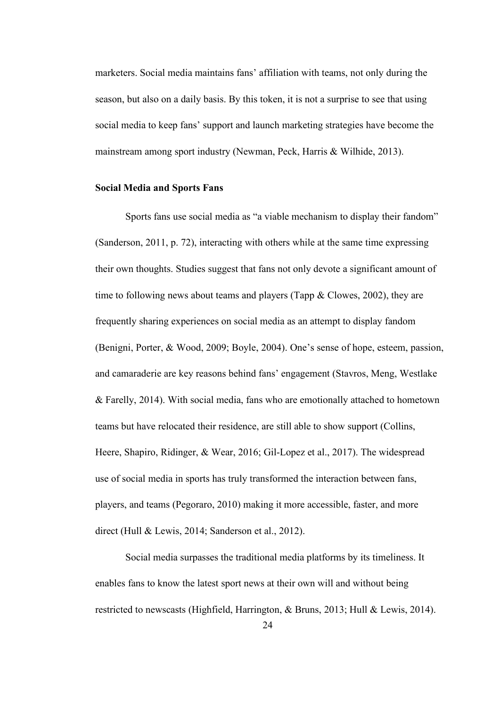marketers. Social media maintains fans' affiliation with teams, not only during the season, but also on a daily basis. By this token, it is not a surprise to see that using social media to keep fans' support and launch marketing strategies have become the mainstream among sport industry (Newman, Peck, Harris & Wilhide, 2013).

#### <span id="page-27-0"></span>**Social Media and Sports Fans**

Sports fans use social media as "a viable mechanism to display their fandom" (Sanderson, 2011, p. 72), interacting with others while at the same time expressing their own thoughts. Studies suggest that fans not only devote a significant amount of time to following news about teams and players (Tapp & Clowes, 2002), they are frequently sharing experiences on social media as an attempt to display fandom (Benigni, Porter, & Wood, 2009; Boyle, 2004). One's sense of hope, esteem, passion, and camaraderie are key reasons behind fans' engagement (Stavros, Meng, Westlake & Farelly, 2014). With social media, fans who are emotionally attached to hometown teams but have relocated their residence, are still able to show support (Collins, Heere, Shapiro, Ridinger, & Wear, 2016; Gil-Lopez et al., 2017). The widespread use of social media in sports has truly transformed the interaction between fans, players, and teams (Pegoraro, 2010) making it more accessible, faster, and more direct (Hull & Lewis, 2014; Sanderson et al., 2012).

Social media surpasses the traditional media platforms by its timeliness. It enables fans to know the latest sport news at their own will and without being restricted to newscasts (Highfield, Harrington, & Bruns, 2013; Hull & Lewis, 2014).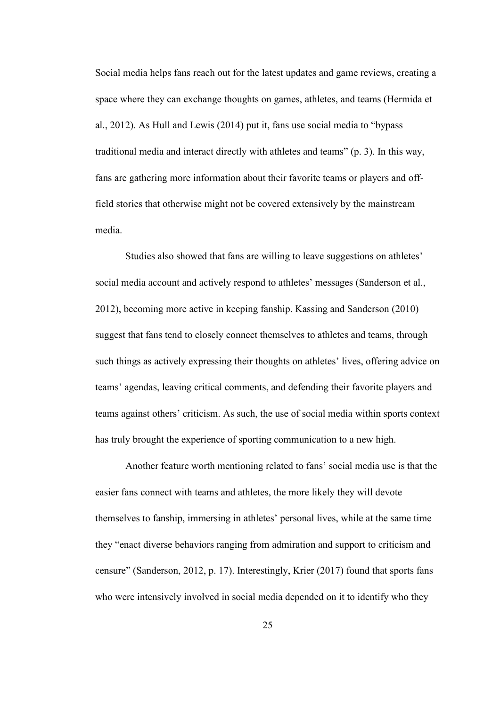Social media helps fans reach out for the latest updates and game reviews, creating a space where they can exchange thoughts on games, athletes, and teams (Hermida et al., 2012). As Hull and Lewis (2014) put it, fans use social media to "bypass traditional media and interact directly with athletes and teams" (p. 3). In this way, fans are gathering more information about their favorite teams or players and offfield stories that otherwise might not be covered extensively by the mainstream media.

Studies also showed that fans are willing to leave suggestions on athletes' social media account and actively respond to athletes' messages (Sanderson et al., 2012), becoming more active in keeping fanship. Kassing and Sanderson (2010) suggest that fans tend to closely connect themselves to athletes and teams, through such things as actively expressing their thoughts on athletes' lives, offering advice on teams' agendas, leaving critical comments, and defending their favorite players and teams against others' criticism. As such, the use of social media within sports context has truly brought the experience of sporting communication to a new high.

Another feature worth mentioning related to fans' social media use is that the easier fans connect with teams and athletes, the more likely they will devote themselves to fanship, immersing in athletes' personal lives, while at the same time they "enact diverse behaviors ranging from admiration and support to criticism and censure" (Sanderson, 2012, p. 17). Interestingly, Krier (2017) found that sports fans who were intensively involved in social media depended on it to identify who they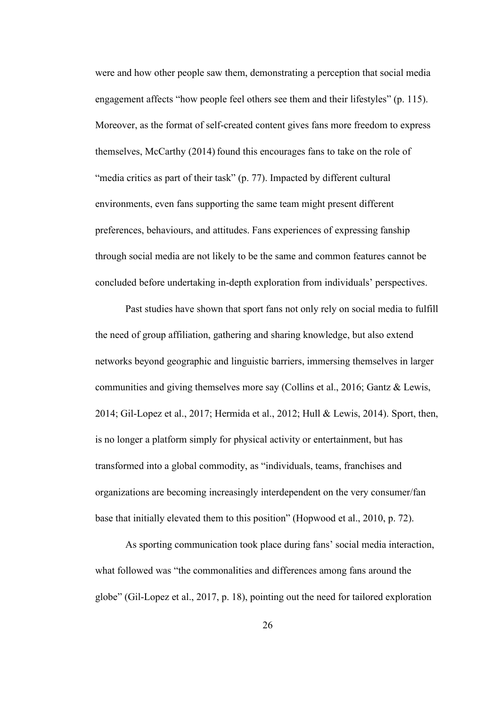were and how other people saw them, demonstrating a perception that social media engagement affects "how people feel others see them and their lifestyles" (p. 115).<br>Moreover, as the format of self-created content gives fans more freedom to express themselves, McCarthy (2014) found this encourages fans to take on the role of "media critics as part of their task" (p. 77). Impacted by different cultural environments, even fans supporting the same team might present different preferences, behaviours, and attitudes. Fans experiences of expressing fanship through social media are not likely to be the same and common features cannot be concluded before undertaking in-depth exploration from individuals' perspectives.

Past studies have shown that sport fans not only rely on social media to fulfill the need of group affiliation, gathering and sharing knowledge, but also extend networks beyond geographic and linguistic barriers, immersing themselves in larger communities and giving themselves more say (Collins et al., 2016; Gantz & Lewis, 2014; Gil-Lopez et al., 2017; Hermida et al., 2012; Hull & Lewis, 2014). Sport, then, is no longer a platform simply for physical activity or entertainment, but has transformed into a global commodity, as "individuals, teams, franchises and organizations are becoming increasingly interdependent on the very consumer/fan base that initially elevated them to this position" (Hopwood et al., 2010, p. 72).

As sporting communication took place during fans' social media interaction, what followed was "the commonalities and differences among fans around the globe" (Gil-Lopez et al., 2017, p. 18), pointing out the need for tailored exploration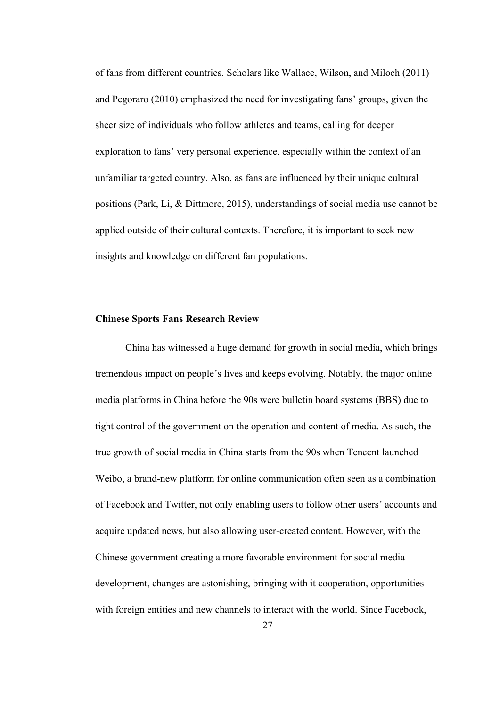of fans from different countries. Scholars like Wallace, Wilson, and Miloch (2011) and Pegoraro (2010) emphasized the need for investigating fans' groups, given the sheer size of individuals who follow athletes and teams, calling for deeper exploration to fans' very personal experience, especially within the contextof an unfamiliar targeted country. Also, as fans are influenced by their unique cultural positions (Park,Li, & Dittmore, 2015), understandings of social media use cannot be applied outside of their cultural contexts. Therefore, it is important to seek new insights and knowledge on different fan populations.

#### <span id="page-30-0"></span>**Chinese Sports Fans Research Review**

China has witnessed a huge demand for growth in social media, which brings tremendous impact on people's lives and keeps evolving. Notably, the major online media platforms in China before the 90s were bulletin board systems (BBS) due to tight control of the government on the operation and content of media. As such, the true growth of social media in China starts from the 90s when Tencent launched Weibo, a brand-new platform for online communication often seen as a combination of Facebook and Twitter, not only enabling users to follow other users' accounts and acquire updated news, but also allowing user-created content. However, with the Chinese government creating a more favorable environment for social media development, changes are astonishing, bringing with it cooperation, opportunities with foreign entities and new channels to interact with the world. Since Facebook,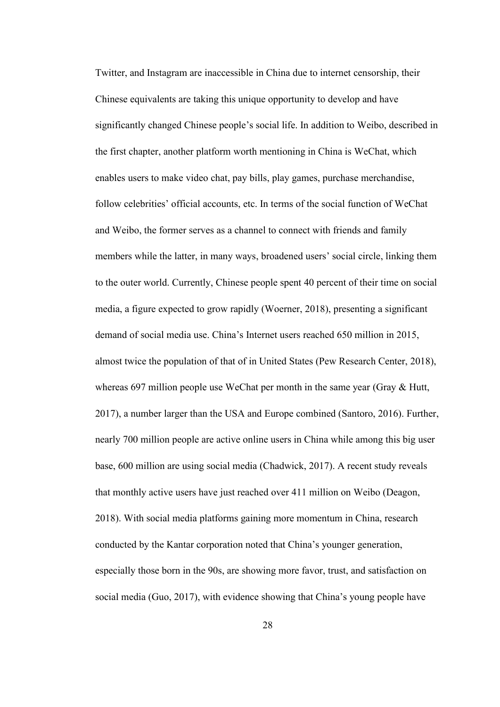Twitter, and Instagram are inaccessible in China due to internet censorship, their Chinese equivalents are taking this unique opportunity to develop and have significantly changed Chinese people's social life. In addition to Weibo, described in the first chapter, another platform worth mentioning in China is WeChat, which enables users to make video chat, pay bills, play games, purchase merchandise, follow celebrities' official accounts, etc. In terms of the social function of WeChat and Weibo, the former serves as a channel to connect with friends and family members while the latter, in many ways, broadened users' social circle, linking them to the outer world. Currently, Chinese people spent 40 percent of their time on social media, a figure expected to grow rapidly (Woerner, 2018), presenting a significant demand of social media use. China's Internet users reached 650 million in 2015, almost twice the population of that of in United States (Pew Research Center, 2018), whereas 697 million people use WeChat per month in the same year (Gray & Hutt, 2017), a number larger than the USA and Europe combined (Santoro, 2016). Further, nearly 700 million people are active online users in China while among this big user base, 600 million are using social media (Chadwick, 2017). A recent study reveals that monthly active users have just reached over 411 million on Weibo (Deagon, 2018). With social media platforms gaining more momentum in China, research conducted by the Kantar corporation noted that China's younger generation, especially those born in the 90s, are showing more favor, trust, and satisfaction on social media (Guo, 2017), with evidence showing that China's young people have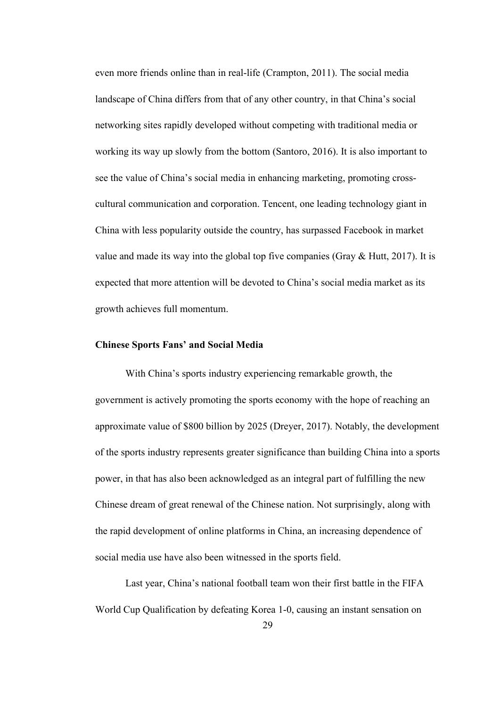even more friends online than in real-life (Crampton, 2011). The social media landscape of China differs from that of any other country, in that China's social networking sites rapidly developed without competing with traditional media or working its way up slowly from the bottom (Santoro, 2016). It is also important to see the value of China's social media in enhancing marketing, promoting cross cultural communication and corporation. Tencent, one leading technology giant in China with less popularity outside the country, has surpassed Facebook in market value and made its way into the global top five companies (Gray & Hutt, 2017). It is expected that more attention will be devoted to China's social media market as its growth achieves full momentum.

## <span id="page-32-0"></span>**Chinese Sports Fans' and Social Media**

With China's sports industry experiencing remarkable growth, the government is actively promoting the sports economy with the hope of reaching an approximate value of \$800 billion by 2025 (Dreyer, 2017). Notably, the development of the sports industry represents greater significance than building China into a sports power, in that has also been acknowledged as an integral part of fulfilling the new Chinese dream of great renewal of the Chinese nation. Not surprisingly, along with the rapid development of online platforms in China, an increasing dependence of social media use have also been witnessed in the sports field.

Last year, China's national football team won their first battle in the FIFA World Cup Qualification by defeating Korea 1-0, causing an instant sensation on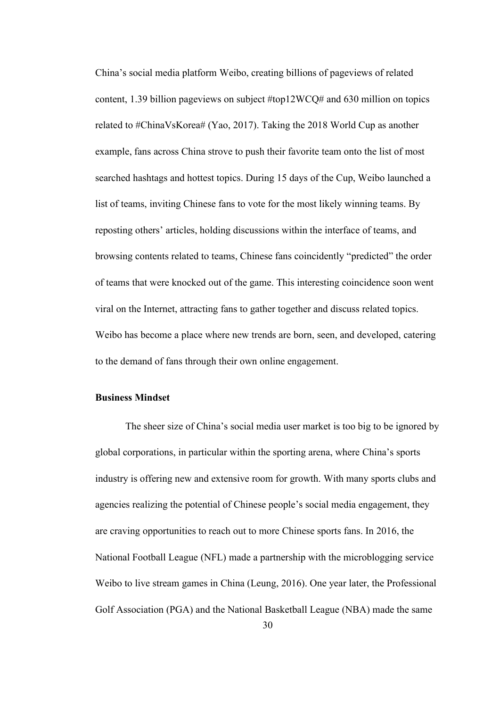China's social media platform Weibo, creating billions of pageviews of related content, 1.39 billion pageviews on subject #top12WCQ# and 630 million on topics related to #ChinaVsKorea# (Yao, 2017). Taking the 2018 World Cup as another example, fans across China strove to push their favorite team onto the list of most searched hashtags and hottest topics. During 15 days of the Cup, Weibo launched a list of teams, inviting Chinese fans to vote for the most likely winning teams. By reposting others' articles, holding discussions within the interface of teams, and browsing contents related to teams, Chinese fans coincidently "predicted" the order of teams that were knocked out of the game. This interesting coincidence soon went viral on the Internet, attracting fans to gather together and discuss related topics. Weibo has become a place where new trends are born, seen, and developed, catering to the demand of fans through their own online engagement.

### <span id="page-33-0"></span>**Business Mindset**

The sheer size of China's social media user market is too big to be ignored by global corporations, in particular within the sporting arena, where China's sports industry is offering new and extensive room for growth. With many sports clubs and agencies realizing the potential of Chinese people's social media engagement, they are craving opportunities to reach out to more Chinese sports fans. In 2016, the National Football League (NFL) made a partnership with the microblogging service Weibo to live stream games in China (Leung, 2016). One year later, the Professional Golf Association (PGA) and the National Basketball League (NBA) made the same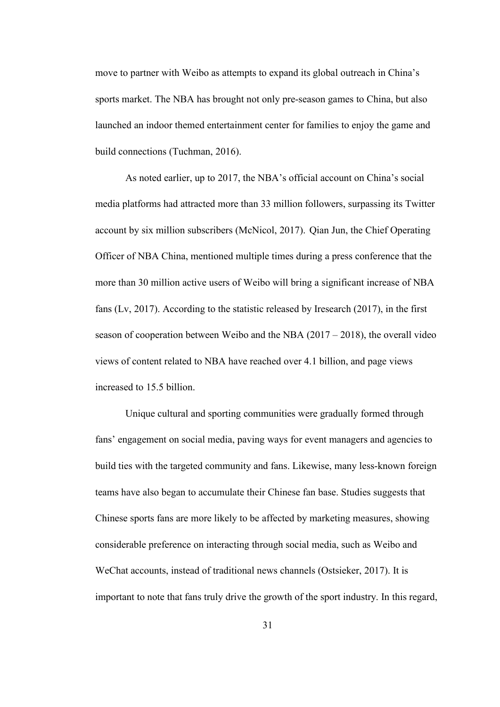move to partner with Weibo as attempts to expand its global outreach in China's sports market. The NBA has brought not only pre-season games to China, but also launched an indoor themed entertainment center for families to enjoy the game and build connections (Tuchman, 2016).

As noted earlier, up to 2017, the NBA's official account on China's social media platforms had attracted more than 33 million followers, surpassing its Twitter account by six million subscribers (McNicol, 2017). Qian Jun, the Chief Operating Officer of NBA China, mentioned multiple times during a press conference that the more than 30 million active users of Weibo will bring a significant increase of NBA fans (Lv, 2017). According to the statistic released by Iresearch (2017), in the first season of cooperation between Weibo and the NBA (2017 – 2018), the overall video views of content related to NBA have reached over 4.1 billion, and page views increased to 15.5 billion.

Unique cultural and sporting communities were gradually formed through fans' engagement on social media, paving ways for event managers and agencies to build ties with the targeted community and fans. Likewise, many less-known foreign teams have also began to accumulate theirChinese fan base. Studies suggests that Chinese sports fans are more likely to be affected by marketing measures, showing considerable preference on interacting through social media, such as Weibo and WeChat accounts, instead of traditional news channels (Ostsieker, 2017). It is important to note that fans truly drive the growth of the sport industry. In this regard,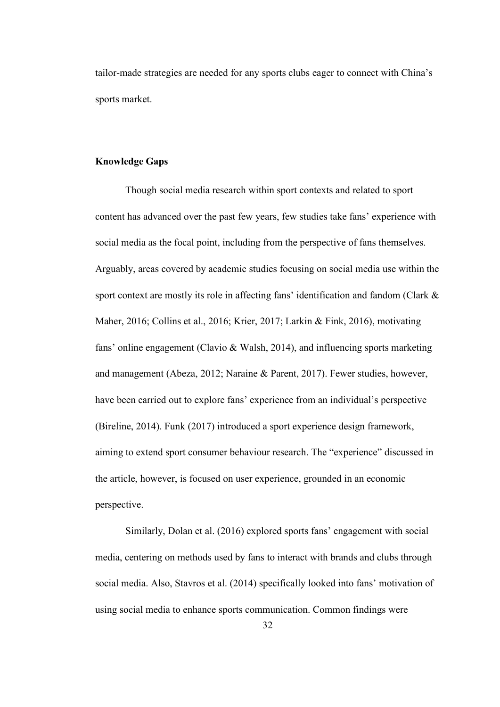<span id="page-35-0"></span>tailor-made strategies are needed for any sports clubs eager to connect with China's sports market.

## **Knowledge Gaps**

Though social media research within sport contexts and related to sport content has advanced over the past few years, few studies take fans' experience with social media as the focal point, including from the perspective of fans themselves. Arguably, areas covered by academic studies focusing on social media use within the sport context are mostly its role in affecting fans' identification and fandom (Clark & Maher, 2016; Collins et al., 2016; Krier, 2017; Larkin & Fink, 2016), motivating fans' online engagement (Clavio & Walsh, 2014), and influencing sports marketing and management (Abeza, 2012; Naraine & Parent, 2017). Fewer studies, however, have been carried out to explore fans' experience from an individual's perspective (Bireline, 2014). Funk (2017) introduced a sport experience design framework, aiming to extend sport consumer behaviour research. The "experience" discussed in the article, however, is focused on userexperience, grounded in an economic perspective.

Similarly, Dolan et al. (2016) explored sports fans' engagement with social media, centering on methods used by fans to interact with brands and clubs through social media. Also, Stavros et al. (2014) specifically looked into fans' motivation of using social media to enhance sports communication. Common findings were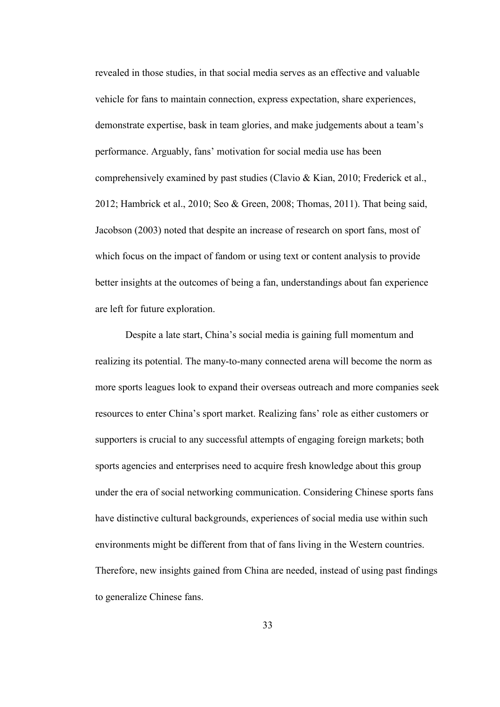revealed in those studies, in that social media serves as an effective and valuable vehicle for fans to maintain connection, express expectation, share experiences, demonstrate expertise, bask in team glories, and make judgements about a team's performance. Arguably, fans' motivation for social media use has been comprehensively examined by past studies (Clavio & Kian, 2010; Frederick et al., 2012; Hambrick et al., 2010; Seo & Green, 2008; Thomas, 2011). That being said, Jacobson (2003) noted that despite an increase of research on sport fans, most of which focus on the impact of fandom or using text or content analysis to provide better insights at the outcomes of being a fan, understandings about fan experience are left for future exploration.

Despite a late start, China's social media is gaining full momentum and realizing its potential. The many-to-many connected arena will become the norm as more sports leagues look to expand their overseas outreach and more companies seek resources to enter China's sport market. Realizing fans' role as either customers or supporters is crucial to any successful attempts of engaging foreign markets; both sports agencies and enterprises need to acquire fresh knowledge about this group under the era of social networking communication. Considering Chinese sports fans have distinctive cultural backgrounds, experiences of social media use within such environments might be different from that of fans living in the Western countries. Therefore, new insights gained from China are needed, instead of using past findings to generalize Chinese fans.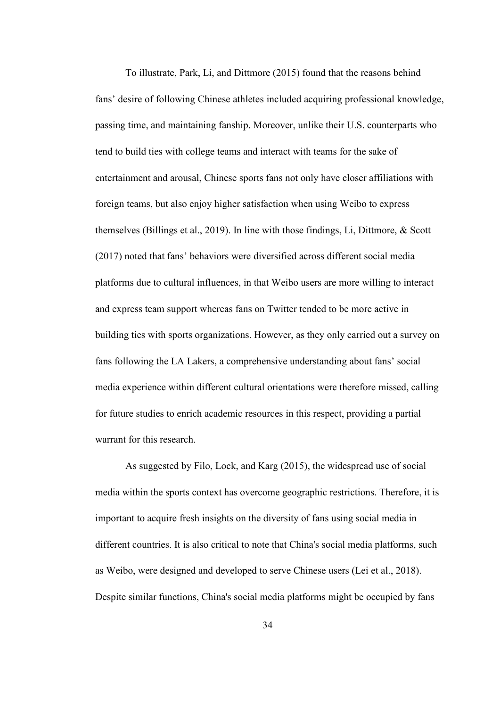To illustrate, Park, Li, and Dittmore (2015) found that the reasons behind fans' desire of following Chinese athletes included acquiring professional knowledge, passing time, and maintaining fanship. Moreover, unlike their U.S. counterparts who tend to build ties with college teams and interact with teams for the sake of entertainment and arousal, Chinese sports fans not only have closer affiliations with foreign teams, but also enjoy higher satisfaction when using Weibo to express themselves (Billings et al., 2019). In line with those findings, Li, Dittmore, & Scott (2017) noted that fans' behaviors were diversified across different social media platforms due to cultural influences, in that Weibo users are more willing to interact and express team support whereas fans on Twitter tended to be more active in building ties with sports organizations. However, as they only carried out a survey on fans following the LA Lakers, a comprehensive understanding about fans' social media experience within different cultural orientations were therefore missed, calling for future studies to enrich academic resources in this respect, providing a partial warrant for this research.

As suggested by Filo, Lock, and Karg (2015), the widespread use of social media within the sports context has overcome geographic restrictions. Therefore, it is important to acquire fresh insights on the diversity of fans using social media in different countries. It is also critical to note that China's social media platforms, such as Weibo, were designed and developed to serve Chinese users (Lei et al., 2018). Despite similar functions, China's social media platforms might be occupied by fans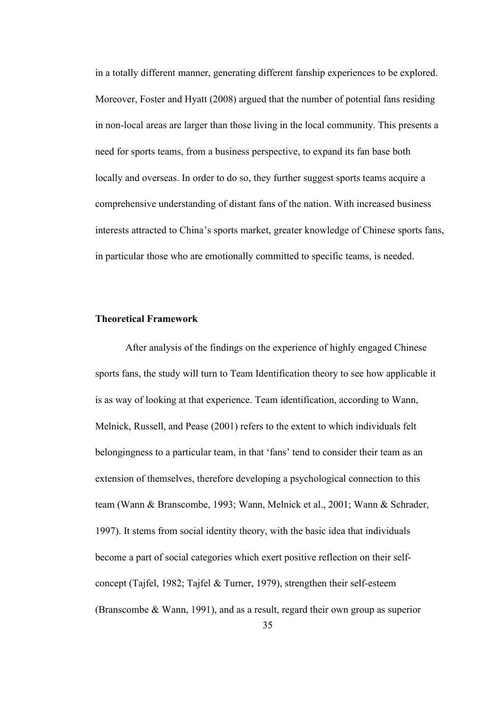in a totally different manner, generating different fanship experiences to be explored. Moreover, Foster and Hyatt (2008) argued that the number of potential fans residing in non-local areas are larger than those living in the local community. This presents a need for sports teams, from a business perspective, to expand its fan base both locally and overseas. In order to do so, they further suggest sports teams acquire a comprehensive understanding of distant fans of the nation. With increased business interests attracted to China's sports market, greater knowledge of Chinese sports fans, in particular those who are emotionally committed to specific teams, is needed.

# **Theoretical Framework**

After analysis of the findings on the experience of highly engaged Chinese sports fans, the study will turn to Team Identification theory to see how applicable it is as way of looking at that experience. Team identification, according to Wann, Melnick, Russell, and Pease (2001) refers to the extent to which individuals felt belongingness to a particular team, in that 'fans' tend to consider their team as an extension of themselves, therefore developing a psychological connection to this team (Wann & Branscombe, 1993; Wann, Melnick et al., 2001; Wann & Schrader, 1997). It stems from social identity theory, with the basic idea that individuals become a part of social categories which exert positive reflection on their self concept (Tajfel, 1982; Tajfel & Turner, 1979), strengthen their self-esteem (Branscombe & Wann, 1991), and as a result, regard their own group as superior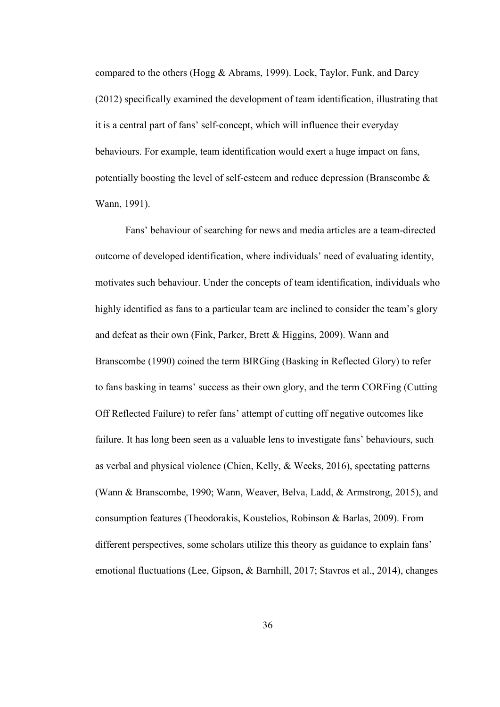compared to the others (Hogg & Abrams, 1999). Lock, Taylor, Funk, and Darcy (2012) specifically examined the development of team identification, illustrating that it is a central part of fans' self-concept, which will influence their everyday behaviours. For example, team identification would exert a huge impact on fans, potentially boosting the level of self-esteem and reduce depression (Branscombe & Wann, 1991).

Fans' behaviour of searching for news and media articles are a team-directed outcome of developed identification, where individuals' need of evaluating identity, motivates such behaviour. Under the concepts of team identification, individuals who highly identified as fans to a particular team are inclined to consider the team's glory and defeat as their own (Fink, Parker, Brett & Higgins, 2009). Wann and Branscombe (1990) coined the term BIRGing (Basking in Reflected Glory) to refer to fans basking in teams' success as their own glory, and the term CORFing (Cutting Off Reflected Failure) to refer fans' attempt of cutting off negative outcomes like failure. It has long been seen as a valuable lens to investigate fans' behaviours, such as verbal and physical violence (Chien, Kelly, & Weeks, 2016), spectating patterns (Wann & Branscombe, 1990; Wann, Weaver, Belva, Ladd, & Armstrong, 2015), and consumption features (Theodorakis, Koustelios, Robinson & Barlas, 2009). From different perspectives, some scholars utilize this theory as guidance to explain fans' emotional fluctuations (Lee, Gipson, & Barnhill, 2017; Stavros et al., 2014), changes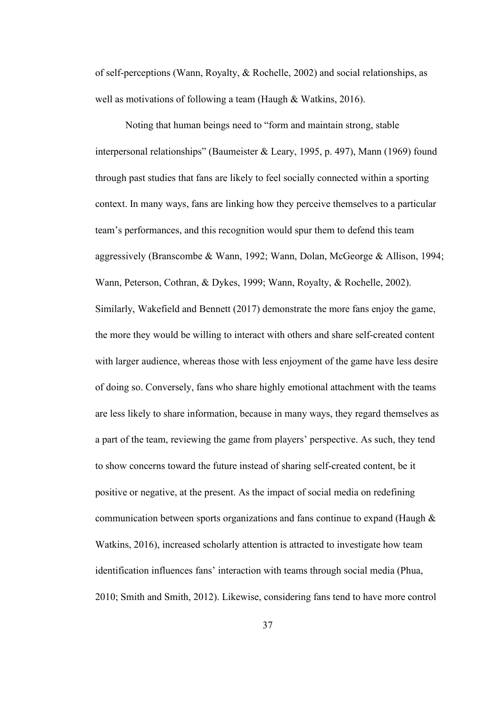of self-perceptions (Wann, Royalty, & Rochelle, 2002) and social relationships, as well as motivations of following a team (Haugh & Watkins, 2016).

Noting that human beings need to "form and maintain strong, stable interpersonal relationships" (Baumeister & Leary, 1995, p. 497), Mann (1969) found through past studies that fans are likely to feel socially connected within a sporting context. In many ways, fans are linking how they perceive themselves to a particular team's performances, and this recognition would spur them to defend this team aggressively (Branscombe & Wann, 1992; Wann, Dolan, McGeorge & Allison, 1994; Wann, Peterson, Cothran, & Dykes, 1999; Wann, Royalty, & Rochelle, 2002). Similarly, Wakefield and Bennett (2017) demonstrate the more fans enjoy the game, the more they would be willing to interact with others and share self-created content with larger audience, whereas those with less enjoyment of the game have less desire of doing so. Conversely, fans who share highly emotionalattachment with the teams are less likely to share information, because in many ways, they regard themselves as a part of the team, reviewing the game from players' perspective. As such, they tend to show concerns toward the future instead of sharing self-created content, be it positive or negative, at the present. As the impact of social media on redefining communication between sports organizations and fans continue to expand (Haugh & Watkins, 2016), increased scholarly attention is attracted to investigate how team identification influences fans' interaction with teams through social media (Phua, 2010; Smith and Smith, 2012). Likewise, considering fans tend to have more control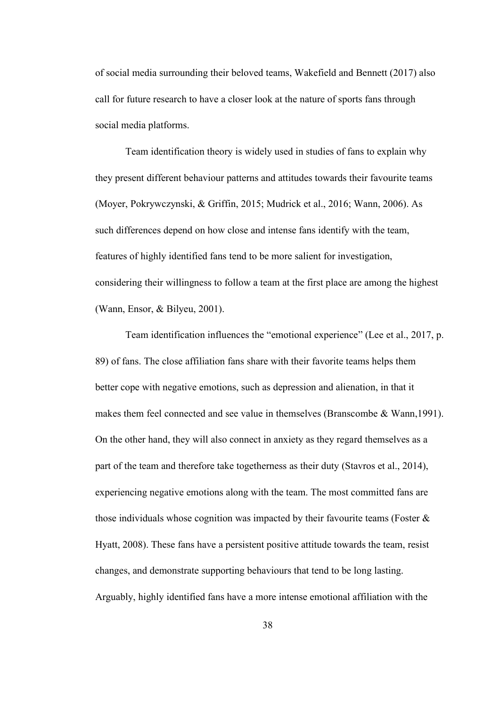of social media surrounding their beloved teams, Wakefield and Bennett (2017) also call for future research to have a closer look at the nature of sports fans through social media platforms.

Team identification theory is widely used in studies of fans to explain why they present different behaviour patterns and attitudes towards their favourite teams (Moyer, Pokrywczynski, & Griffin, 2015; Mudrick et al., 2016; Wann, 2006). As such differences depend on how close and intense fans identify with the team, features of highly identified fans tend to be more salient for investigation, considering their willingness to follow a team at the first place are among the highest (Wann, Ensor, & Bilyeu, 2001).

Team identification influences the "emotional experience" (Lee et al., 2017, p. 89) of fans. The close affiliation fans share with their favorite teams helps them better cope with negative emotions, such as depression and alienation, in that it makes them feel connected and see value in themselves (Branscombe & Wann, 1991). On the other hand, they will also connect in anxiety as they regard themselves as a part of the team and therefore take togetherness as their duty (Stavros et al., 2014), experiencing negative emotions along with the team. The most committed fans are those individuals whose cognition was impacted by their favourite teams (Foster  $\&$ Hyatt, 2008). These fans have a persistent positive attitude towards the team, resist changes, and demonstrate supporting behaviours that tend to be long lasting. Arguably, highly identified fans have a more intense emotional affiliation with the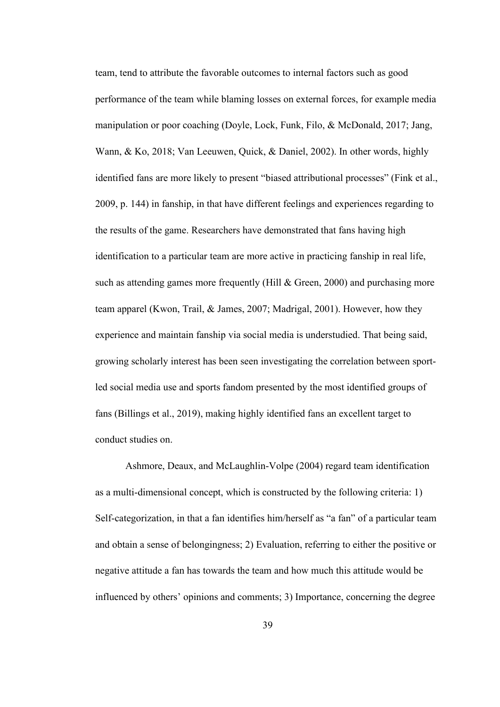team, tend to attribute the favorable outcomes to internal factors such as good performance of the team while blaming losses on external forces, for example media manipulation or poor coaching (Doyle, Lock, Funk, Filo, & McDonald, 2017; Jang, Wann, & Ko, 2018; Van Leeuwen, Quick, & Daniel, 2002). In other words, highly identified fans are more likely to present "biased attributional processes" (Fink et al., 2009, p. 144) in fanship, in that have different feelings and experiences regarding to the results of the game. Researchers have demonstrated that fans having high identification to a particular team are more active in practicing fanship in real life, such as attending games more frequently (Hill & Green, 2000) and purchasing more team apparel (Kwon, Trail, & James, 2007; Madrigal, 2001). However, how they experience and maintain fanship via social media is understudied. That being said, growing scholarly interest has been seen investigating the correlation between sportled social media use and sports fandom presented by the most identified groups of fans (Billings et al., 2019), making highly identified fans an excellent target to conduct studies on.

Ashmore, Deaux, and McLaughlin-Volpe (2004) regard team identification as a multi-dimensional concept, which is constructed by the following criteria: 1) Self-categorization, in that a fan identifies him/herself as "a fan" of a particular team and obtain a sense of belongingness; 2) Evaluation, referring to either the positive or negative attitude a fan has towards the team and how much this attitude would be influenced by others' opinions and comments; 3) Importance, concerning the degree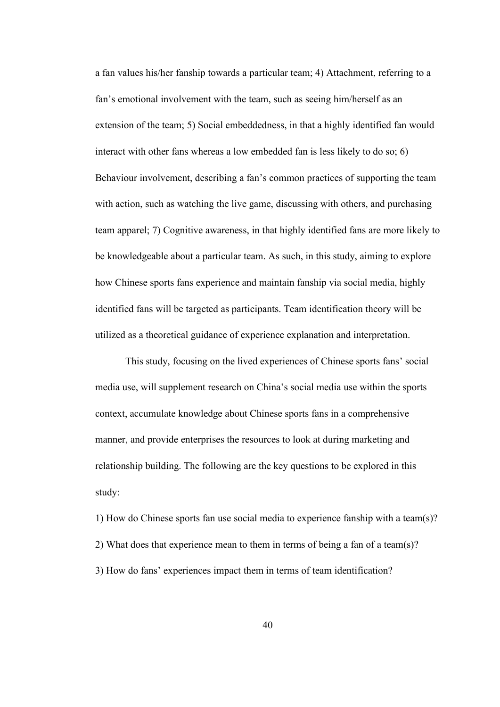a fan values his/her fanship towards a particular team; 4) Attachment, referring to a fan's emotional involvement with the team, such as seeing him/herself as an extension of the team; 5) Social embeddedness, in that a highly identified fan would interact with other fans whereas a low embedded fan is less likely to do so; 6) Behaviour involvement, describing a fan's common practices of supporting the team with action, such as watching the live game, discussing with others, and purchasing team apparel; 7) Cognitive awareness, in that highly identified fans are more likely to be knowledgeable about a particular team. As such, in this study, aiming to explore how Chinese sports fans experience and maintain fanship via social media, highly identified fans will be targeted as participants. Team identification theory will be utilized as a theoretical guidance of experience explanation and interpretation.

This study, focusing on the lived experiences of Chinese sports fans' social media use, will supplement research on China's social media use within the sports context, accumulate knowledge about Chinese sports fans in a comprehensive manner, and provide enterprises the resources to look at during marketing and relationship building. The following are the key questions to be explored in this study:

1) How do Chinese sports fan use social media to experience fanship with a team(s)? 2) What does that experience mean to them in terms of being a fan of a team(s)? 3) How do fans' experiences impact them in terms of team identification?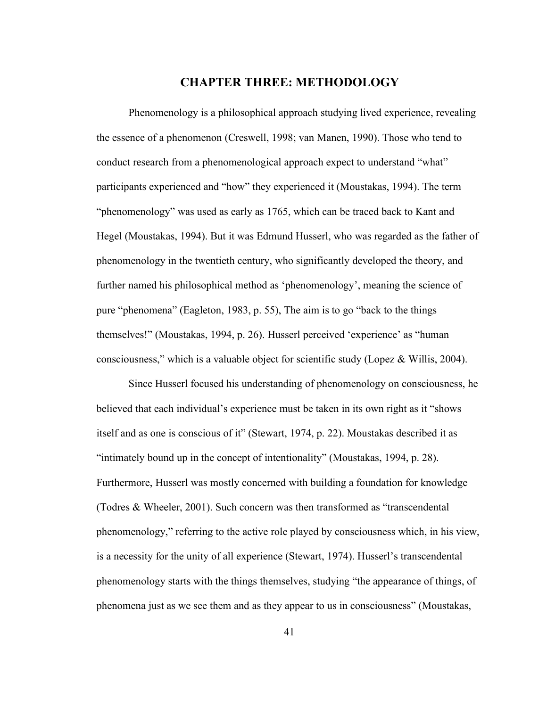# **CHAPTER THREE: METHODOLOGY**

Phenomenology is a philosophical approach studying lived experience, revealing the essence of a phenomenon (Creswell, 1998; van Manen, 1990). Those who tend to conduct research from a phenomenological approach expect to understand "what" participants experienced and "how" they experienced it (Moustakas, 1994). The term "phenomenology" was used as early as 1765, which can be traced back to Kant and Hegel (Moustakas, 1994). But it was Edmund Husserl, who was regarded as the father of phenomenology in the twentieth century, who significantly developed the theory, and further named his philosophical method as 'phenomenology', meaning the science of pure "phenomena" (Eagleton, 1983, p. 55), The aim is to go "back to the things themselves!" (Moustakas, 1994, p. 26). Husserl perceived 'experience' as "human consciousness," which is a valuable object for scientific study (Lopez & Willis, 2004).

Since Husserl focused his understanding of phenomenology on consciousness, he believed that each individual's experience must be taken in its own right as it "shows itself and as one is conscious of it" (Stewart, 1974, p. 22). Moustakas described it as "intimately bound up in the concept of intentionality" (Moustakas, 1994, p. 28). Furthermore, Husserl was mostly concerned with building a foundation for knowledge (Todres & Wheeler, 2001). Such concern was then transformed as "transcendental phenomenology," referring to the active role played by consciousness which, in his view, is a necessity for the unity of all experience (Stewart, 1974). Husserl's transcendental phenomenology starts with the things themselves, studying "the appearance of things, of phenomena just as we see them and as they appear to us in consciousness" (Moustakas,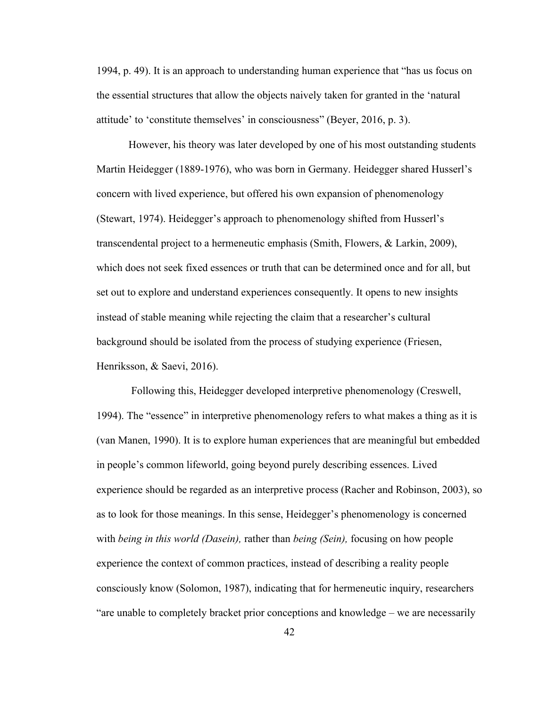1994, p. 49). It is an approach to understanding human experience that "has us focus on the essential structures that allow the objects naively taken for granted in the 'natural attitude' to 'constitute themselves' in consciousness" (Beyer, 2016, p. 3).

However, his theory was later developed by one of his most outstanding students Martin Heidegger (1889-1976), who was born in Germany. Heidegger shared Husserl's concern with lived experience, but offered his own expansion of phenomenology (Stewart, 1974). Heidegger's approach to phenomenology shifted from Husserl's transcendental project to a hermeneutic emphasis (Smith, Flowers, & Larkin, 2009), which does not seek fixed essences or truth that can be determined once and for all, but set out to explore and understand experiences consequently. It opens to new insights instead of stable meaning while rejecting the claim that a researcher's cultural background should be isolated from the process of studying experience (Friesen, Henriksson, & Saevi, 2016).

Following this, Heidegger developed interpretive phenomenology (Creswell, 1994). The "essence" in interpretive phenomenology refers to what makes a thing as it is (van Manen, 1990). It is to explore human experiences that are meaningful but embedded in people's common lifeworld, going beyond purely describing essences. Lived experience should be regarded as an interpretive process (Racher and Robinson, 2003), so as to look for those meanings. In this sense, Heidegger's phenomenology is concerned with *being in this world (Dasein),* rather than *being (Sein),* focusing on how people experience the context of common practices, instead of describing a reality people consciously know (Solomon, 1987), indicating that for hermeneutic inquiry, researchers "are unable to completely bracket prior conceptions and knowledge – we are necessarily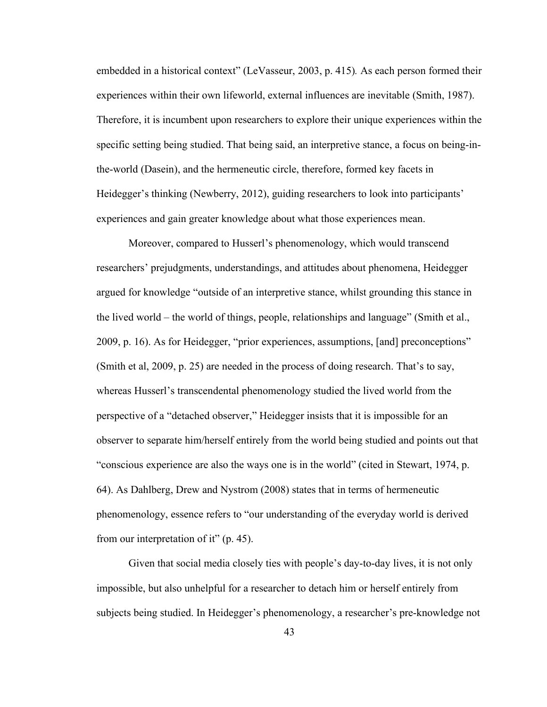embedded in a historical context" (LeVasseur, 2003, p. 415)*.* As each person formed their experiences within their own lifeworld, external influences are inevitable (Smith, 1987). Therefore, it is incumbent upon researchers to explore their unique experiences within the specific setting being studied. That being said, an interpretive stance, a focus on being-inthe-world (Dasein), and the hermeneutic circle, therefore, formed key facets in Heidegger's thinking (Newberry,2012), guiding researchers to look into participants' experiences and gain greater knowledge about what those experiences mean.<br>Moreover, compared to Husserl's phenomenology, which would transcend

researchers' prejudgments, understandings, and attitudes about phenomena, Heidegger argued for knowledge "outside of an interpretive stance, whilst grounding this stance in the lived world – the world of things, people, relationships and language" (Smith et al., 2009, p. 16). As for Heidegger, "prior experiences, assumptions, [and] preconceptions" (Smith et al, 2009, p. 25) are needed in the process of doing research. That's to say, whereas Husserl's transcendental phenomenology studied the lived world from the perspective of a "detached observer," Heidegger insists that it is impossible for an observer to separate him/herself entirely from the world being studied and points out that "conscious experience are also the ways one is in the world" (cited in Stewart, 1974, p. 64). As Dahlberg, Drew and Nystrom (2008) states that in terms of hermeneutic phenomenology, essence refers to "our understanding of the everyday world is derived from our interpretation of it" (p. 45).

Given that social media closely ties with people's day-to-day lives, it is not only impossible, but also unhelpful for a researcher to detach him or herself entirely from subjects being studied. In Heidegger's phenomenology, a researcher's pre-knowledge not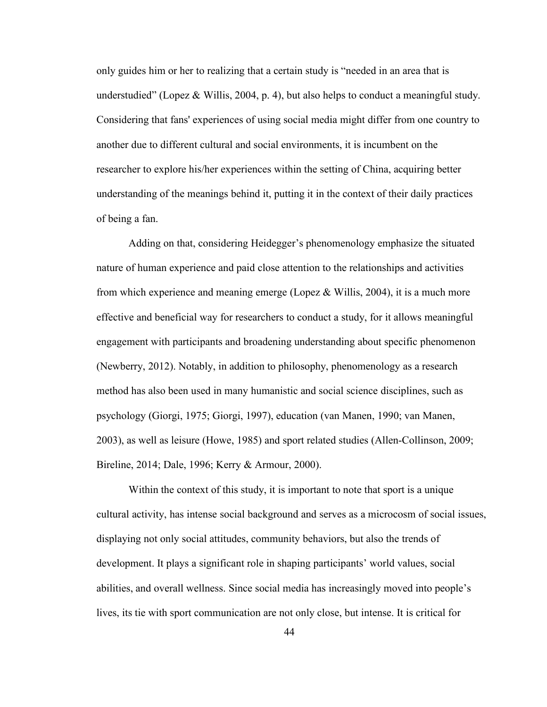only guides him or her to realizing that a certain study is "needed in an area that is understudied" (Lopez & Willis, 2004, p. 4), but also helps to conduct a meaningful study. Considering that fans' experiences of using social media might differ from one country to another due to different cultural and social environments, it is incumbent on the researcher to explore his/her experiences within the setting of China, acquiring better understanding of the meanings behind it, putting it in the context of their daily practices of being a fan.

Adding on that, considering Heidegger's phenomenology emphasize the situated nature of human experience and paid close attention to the relationships and activities from which experience and meaning emerge (Lopez & Willis, 2004), it is a much more effective and beneficial way for researchers to conduct a study, for it allows meaningful engagement with participants and broadening understanding about specific phenomenon (Newberry, 2012). Notably, in addition to philosophy, phenomenology as a research method has also been used in many humanistic and social science disciplines, such as psychology (Giorgi, 1975; Giorgi, 1997), education (van Manen, 1990; van Manen, 2003), as well as leisure (Howe, 1985) and sport related studies (Allen-Collinson, 2009; Bireline, 2014; Dale, 1996; Kerry & Armour, 2000).

Within the context of this study, it is important to note that sport is a unique cultural activity, has intense social background and serves as a microcosm of social issues, displaying not only social attitudes, community behaviors, but also the trends of development. It plays a significant role in shaping participants' world values, social abilities, and overall wellness. Since social media has increasingly moved into people's lives, its tie with sport communication are not only close, but intense. It is critical for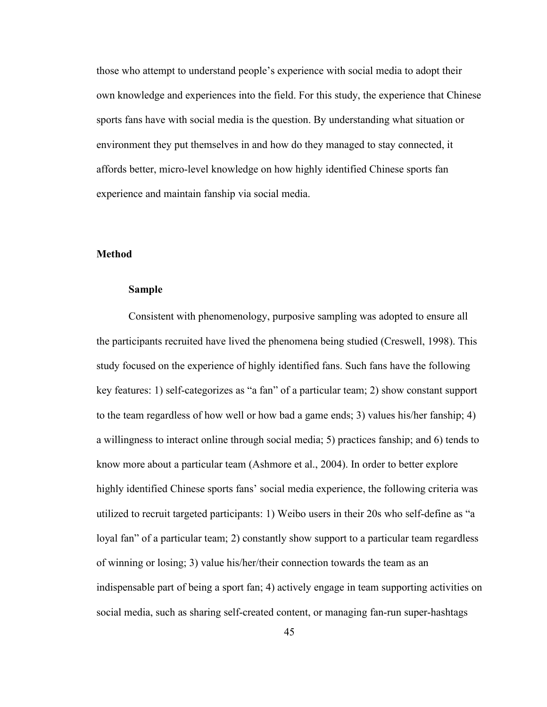those who attempt to understand people's experience with social media to adopt their own knowledge and experiences into the field. For this study, the experience that Chinese sports fans have with social media is the question. By understanding what situation or environment they put themselves in and how do they managed to stay connected, it affords better, micro-level knowledge on how highly identified Chinese sports fan experience and maintain fanship via social media.

## **Method**

### **Sample**

Consistent with phenomenology, purposive sampling was adopted to ensure all the participants recruited have lived the phenomena being studied (Creswell, 1998). This study focused on the experience of highly identified fans. Such fans have the following key features: 1) self-categorizes as "a fan" of a particular team; 2) show constant support to the team regardless of how well or how bad a game ends; 3) values his/her fanship; 4) a willingness to interact online through social media; 5) practices fanship; and 6) tends to know more about a particular team (Ashmore et al., 2004). In order to better explore highly identified Chinese sports fans' social media experience, the following criteria was utilized to recruit targeted participants: 1) Weibo users in their 20s who self-define as "a loyal fan" of a particular team; 2) constantly show support to a particular team regardless of winning or losing; 3) value his/her/their connection towards the team as an indispensable part of being a sport fan; 4) actively engage in team supporting activities on social media, such as sharing self-created content, or managing fan-run super-hashtags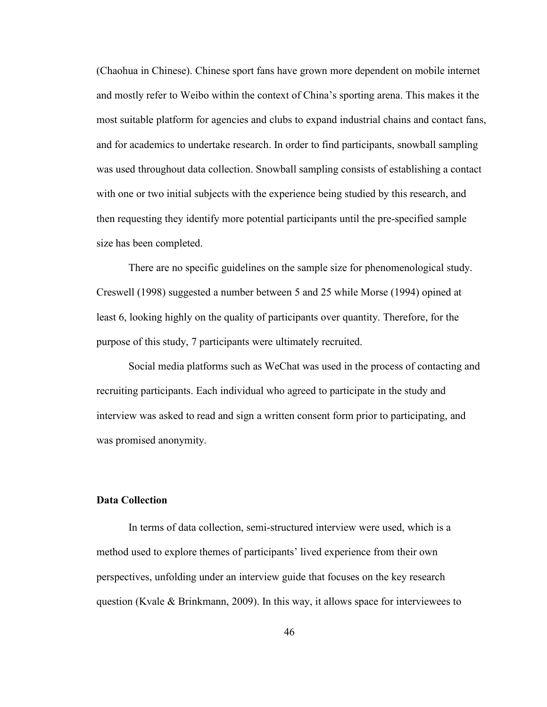(Chaohua in Chinese). Chinese sport fans have grown more dependent on mobile internet and mostly refer to Weibo within the context of China's sporting arena. This makes it the most suitable platform for agencies and clubs to expand industrial chains and contact fans, and for academics to undertake research. In order to find participants, snowball sampling was used throughout data collection. Snowball sampling consists of establishing a contact with one or two initial subjects with the experience being studied by this research, and then requesting they identify more potential participants until the pre-specified sample size has been completed.

There are no specific guidelines on the sample size for phenomenological study. Creswell (1998) suggested a number between 5 and 25 while Morse (1994) opined at least 6, looking highly on the quality of participants over quantity. Therefore, for the purpose of this study,7 participants were ultimately recruited.

Social media platforms such as WeChat was used in the process of contacting and recruiting participants. Each individual who agreed to participate in the study and interview was asked to read and sign a written consent form prior to participating, and was promised anonymity.

## **Data Collection**

In terms of data collection, semi-structured interview were used, which is a method used to explore themes of participants' lived experience from their own perspectives, unfolding under an interview guide that focuses on the key research question (Kvale & Brinkmann, 2009). In this way, it allows space for interviewees to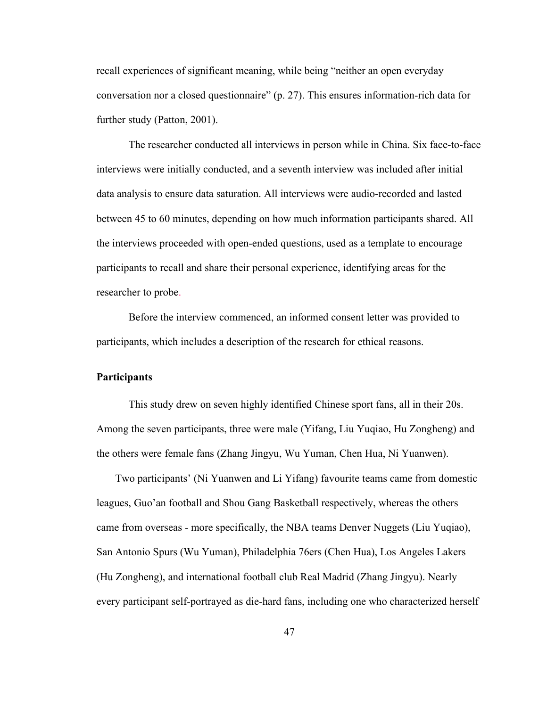recall experiences of significant meaning, while being "neither an open everyday conversation nor a closed questionnaire" (p. 27). This ensures information-rich data for further study (Patton, 2001).

The researcher conducted all interviews in person while in China. Six face-to-face interviews were initially conducted, and a seventh interview was included after initial data analysis to ensure data saturation. All interviews were audio-recorded and lasted between 45 to 60 minutes, depending on how much information participants shared. All the interviews proceeded with open-ended questions, used as a template to encourage participants to recall and share their personal experience, identifying areas for the researcher to probe.

Before the interview commenced, an informed consent letter was provided to participants, which includes a description of the research for ethical reasons.

#### **Participants**

This study drew on seven highly identified Chinese sport fans, all in their 20s. Among the seven participants, three were male (Yifang, Liu Yuqiao, Hu Zongheng) and the others were female fans (Zhang Jingyu, Wu Yuman, Chen Hua, Ni Yuanwen).

Two participants' (Ni Yuanwen and Li Yifang) favourite teams came from domestic leagues, Guo'an football and Shou Gang Basketball respectively, whereas the others came from overseas - more specifically, the NBA teams Denver Nuggets (Liu Yuqiao), San Antonio Spurs (Wu Yuman), Philadelphia 76ers (Chen Hua), Los Angeles Lakers (Hu Zongheng), and international football club Real Madrid (Zhang Jingyu). Nearly every participant self-portrayed as die-hard fans, including one who characterized herself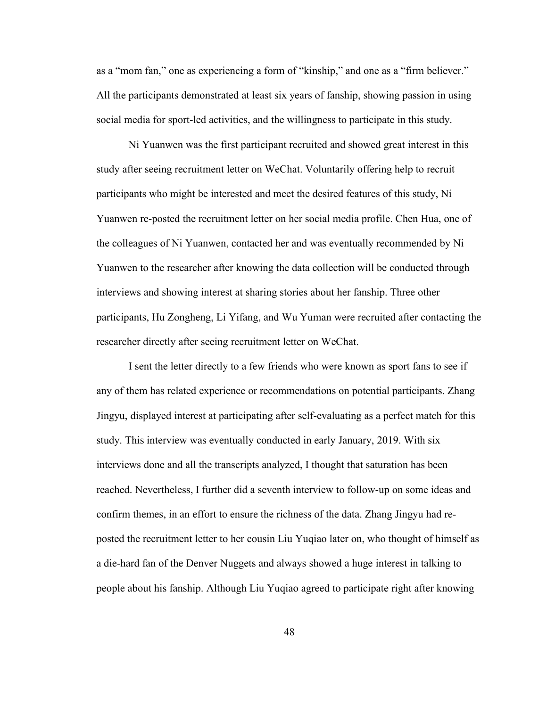as a "mom fan," one as experiencing a form of "kinship," and one as a "firm believer." All the participants demonstrated at least six years of fanship, showing passion in using social media for sport-led activities, and the willingness to participate in this study.<br>Ni Yuanwen was the first participant recruited and showed great interest in this

study after seeing recruitment letter on WeChat. Voluntarily offering help to recruit participants who might be interested and meet the desired features of this study, Ni Yuanwen re-posted the recruitment letter on her social media profile. Chen Hua, one of the colleagues of Ni Yuanwen, contacted her and was eventually recommended by Ni Yuanwen to the researcher after knowing the data collection will be conducted through interviews and showing interest at sharing stories about her fanship. Three other participants, Hu Zongheng, Li Yifang, and Wu Yuman were recruited after contacting the researcher directly after seeing recruitment letter on WeChat.

I sent the letter directly to a few friends who were known as sport fans to see if any of them has related experience or recommendations on potential participants. Zhang Jingyu, displayed interest at participating after self-evaluating as a perfect match for this study. This interview was eventually conducted in early January, 2019. With six interviews done and all the transcripts analyzed, I thought that saturation has been reached. Nevertheless, I further did a seventh interview to follow-up on some ideas and confirm themes, in an effort to ensure the richness of the data. Zhang Jingyu had reposted the recruitment letter to her cousin Liu Yuqiao later on, who thought of himself as a die-hard fan of the Denver Nuggets and always showed a huge interest in talking to people about his fanship. Although Liu Yuqiao agreed to participate right after knowing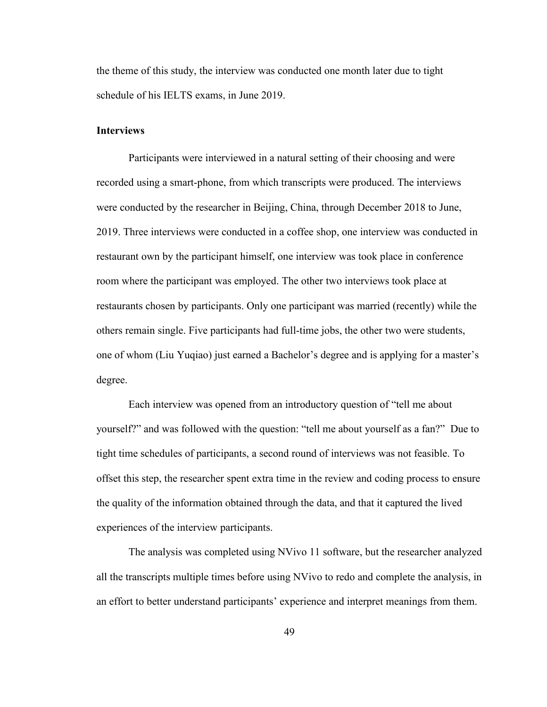the theme of this study, the interview was conducted one month later due to tight schedule of his IELTS exams, in June 2019.

## **Interviews**

Participants were interviewed in a natural setting of their choosing and were recorded using a smart-phone, from which transcripts were produced. The interviews were conducted by the researcher in Beijing, China, through December 2018 to June, 2019. Three interviews were conducted in a coffee shop, one interview was conducted in restaurant own by the participant himself, one interview was took place in conference room where the participant was employed. The other two interviews took place at restaurants chosen by participants. Only one participant was married (recently) while the others remain single. Five participants had full-time jobs, the other two were students, one of whom (Liu Yuqiao) just earned a Bachelor's degree and is applying for a master's degree.<br>Each interview was opened from an introductory question of "tell me about

yourself?" and was followed with the question: "tell me about yourself as a fan?" Due to tight time schedules of participants, a second round of interviews was not feasible. To offset this step, the researcher spent extra time in the review and coding process to ensure the quality of the information obtained through the data, and that it captured the lived experiences of the interview participants.

The analysis was completed using NVivo 11 software, but the researcher analyzed all the transcripts multiple times before using NVivo to redo and complete the analysis, in an effort to better understand participants' experience and interpret meanings from them.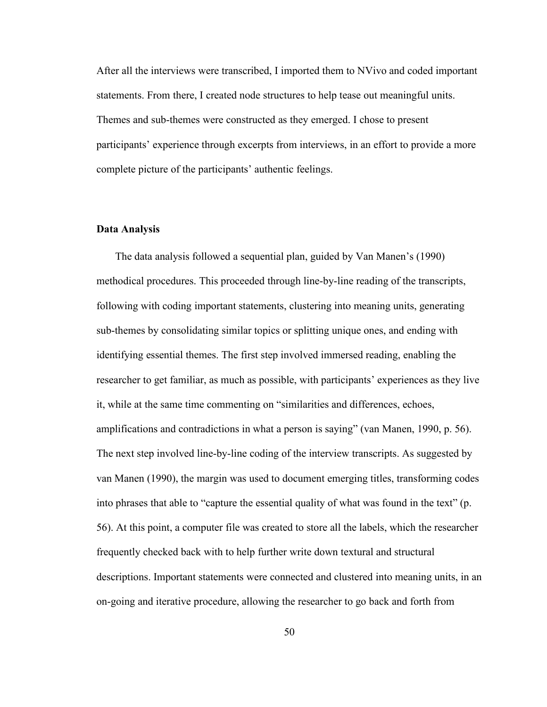After all the interviews were transcribed, I imported them to NVivo and coded important statements. From there, I created node structures to help tease out meaningful units. Themes and sub-themes were constructed as they emerged. I chose to present participants' experience through excerpts from interviews, in an effort to provide a more complete picture of the participants' authentic feelings.

#### **Data Analysis**

The data analysis followed a sequential plan, guided by Van Manen's (1990) methodical procedures. This proceeded through line-by-line reading of the transcripts, following with coding important statements, clustering into meaning units, generating sub-themes by consolidating similar topics orsplitting unique ones, and ending with identifying essential themes. The first step involved immersed reading, enabling the researcher to get familiar, as much as possible, with participants' experiences as they live it, while at the same time commenting on "similarities and differences, echoes, amplifications and contradictions in what a person is saying" (van Manen, 1990, p. 56). The next step involved line-by-line coding of the interview transcripts. As suggested by van Manen (1990), the margin was used to document emerging titles, transforming codes into phrases that able to "capture the essential quality of what was found in the text" (p. 56). At this point, a computer file was created to store all the labels, which the researcher frequently checked back with to help further write down textural and structural descriptions. Important statements were connected and clustered into meaning units, in an on-going and iterative procedure, allowing the researcher to go back and forth from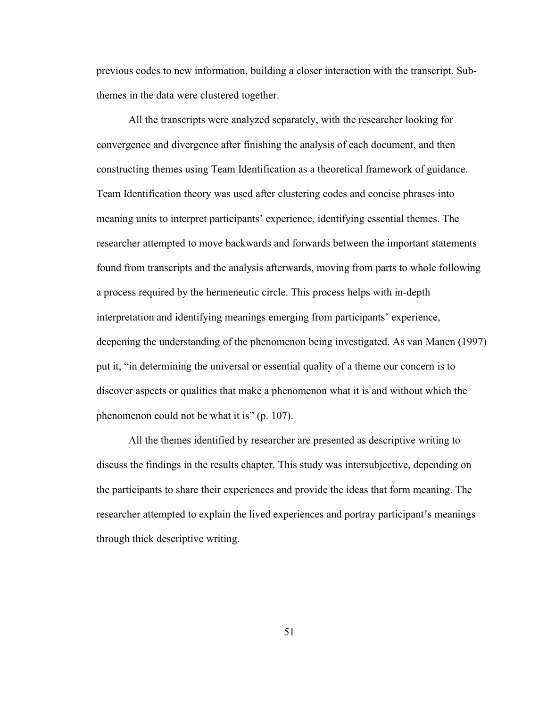previous codes to new information, building a closer interaction with the transcript. Subthemes in the data were clustered together.

All the transcripts were analyzed separately, with the researcher looking for convergence and divergence after finishing the analysis of each document, and then constructing themes using Team Identification as a theoretical framework of guidance. Team Identification theory was used after clustering codes and concise phrases into meaning units to interpret participants' experience, identifying essential themes. The researcher attempted to move backwards and forwards between the important statements found from transcripts and the analysis afterwards, moving from parts to whole following a process required by the hermeneutic circle. This process helps with in-depth interpretation and identifying meanings emerging from participants' experience, deepening the understanding of the phenomenon being investigated. As van Manen (1997) put it, "in determining the universal or essential quality of a theme our concern is to discover aspects or qualities that make a phenomenon what it is and without which the phenomenon could not be what it is" (p. 107).<br>All the themes identified by researcher are presented as descriptive writing to

discuss the findings in the results chapter. This study was intersubjective, depending on the participants to share their experiences and provide the ideas that form meaning. The researcher attempted to explain the lived experiences and portray participant's meanings through thick descriptive writing.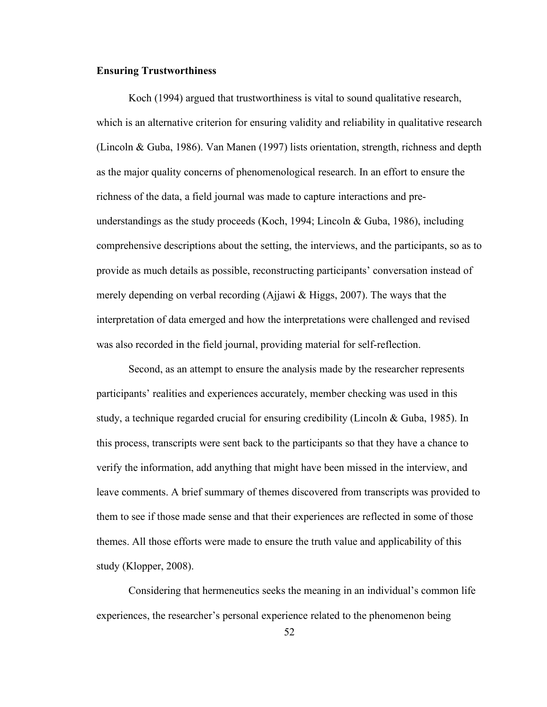## **Ensuring Trustworthiness**

Koch (1994) argued that trustworthiness is vital to sound qualitative research, which is an alternative criterion for ensuring validity and reliability in qualitative research (Lincoln & Guba, 1986). Van Manen (1997) lists orientation, strength, richness and depth as the major quality concerns of phenomenological research. In an effort to ensure the richness of the data, a field journal was made to capture interactions and preunderstandings as the study proceeds (Koch, 1994; Lincoln & Guba, 1986), including comprehensive descriptions about the setting, the interviews, and the participants, so as to provide asmuch details as possible, reconstructing participants' conversation instead of merely depending on verbal recording (Ajjawi & Higgs, 2007). The ways that the interpretation of data emerged and how the interpretations were challenged and revised was also recorded in the field journal, providing material for self-reflection.

Second, as an attempt to ensure the analysis made by the researcher represents participants' realities and experiences accurately, member checking was used in this study, a technique regarded crucial for ensuring credibility (Lincoln & Guba, 1985). In this process, transcripts were sent back to the participants so that they have a chance to verify the information, add anything that might have been missed in the interview, and leave comments. A brief summary of themes discovered from transcripts was provided to them to see if those made sense and that their experiences are reflected in some of those themes. All those efforts were made to ensure the truth value and applicability of this study (Klopper, 2008).

Considering that hermeneutics seeks the meaning in an individual's common life experiences, the researcher's personal experience related to the phenomenon being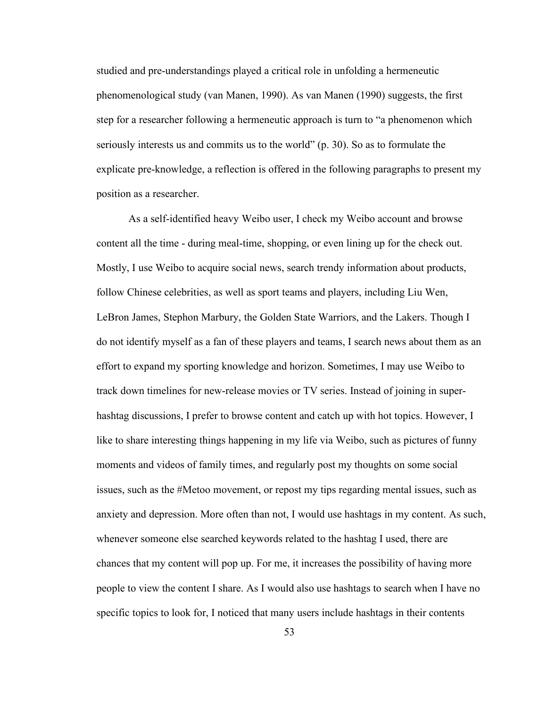studied and pre-understandings played a critical role in unfolding a hermeneutic phenomenological study (van Manen, 1990). As van Manen (1990) suggests, the first step for a researcher following a hermeneutic approach is turn to "a phenomenon which seriously interests us and commits us to the world" (p. 30). So as to formulate the explicate pre-knowledge, a reflection is offered in the following paragraphs to present my position as a researcher.

As a self-identified heavy Weibo user, I check my Weibo account and browse content all the time - during meal-time, shopping, or even lining up for the check out. Mostly, I use Weibo to acquire social news, search trendy information about products, follow Chinese celebrities, as well as sport teams and players, including Liu Wen, LeBron James, Stephon Marbury, the Golden State Warriors, and the Lakers. Though I do not identify myself as a fan of these players and teams, I search news about them as an effort to expand my sporting knowledge and horizon. Sometimes, I may use Weibo to track down timelines for new-release movies orTV series. Instead of joining in super hashtag discussions, I prefer to browse content and catch up with hot topics. However, I like to share interesting things happening in my life via Weibo, such as pictures of funny moments and videos of family times, and regularly post my thoughts on some social issues, such as the #Metoo movement, or repost my tips regarding mental issues, such as anxiety and depression. More often than not, I would use hashtags in my content. As such, whenever someone else searched keywords related to the hashtag I used, there are chances that my content will pop up. Forme, it increases the possibility of having more people to view the content I share. As I would also use hashtags to search when I have no specific topics to look for, I noticed that many users include hashtags in their contents

53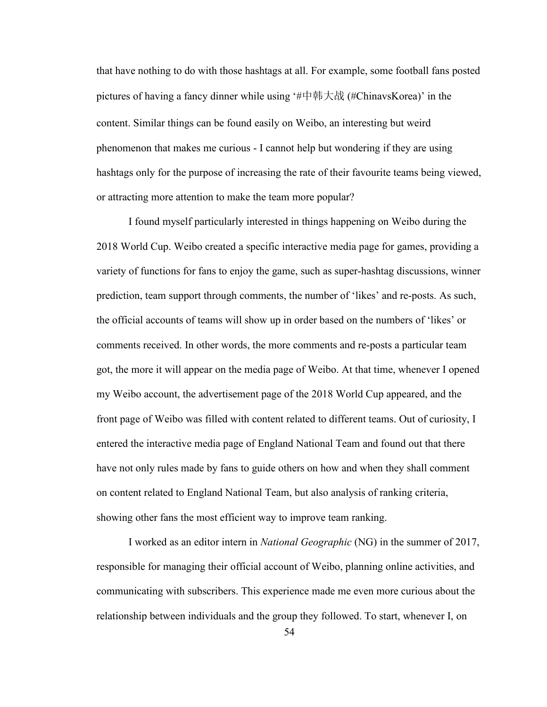that have nothing to do with those hashtags at all. For example, some football fans posted pictures of having a fancy dinner while using '#中韩大战 (#ChinavsKorea)' in the content. Similar things can be found easily on Weibo, an interesting but weird phenomenon that makes me curious - I cannot help but wondering if they are using hashtags only for the purpose of increasing the rate of their favourite teams being viewed, or attracting more attention to make the team more popular?

I found myself particularly interested in things happening on Weibo during the 2018 World Cup. Weibo created a specific interactive media page for games, providing a variety of functions for fans to enjoy the game, such as super-hashtag discussions, winner prediction, team support through comments, the number of 'likes' and re-posts. As such, the official accounts of teams will show up in order based on the numbers of 'likes' or comments received. In other words, the more comments and re-posts a particular team got, the more it will appear on the media page of Weibo. At that time, whenever I opened my Weibo account, the advertisement page of the 2018 World Cup appeared, and the front page of Weibo was filled with content related to different teams. Out of curiosity, I entered the interactive media page of England National Team and found out that there have not only rules made by fans to guide others on how and when they shall comment on content related to England National Team, but also analysis ofranking criteria, showing other fans the most efficient way to improve team ranking.

I worked as an editor intern in *National Geographic* (NG) in the summer of 2017, responsible for managing their official account of Weibo, planning online activities, and communicating with subscribers. This experience made me even more curious about the relationship between individuals and the group they followed. To start, whenever I, on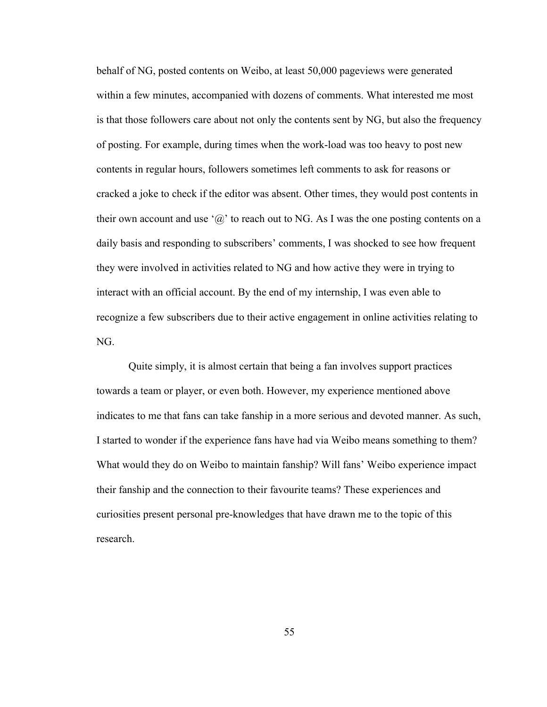behalf of NG, posted contents on Weibo, at least 50,000 pageviews were generated within a few minutes, accompanied with dozens of comments. What interested me most is that those followers care about not only the contents sent by NG, but also the frequency of posting. For example, during times when the work-load was too heavy to post new contents in regular hours, followers sometimes left comments to ask for reasons or cracked a joke to check if the editor was absent. Other times, they would post contents in their own account and use ' $\omega$ ' to reach out to NG. As I was the one posting contents on a daily basis and responding to subscribers' comments, I was shocked to see how frequent they were involved in activities related to NG and how active they were in trying to interact with an official account. By the end of my internship, I was even able to recognize a few subscribers due to their active engagement in online activities relating to NG.

Quite simply, it is almost certain that being a fan involves support practices towards a team or player, or even both. However, my experience mentioned above indicates to me that fans can take fanship in a more serious and devoted manner. As such, I started to wonder if the experience fans have had via Weibo means something to them? What would they do on Weibo to maintain fanship? Will fans' Weibo experience impact their fanship and the connection to their favourite teams? These experiences and curiosities present personal pre-knowledges that have drawn me to the topic of this research.

55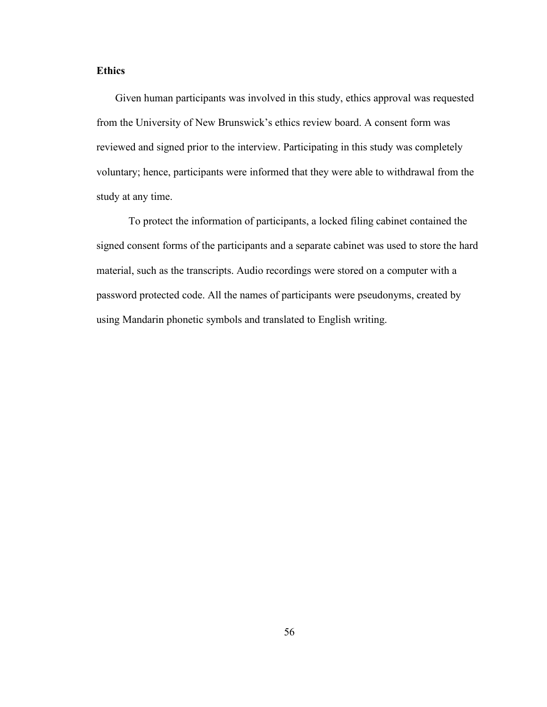# **Ethics**

Given human participants was involved in this study, ethics approval was requested from the University of New Brunswick's ethics review board. A consent form was reviewed and signed prior to the interview. Participating in this study was completely voluntary; hence, participants were informed that they were able to withdrawal from the study at any time.

To protect the information of participants, a locked filing cabinet contained the signed consent forms of the participants and a separate cabinet was used to store the hard material, such as the transcripts. Audio recordings were stored on a computer with a password protected code. All the names of participants were pseudonyms, created by using Mandarin phonetic symbols and translated to English writing.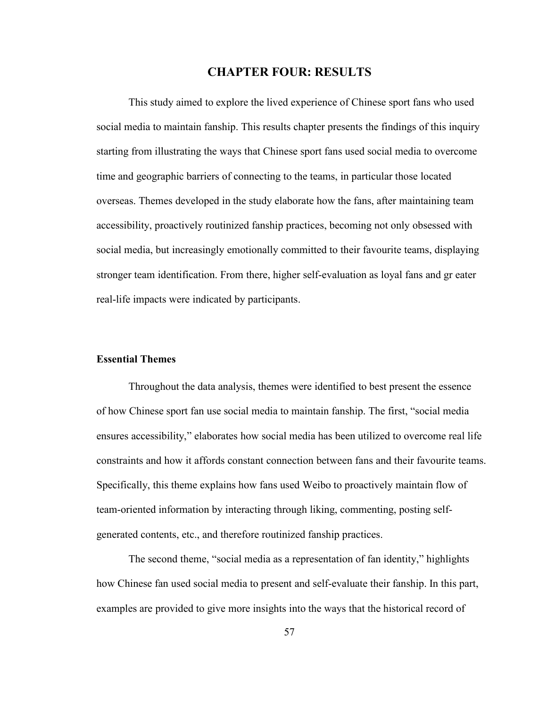# **CHAPTER FOUR: RESULTS**

This study aimed to explore the lived experience of Chinese sport fans who used social media to maintain fanship. This results chapter presents the findings of this inquiry starting from illustrating the ways that Chinese sport fans used social media to overcome time and geographic barriers of connecting to the teams, in particular those located overseas. Themes developed in the study elaborate how the fans, after maintaining team accessibility, proactively routinized fanship practices, becoming not only obsessed with social media, but increasingly emotionally committed to their favourite teams, displaying stronger team identification. From there, higher self-evaluation as loyal fans and gr eater real-life impacts were indicated by participants.

## **Essential Themes**

Throughout the data analysis, themes were identified to best present the essence of how Chinese sport fan use socialmedia to maintain fanship. The first, "social media ensures accessibility," elaborates how social media has been utilized to overcome real life constraints and how it affords constant connection between fans and their favourite teams. Specifically, this theme explains how fans used Weibo to proactively maintain flow of team-oriented information by interacting through liking, commenting, posting self generated contents, etc., and therefore routinized fanship practices.

The second theme, "social media as a representation of fan identity," highlights how Chinese fan used social media to present and self-evaluate their fanship. In this part, examples are provided to give more insights into the ways that the historical record of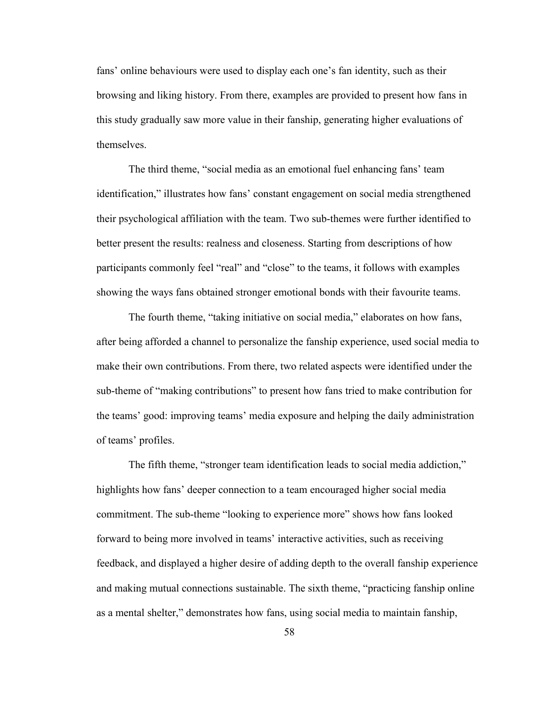fans' online behaviours were used to display each one's fan identity, such as their browsing and liking history. From there, examples are provided to present how fans in this study gradually saw more value in their fanship, generating higher evaluations of themselves.

The third theme, "social media as an emotional fuel enhancing fans' team identification," illustrates how fans' constant engagement on social media strengthened their psychological affiliation with the team. Two sub-themes were further identified to better present the results: realness and closeness. Starting from descriptions of how participants commonly feel "real" and "close" to the teams, it follows with examples showing the ways fans obtained stronger emotional bonds with their favourite teams.

The fourth theme, "taking initiative on social media," elaborates on how fans, after being afforded a channel to personalize the fanship experience, used social media to make their own contributions. From there, two related aspects were identified under the sub-theme of "making contributions" to present how fans tried to make contribution for the teams' good: improving teams' media exposure and helping the daily administration of teams' profiles.

The fifth theme, "stronger team identification leads to social media addiction," highlights how fans' deeper connection to a team encouraged higher social media commitment. The sub-theme "looking to experience more" shows how fans looked forward to being more involved in teams' interactive activities, such as receiving feedback, and displayed a higher desire of adding depth to the overall fanship experience and making mutual connections sustainable. The sixth theme, "practicing fanship online as a mental shelter," demonstrates how fans, using social media to maintain fanship,

58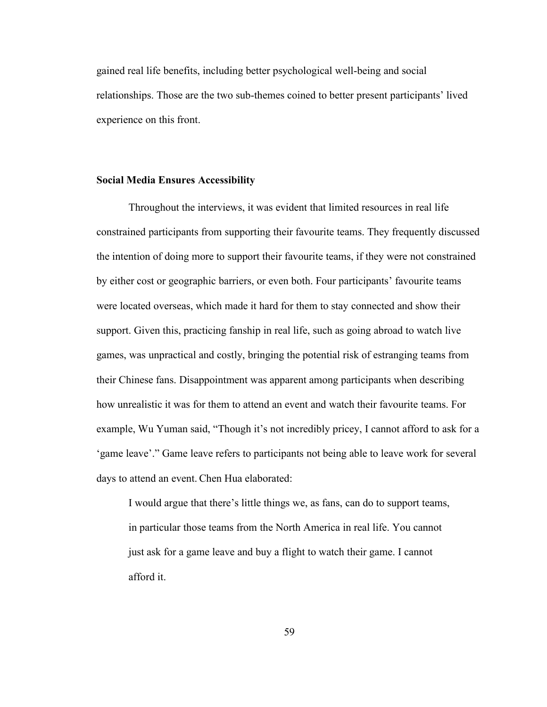gained real life benefits, including better psychological well-being and social relationships. Those are the two sub-themes coined to better present participants' lived experience on this front.

### **Social Media Ensures Accessibility**

Throughout the interviews, it was evident that limited resources in real life constrained participants from supporting their favourite teams. They frequently discussed the intention of doing more to support their favourite teams, if they were not constrained by either cost or geographic barriers, or even both. Four participants' favourite teams were located overseas, which made it hard for them to stay connected and show their support. Given this, practicing fanship in real life, such as going abroad to watch live games, was unpractical and costly, bringing the potential risk of estranging teams from their Chinese fans. Disappointment was apparent among participants when describing how unrealistic it was for them to attend an event and watch their favourite teams. For example, Wu Yuman said, "Though it's not incredibly pricey, I cannot afford to ask for a 'game leave'." Game leave refers to participants not being able to leave work for several days to attend an event. Chen Hua elaborated:

I would argue that there's little things we, as fans, can do to support teams, in particular those teams from the North America in real life. You cannot just ask for a game leave and buy a flight to watch their game. I cannot afford it.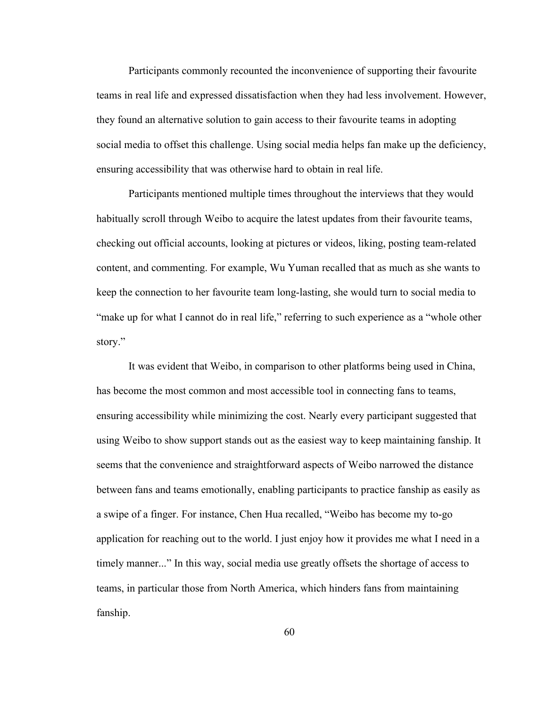Participants commonly recounted the inconvenience of supporting their favourite teams in real life and expressed dissatisfaction when they had less involvement. However, they found an alternative solution to gain access to their favourite teams in adopting social media to offset this challenge. Using social media helps fan make up the deficiency, ensuring accessibility that was otherwise hard to obtain in real life.

Participants mentioned multiple times throughout the interviews that they would habitually scroll through Weibo to acquire the latest updates from their favourite teams, checking out official accounts, looking at pictures or videos, liking, posting team-related content, and commenting. For example, Wu Yuman recalled that as much as she wants to keep the connection to her favourite team long-lasting, she would turn to social media to "make up for what I cannot do in real life," referring to such experience as a "whole other story."

It was evident that Weibo, in comparison to other platforms being used in China, has become the most common and most accessible tool in connecting fans to teams, ensuring accessibility while minimizing the cost. Nearly every participant suggested that using Weibo to show support stands out as the easiest way to keep maintaining fanship. It seems that the convenience and straightforward aspects of Weibo narrowed the distance between fans and teams emotionally, enabling participants to practice fanship as easily as a swipe of a finger. For instance, Chen Hua recalled, "Weibo has become my to-go application for reaching out to the world. I just enjoy how it provides me what I need in a timely manner..." In this way, social media use greatly offsets the shortage of access to teams, in particular those from North America, which hinders fans from maintaining fanship.

60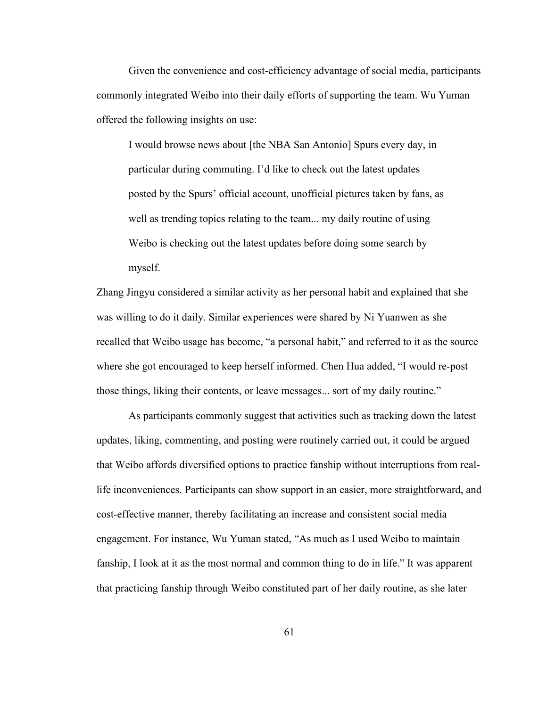Given the convenience and cost-efficiency advantage of social media, participants commonly integrated Weibo into their daily efforts of supporting the team. Wu Yuman offered the following insights on use:

I would browse news about [the NBA San Antonio] Spurs every day, in particular during commuting. I'd like to check out the latest updates posted by the Spurs' official account, unofficial pictures taken by fans, as well as trending topics relating to the team... my daily routine of using Weibo is checking out the latest updates before doing some search by myself.

Zhang Jingyu considered a similar activity as her personal habit and explained that she was willing to do it daily. Similar experiences were shared by Ni Yuanwen as she recalled that Weibo usage has become, "a personal habit," and referred to it as the source where she got encouraged to keep herself informed. Chen Hua added, "I would re-post those things, liking their contents, or leave messages... sort of my daily routine."

As participants commonly suggest that activities such as tracking down the latest updates, liking, commenting, and posting were routinely carried out, it could be argued that Weibo affords diversified options to practice fanship without interruptions from reallife inconveniences. Participants can show support in an easier, more straightforward, and cost-effective manner, thereby facilitating an increase and consistent social media engagement. For instance, Wu Yuman stated, "As much as I used Weibo to maintain fanship, I look at it as the most normal and common thing to do in life." It was apparent that practicing fanship through Weibo constituted part of her daily routine, as she later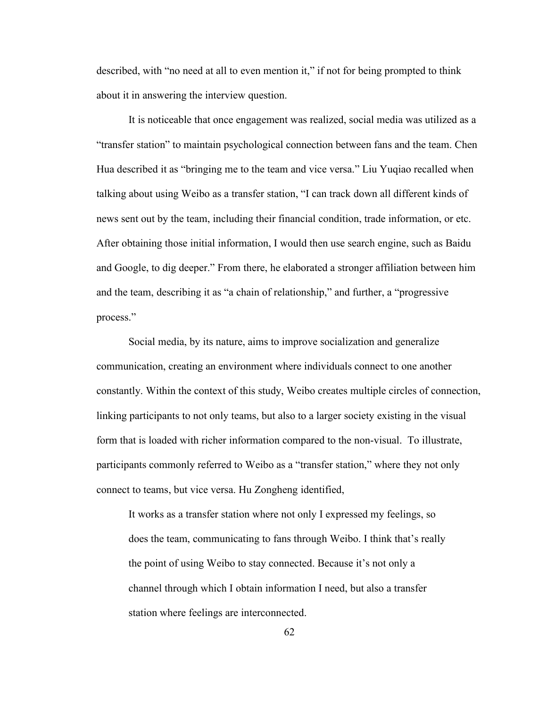described, with "no need at all to even mention it," if not for being prompted to think about it in answering the interview question.

It is noticeable that once engagement was realized, social media was utilized as a "transfer station" to maintain psychological connection between fans and the team. Chen Hua described it as "bringing me to the team and vice versa." Liu Yuqiao recalled when talking about using Weibo as a transfer station, "I can track down all different kinds of news sent out by the team, including their financial condition, trade information, or etc. After obtaining those initial information, I would then use search engine, such as Baidu and Google, to dig deeper." From there, he elaborated a stronger affiliation between him and the team, describing it as "a chain of relationship," and further, a "progressive process."<br>Social media, by its nature, aims to improve socialization and generalize

communication, creating an environment where individuals connect to one another constantly. Within the context of this study, Weibo creates multiple circles of connection, linking participants to not only teams, but also to a larger society existing in the visual form that is loaded with richer information compared to the non-visual. To illustrate, participants commonly referred to Weibo as a "transfer station," where they not only connect to teams, but vice versa. Hu Zongheng identified,

It works as a transfer station where not only I expressed my feelings, so does the team, communicating to fans through Weibo. I think that's really the point of using Weibo to stay connected. Because it's not only a channel through which I obtain information I need, but also a transfer station where feelings are interconnected.

62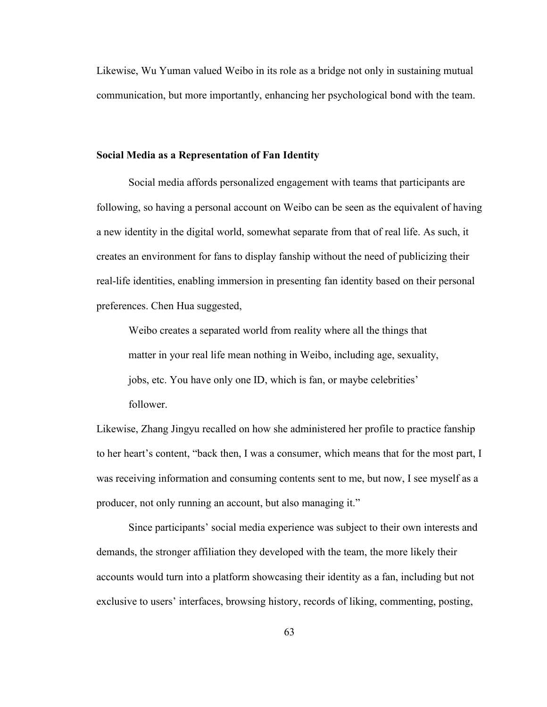Likewise, Wu Yuman valued Weibo in its role as a bridge not only in sustaining mutual communication, but more importantly, enhancing her psychological bond with the team.

#### **Social Media as a Representation of Fan Identity**

Social media affords personalized engagement with teams that participants are following, so having a personal account on Weibo can be seen as the equivalent of having a new identity in the digital world, somewhat separate from that of real life. As such, it creates an environment for fans to display fanship without the need of publicizing their real-life identities, enabling immersion in presenting fan identity based on their personal preferences. Chen Hua suggested,

Weibo creates a separated world from reality where all the things that matter in your real life mean nothing in Weibo, including age, sexuality, jobs, etc. You have only one ID, which is fan, or maybe celebrities' follower.

Likewise, Zhang Jingyu recalled on how she administered her profile to practice fanship to her heart's content, "back then, I was a consumer, which means that for the most part, I was receiving information and consuming contents sent to me, but now, I see myself as a producer, not only running an account, but also managing it."

Since participants' social media experience was subject to their own interests and demands, the stronger affiliation they developed with the team, the more likely their accounts would turn into a platform showcasing their identity as a fan, including but not exclusive to users' interfaces, browsing history, records of liking, commenting, posting,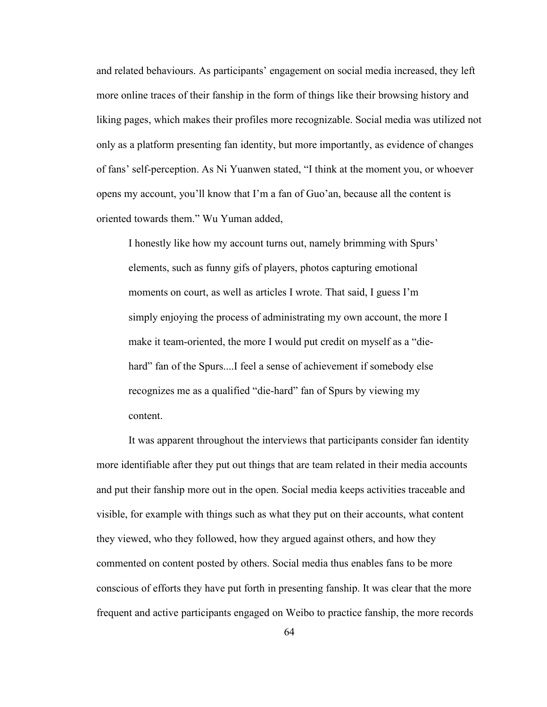and related behaviours. As participants' engagement on social media increased, they left more online traces of their fanship in the form of things like their browsing history and liking pages, which makes their profiles more recognizable. Social media was utilized not only as a platform presenting fan identity, but more importantly, as evidence of changes of fans' self-perception. As Ni Yuanwen stated, "I think at the moment you, or whoever opens my account, you'll know that I'm a fan of Guo'an, because all the contentis oriented towards them." Wu Yuman added,

I honestly like how my account turns out, namely brimming with Spurs' elements, such as funny gifs of players, photos capturing emotional moments on court, as well as articles I wrote. That said, I guess I'm simply enjoying the process of administrating my own account, the more I make it team-oriented, the more I would put credit on myself as a "die hard" fan of the Spurs....I feel a sense of achievement if somebody else recognizes me as a qualified "die-hard" fan of Spurs by viewing my content.

It was apparent throughout the interviews that participants consider fan identity more identifiable after they put out things that are team related in their media accounts and put their fanship more out in the open. Social media keeps activities traceable and visible, for example with things such as what they put on their accounts, what content they viewed, who they followed, how they argued against others, and how they commented on content posted by others. Social media thus enables fans to be more conscious of efforts they have put forth in presenting fanship. It was clear that the more frequent and active participants engaged on Weibo to practice fanship, the more records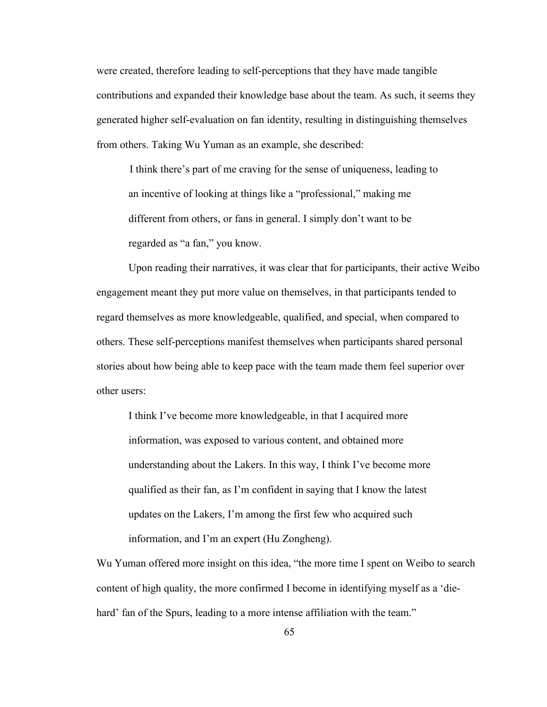were created, therefore leading to self-perceptions that they have made tangible contributions and expanded their knowledge base about the team. As such, it seems they generated higher self-evaluation on fan identity, resulting in distinguishing themselves from others. Taking Wu Yuman as an example, she described:

I think there's part of me craving for the sense of uniqueness, leading to an incentive of looking at things like a "professional," making me different from others, or fans in general. I simply don't want to be regarded as "a fan," you know.

Upon reading their narratives, it was clear that for participants, their active Weibo engagement meant they put more value on themselves, in that participants tended to regard themselves as more knowledgeable, qualified, and special, when compared to others. These self-perceptions manifest themselves when participants shared personal stories about how being able to keep pace with the team made them feel superior over other users:

I think I've become more knowledgeable, in that I acquired more information, was exposed to various content, and obtained more understanding about the Lakers. In this way, I think I've become more qualified as their fan, as I'm confident in saying that I know the latest updates on the Lakers, I'm among the first few who acquired such information, and I'm an expert (Hu Zongheng).

Wu Yuman offered more insight on this idea, "the more time I spent on Weibo to search content of high quality, the more confirmed <sup>I</sup> become in identifying myself as <sup>a</sup> 'die-hard' fan of the Spurs, leading to <sup>a</sup> more intense affiliation with the team."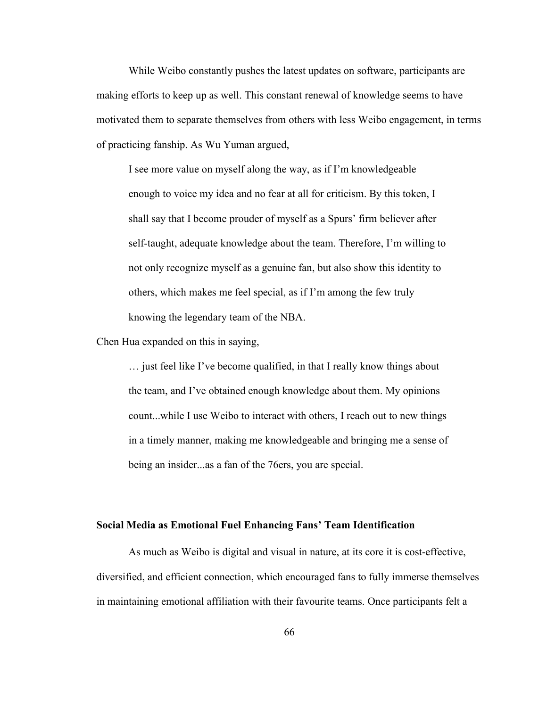While Weibo constantly pushes the latest updates on software, participants are making efforts to keep up as well. This constant renewal of knowledge seems to have motivated them to separate themselves from others with less Weibo engagement, in terms of practicing fanship. As Wu Yuman argued,

I see more value on myself along the way, as if I'm knowledgeable enough to voice my idea and no fear at all for criticism. By this token, I shall say that I become prouder of myself as a Spurs' firm believer after self-taught, adequate knowledge about the team. Therefore, I'm willing to not only recognize myself as a genuine fan, but also show this identity to others, which makes me feel special, as if I'm among the few truly knowing the legendary team of the NBA.

Chen Hua expanded on this in saying,

… just feel like I've become qualified, in that I really know things about the team, and I've obtained enough knowledge about them. My opinions count...while I use Weibo to interact with others, I reach out to new things in a timely manner, making me knowledgeable and bringing me a sense of being an insider...as a fan of the 76ers, you are special.

## **Social Media as Emotional Fuel Enhancing Fans' Team Identification**

As much as Weibo is digital and visual in nature, at its core it is cost-effective, diversified, and efficient connection, which encouraged fans to fully immerse themselves in maintaining emotional affiliation with their favourite teams. Once participants felt a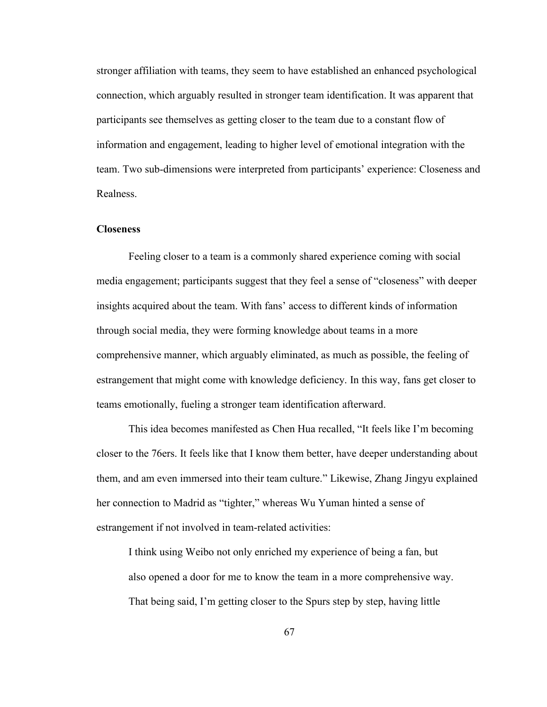stronger affiliation with teams, they seem to have established an enhanced psychological connection, which arguably resulted in stronger team identification. It was apparent that participants see themselves as getting closer to the team due to a constant flow of information and engagement, leading to higher level of emotional integration with the team. Two sub-dimensions were interpreted from participants' experience: Closeness and Realness.

### **Closeness**

Feeling closer to a team is a commonly shared experience coming with social media engagement; participants suggest that they feel a sense of "closeness" with deeper insights acquired about the team. With fans' access to different kinds of information through social media, they were forming knowledge about teams in a more comprehensive manner, which arguably eliminated, as much as possible, the feeling of estrangement that might come with knowledge deficiency. In this way, fans get closer to teams emotionally, fueling a stronger team identification afterward.

This idea becomes manifested as Chen Hua recalled,"It feels like I'm becoming closer to the 76ers. It feels like that I know them better, have deeper understanding about them, and am even immersed into their team culture." Likewise, Zhang Jingyu explained her connection to Madrid as "tighter," whereas Wu Yuman hinted a sense of estrangement if not involved in team-related activities:

I think using Weibo not only enriched my experience of being a fan, but also opened a door for me to know the team in a more comprehensive way. That being said, I'm getting closer to the Spurs step by step, having little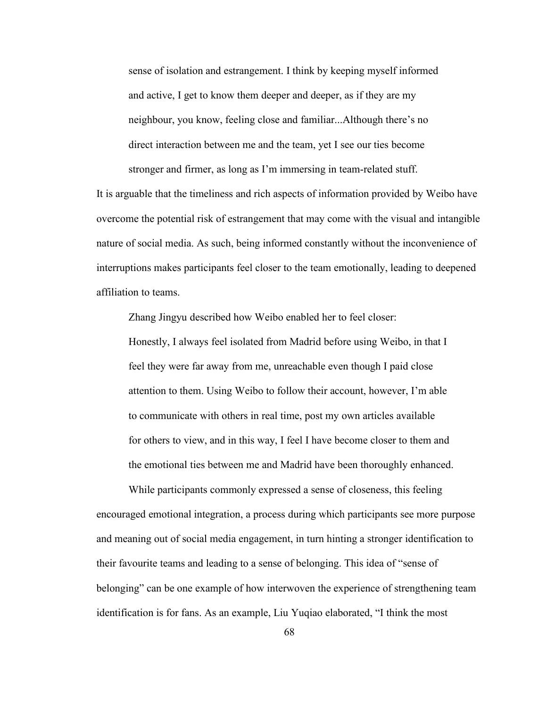sense of isolation and estrangement. I think by keeping myself informed and active, I get to know them deeper and deeper, as if they are my neighbour, you know, feeling close and familiar...Although there's no direct interaction between me and the team, yet I see our ties become stronger and firmer, as long as I'm immersing in team-related stuff.

It is arguable that the timeliness and rich aspects of information provided by Weibo have overcome the potential risk of estrangement that may come with the visual and intangible nature of social media. As such, being informed constantly without the inconvenience of interruptions makes participants feel closer to the team emotionally, leading to deepened affiliation to teams.

Zhang Jingyu described how Weibo enabled her to feel closer:

Honestly, I always feel isolated from Madrid before using Weibo, in that I feel they were far away from me, unreachable even though I paid close attention to them. Using Weibo to follow their account, however, I'm able to communicate with others in real time, post my own articles available for others to view, and in this way, I feel I have become closer to them and the emotional ties between me and Madrid have been thoroughly enhanced.

While participants commonly expressed a sense of closeness, this feeling encouraged emotionalintegration, a process during which participants see more purpose and meaning out of social media engagement, in turn hinting a stronger identification to their favourite teams and leading to a sense of belonging. This idea of "sense of belonging" can be one example of how interwoven the experience of strengthening team identification is for fans. As an example, Liu Yuqiao elaborated, "I think the most

68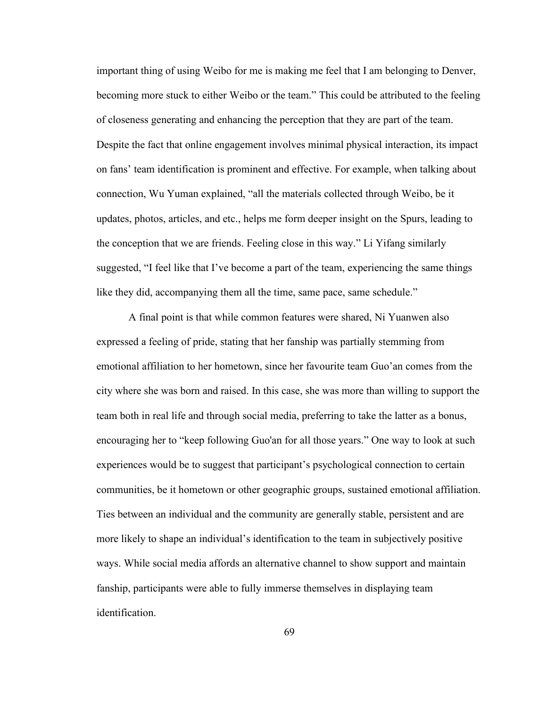important thing of using Weibo for me is making me feel that I am belonging to Denver, becoming more stuck to either Weibo or the team." This could be attributed to the feeling of closeness generating and enhancing the perception that they are part of the team. Despite the fact that online engagement involves minimal physical interaction, its impact on fans' team identification is prominent and effective. For example, when talking about connection, Wu Yuman explained, "all the materials collected through Weibo, be it updates, photos, articles, and etc., helps me form deeper insight on the Spurs, leading to the conception that we are friends. Feeling close in this way." Li Yifang similarly suggested, "I feel like that I've become a part of the team, experiencing the same things like they did, accompanying them all the time, same pace, same schedule."

A final point is that while common features were shared, Ni Yuanwen also expressed a feeling of pride, stating that her fanship was partially stemming from emotional affiliation to her hometown, since her favourite team Guo'an comes from the city where she was born and raised. In this case, she was more than willing to supportthe team both in real life and through social media, preferring to take the latter as a bonus, encouraging her to "keep following Guo'an for all those years." One way to look at such experiences would be to suggest that participant's psychological connection to certain communities, be it hometown or other geographic groups, sustained emotional affiliation. Ties between an individual and the community are generally stable, persistent and are more likely to shape an individual's identification to the team in subjectively positive ways. While social media affords an alternative channel to show support and maintain fanship, participants were able to fully immerse themselves in displaying team identification.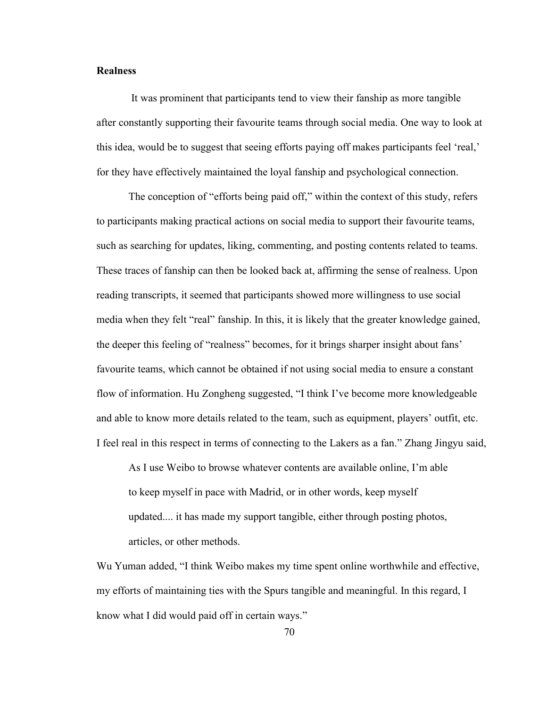# **Realness**

It was prominent that participants tend to view their fanship as more tangible after constantly supporting their favourite teams through social media. One way to look at this idea, would be to suggest that seeing efforts paying off makes participants feel 'real,' for they have effectively maintained the loyal fanship and psychological connection.

The conception of "efforts being paid off," within the context of this study, refers to participants making practical actions on social media to support their favourite teams, such as searching for updates, liking, commenting, and posting contents related to teams. These traces of fanship can then be looked back at, affirming the sense of realness. Upon reading transcripts, it seemed that participants showed more willingness to use social media when they felt "real" fanship. In this, it is likely that the greater knowledge gained, the deeper this feeling of "realness" becomes, for it brings sharper insight about fans' favourite teams, which cannot be obtained if not using social media to ensure a constant flow of information. Hu Zongheng suggested, "I think I've become more knowledgeable and able to know more details related to the team, such as equipment, players' outfit, etc. I feel real in this respect in terms of connecting to the Lakers as a fan." Zhang Jingyu said,

As I use Weibo to browse whatever contents are available online, I'm able to keep myself in pace with Madrid, or in other words, keep myself updated.... it has made my support tangible, either through posting photos, articles, or other methods.

Wu Yuman added, "I think Weibo makes my time spent online worthwhile and effective, my efforts of maintaining ties with the Spurs tangible and meaningful. In this regard, I know what I did would paid off in certain ways."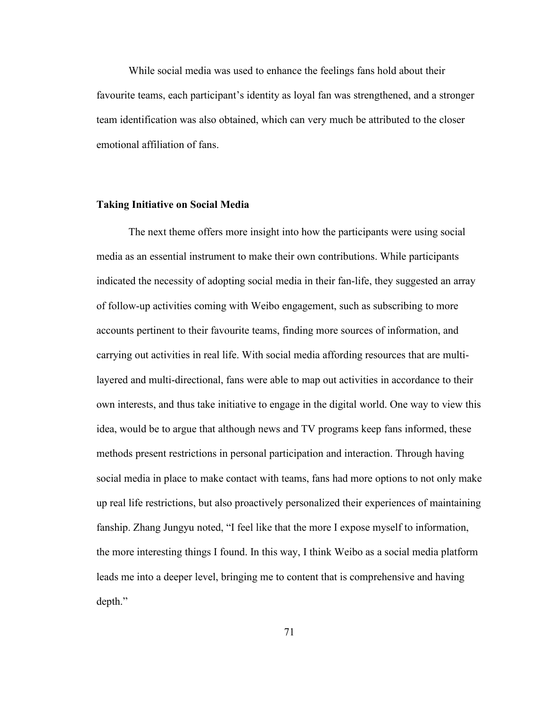While social media was used to enhance the feelings fans hold about their favourite teams, each participant's identity as loyal fan was strengthened, and a stronger team identification was also obtained, which can very much be attributed to the closer emotional affiliation of fans.

#### **Taking Initiative on Social Media**

The next theme offers more insight into how the participantswere using social media as an essential instrument to make their own contributions. While participants indicated the necessity of adopting social media in their fan-life, they suggested an array of follow-up activities coming with Weibo engagement, such as subscribing to more accounts pertinent to their favourite teams, finding more sources of information, and carrying out activities in real life. With social media affording resources that are multilayered and multi-directional, fans were able to map out activities in accordance to their own interests, and thus take initiative to engage in the digital world. One way to view this idea, would be to argue that although news and TV programs keep fans informed, these methods present restrictions in personal participation and interaction.Through having social media in place to make contact with teams, fans had more options to not only make up real life restrictions, but also proactively personalized their experiences of maintaining fanship. Zhang Jungyu noted, "I feel like that the more I expose myself to information, the more interesting things I found. In this way, I think Weibo as a social media platform leads me into a deeper level, bringing me to content that is comprehensive and having depth."

71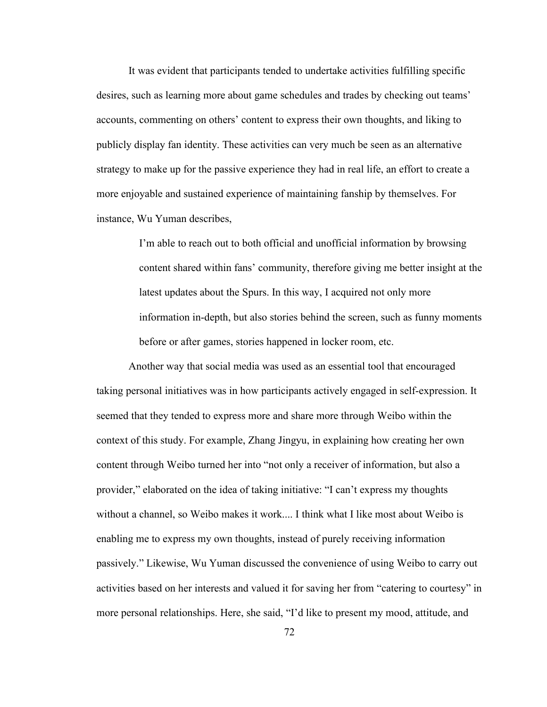It was evident that participants tended to undertake activities fulfilling specific desires, such as learning more about game schedules and trades by checking out teams' accounts, commenting on others' content to express their own thoughts, and liking to publicly display fan identity. These activities can very much be seen as an alternative strategy to make up for the passive experience they had in real life, an effort to create a more enjoyable and sustained experience of maintaining fanship by themselves. For instance, Wu Yuman describes,

> I'm able to reach out to both official and unofficial information by browsing content shared within fans' community, therefore giving me better insight at the latest updates about the Spurs. In this way, I acquired not only more information in-depth, but also stories behind the screen, such as funny moments before or after games, stories happened in locker room, etc.

Another way that social media was used as an essential tool that encouraged taking personal initiatives was in how participants actively engaged in self-expression. It seemed that they tended to express more and share more through Weibo within the context of this study. For example, Zhang Jingyu, in explaining how creating her own content through Weibo turned her into "not only a receiver of information, but also a provider," elaborated on the idea of taking initiative: "I can't express my thoughts without a channel, so Weibo makes it work.... I think what I like most about Weibo is enabling me to express my own thoughts, instead of purely receiving information passively." Likewise, Wu Yuman discussed the convenience of using Weibo to carry out activities based on her interests and valued it for saving her from "catering to courtesy" in more personal relationships. Here, she said, "I'd like to present my mood, attitude, and

72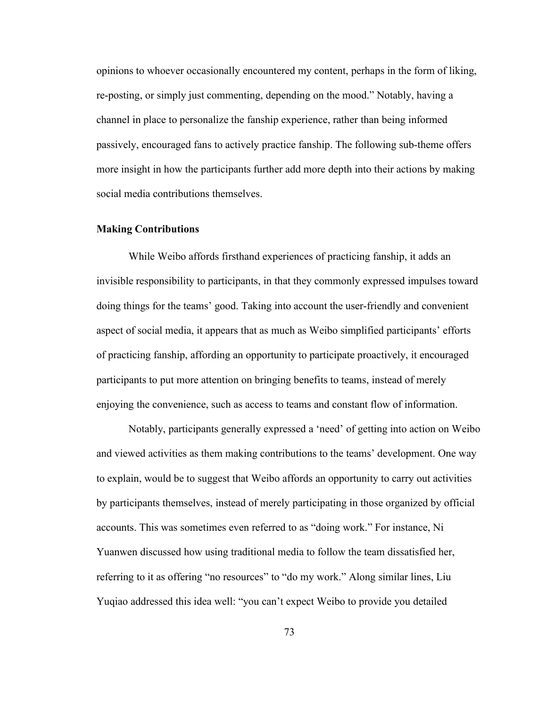opinions to whoever occasionally encountered my content, perhaps in the form of liking, re-posting, or simply just commenting, depending on the mood." Notably, having a channel in place to personalize the fanship experience, rather than being informed passively, encouraged fans to actively practice fanship. The following sub-theme offers more insight in how the participants further add more depth into their actions by making social media contributions themselves.

#### **Making Contributions**

While Weibo affords firsthand experiences of practicing fanship, it adds an invisible responsibility to participants, in that they commonly expressed impulses toward doing things for the teams' good. Taking into account the user-friendly and convenient aspect of social media, it appears that as much as Weibo simplified participants' efforts of practicing fanship, affording an opportunity to participate proactively, it encouraged participants to put more attention on bringing benefits to teams, instead of merely enjoying the convenience, such as access to teams and constant flow of information.

Notably, participants generally expressed a 'need' of getting into action on Weibo and viewed activities as them making contributions to the teams' development. One way to explain, would be to suggest that Weibo affords an opportunity to carry out activities by participants themselves, instead of merely participating in those organized by official accounts. This was sometimes even referred to as"doing work." For instance, Ni Yuanwen discussed how using traditional media to follow the team dissatisfied her, referring to it as offering "no resources" to "do my work." Along similar lines, Liu Yuqiao addressed this idea well: "you can't expect Weibo to provide you detailed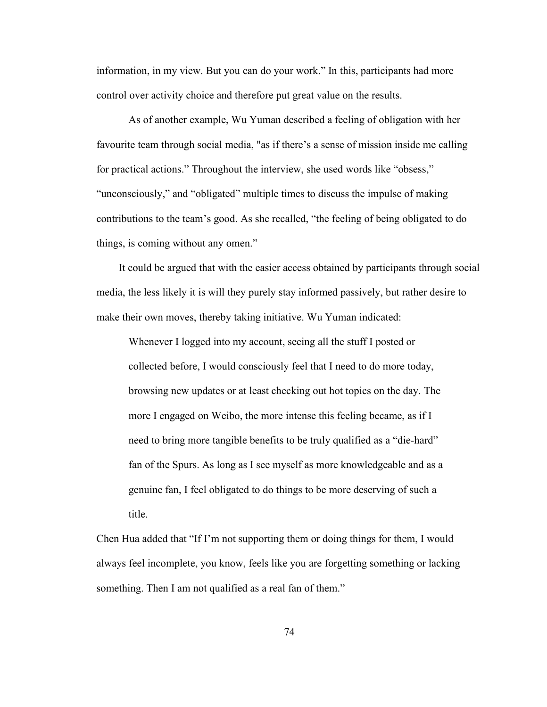information, in my view. But you can do your work." In this, participants had more control over activity choice and therefore put great value on the results.

As of another example, Wu Yuman described a feeling of obligation with her favourite team through social media, "as if there's a sense of mission inside me calling for practical actions." Throughout the interview, she used words like "obsess," "unconsciously," and "obligated" multiple times to discuss the impulse of making contributions to the team's good. As she recalled, "the feeling of being obligated to do things, is coming without any omen."

It could be argued that with the easier access obtained by participants through social media, the less likely it is will they purely stay informed passively, but rather desire to make their own moves, thereby taking initiative. Wu Yuman indicated:

Whenever I logged into my account, seeing all the stuff I posted or collected before, I would consciously feel that I need to do more today, browsing new updates or at least checking out hot topics on the day. The more I engaged on Weibo, the more intense this feeling became, as if I need to bring more tangible benefits to be truly qualified as a "die-hard" fan of the Spurs. As long as I see myself as more knowledgeable and as a genuine fan, I feel obligated to do things to be more deserving of such a title.

Chen Hua added that "If I'm not supporting them or doing things for them, I would always feel incomplete, you know, feels like you are forgetting something or lacking something. Then I am not qualified as a real fan of them."

74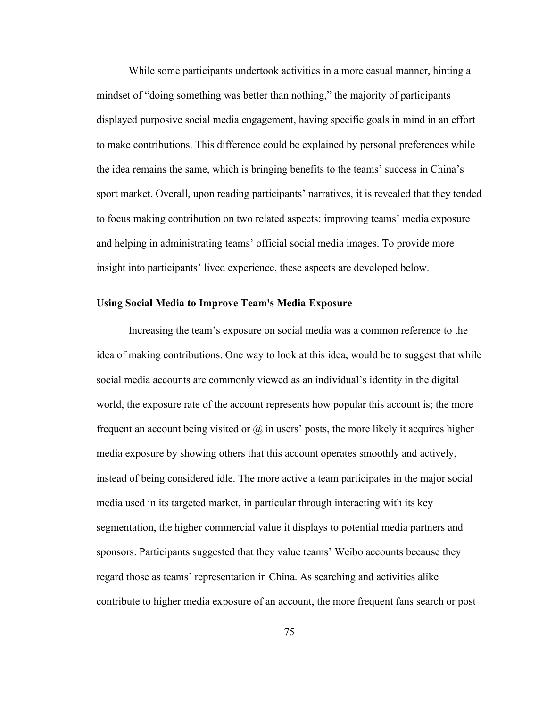While some participants undertook activities in a more casual manner, hinting a mindset of "doing something was better than nothing," the majority of participants displayed purposive social media engagement, having specific goals in mind in an effort to make contributions. This difference could be explained by personal preferences while the idea remains the same, which is bringing benefits to the teams' success in China's sport market. Overall, upon reading participants' narratives, it is revealed that they tended to focus making contribution on two related aspects: improving teams' media exposure and helping in administrating teams' official social media images. To provide more insight into participants' lived experience, these aspects are developed below.

#### **Using Social Media to Improve Team's Media Exposure**

Increasing the team's exposure on social media was a common reference to the idea of making contributions. One way to look at this idea, would be to suggest that while social media accounts are commonly viewed as an individual's identity in the digital world, the exposure rate of the account represents how popular this account is; the more frequent an account being visited or  $\omega$  in users' posts, the more likely it acquires higher media exposure by showing others that this account operates smoothly and actively, instead of being considered idle. The more active a team participates in the major social media used in its targeted market, in particular through interacting with its key segmentation, the higher commercial value it displays to potential media partners and sponsors. Participants suggested that they value teams' Weibo accounts because they regard those as teams' representation in China. As searching and activities alike contribute to higher media exposure of an account, the more frequent fans search or post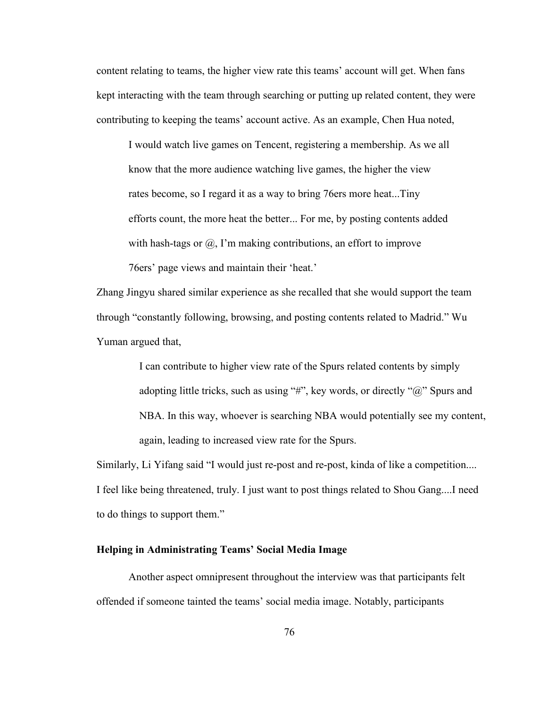content relating to teams, the higher view rate this teams' account will get. When fans kept interacting with the team through searching or putting up related content, they were contributing to keeping the teams' account active. As an example, Chen Hua noted,

I would watch live games on Tencent, registering a membership. As we all know that the more audience watching live games, the higher the view rates become, so I regard it as a way to bring 76ers more heat...Tiny efforts count, the more heat the better... For me, by posting contents added with hash-tags or  $(\hat{\omega})$ , I'm making contributions, an effort to improve 76ers' page views and maintain their 'heat.'

Zhang Jingyu shared similar experience as she recalled that she would support the team through "constantly following, browsing, and posting contents related to Madrid." Wu Yuman argued that,

> I can contribute to higher view rate of the Spurs related contents by simply adopting little tricks, such as using "#", key words, or directly " $\omega$ " Spurs and NBA. In this way, whoever is searching NBA would potentially see my content, again, leading to increased view rate for the Spurs.

Similarly, Li Yifang said "I would just re-post and re-post, kinda of like a competition.... I feel like being threatened, truly. I just want to post things related to Shou Gang....I need to do things to support them."

# **Helping in Administrating Teams' Social Media Image**

Another aspect omnipresent throughout the interview was that participants felt offended if someone tainted the teams' social media image. Notably, participants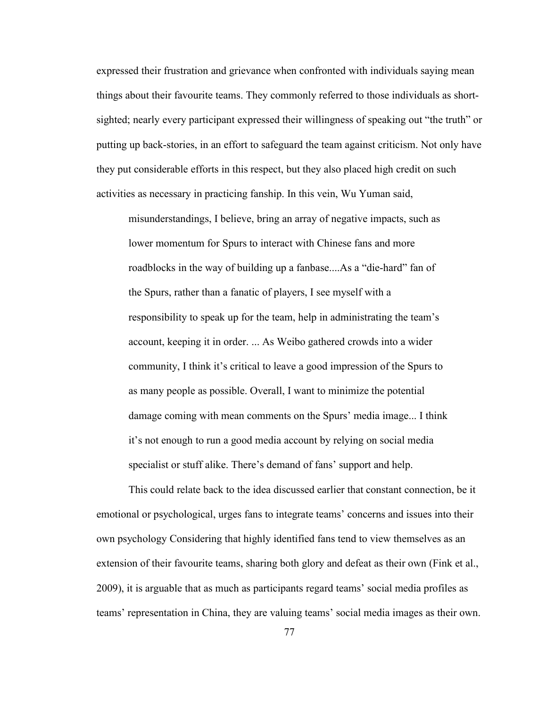expressed their frustration and grievance when confronted with individuals saying mean things about their favourite teams. They commonly referred to those individuals as short sighted; nearly every participant expressed their willingness of speaking out "the truth" or putting up back-stories, in an effort to safeguard the team against criticism. Not only have they put considerable efforts in this respect, but they also placed high credit on such activities as necessary in practicing fanship. In this vein, Wu Yuman said,

misunderstandings, I believe, bring an array of negative impacts, such as lower momentum for Spurs to interact with Chinese fans and more roadblocks in the way of building up a fanbase....As a "die-hard" fan of the Spurs, rather than a fanatic of players, I see myself with a responsibility to speak up for the team, help in administrating the team's account, keeping it in order. ... As Weibo gathered crowds into a wider community, I think it's critical to leave a good impression of the Spurs to as many people as possible. Overall, I want to minimize the potential damage coming with mean comments on the Spurs' media image... I think it's not enough to run a good media account by relying on social media specialist or stuff alike. There's demand of fans' support and help.

This could relate back to the idea discussed earlier that constant connection, be it emotional or psychological, urges fans to integrate teams' concerns and issues into their own psychology Considering that highly identified fans tend to view themselves as an extension of their favourite teams, sharing both glory and defeat as their own (Fink et al., 2009), it is arguable that as much as participants regard teams' social media profiles as teams' representation in China, they are valuing teams' social media images as their own.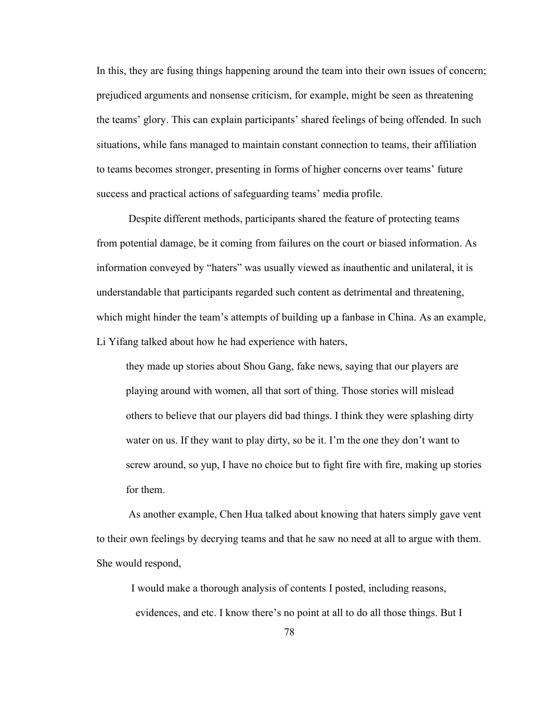In this, they are fusing things happening around the team into their own issues of concern; prejudiced arguments and nonsense criticism, for example, might be seen as threatening the teams' glory. This can explain participants' shared feelings of being offended. In such situations, while fans managed to maintain constant connection to teams, their affiliation to teams becomes stronger, presenting in forms of higher concerns over teams' future success and practical actions of safeguarding teams' media profile.

Despite different methods, participants shared the feature of protecting teams from potential damage, be it coming from failures on the court or biased information. As information conveyed by "haters" was usually viewed as inauthentic and unilateral, it is understandable that participants regarded such content as detrimental and threatening, which might hinder the team's attempts of building up a fanbase in China. As an example, Li Yifang talked about how he had experience with haters,

they made up stories about Shou Gang, fake news, saying that our players are playing around with women, all that sort of thing. Those stories will mislead others to believe that our players did bad things. I think they were splashing dirty water on us. If they want to play dirty, so be it. I'm the one they don't want to screw around, so yup, I have no choice but to fight fire with fire, making up stories for them.

As another example, Chen Hua talked about knowing that haters simply gave vent to their own feelings by decrying teams and that he saw no need at all to argue with them. She would respond,

I would make a thorough analysis of contents I posted, including reasons, evidences, and etc. I know there's no point at all to do all those things. But I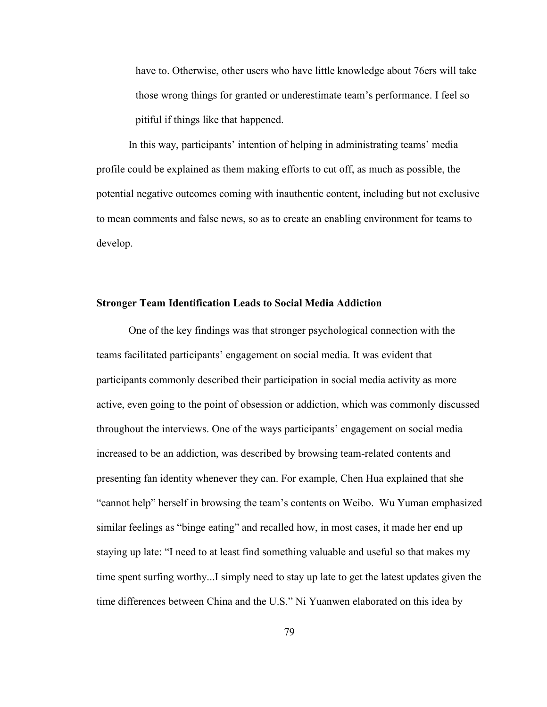have to. Otherwise, other users who have little knowledge about 76ers will take those wrong things for granted or underestimate team's performance. I feel so pitiful if things like that happened.

In this way, participants' intention of helping in administrating teams' media profile could be explained as them making efforts to cut off, as much as possible, the potential negative outcomes coming with inauthentic content, including but not exclusive to mean comments and false news, so as to create an enabling environment for teams to develop.

#### **Stronger Team Identification Leads to Social Media Addiction**

One of the key findings was that stronger psychological connection with the teams facilitated participants' engagement on social media. It was evident that participants commonly described their participation in social media activity as more active, even going to the point of obsession or addiction, which was commonly discussed throughout the interviews. One of the ways participants' engagement on social media increased to be an addiction, was described by browsing team-related contents and presenting fan identity whenever they can. For example, Chen Hua explained that she "cannot help" herself in browsing the team's contents on Weibo. Wu Yuman emphasized similar feelings as "binge eating" and recalled how, in most cases, it made her end up staying up late: "I need to at least find something valuable and useful so that makes my time spent surfing worthy...I simply need to stay up late to get the latest updates given the time differences between China and the U.S." Ni Yuanwen elaborated on this idea by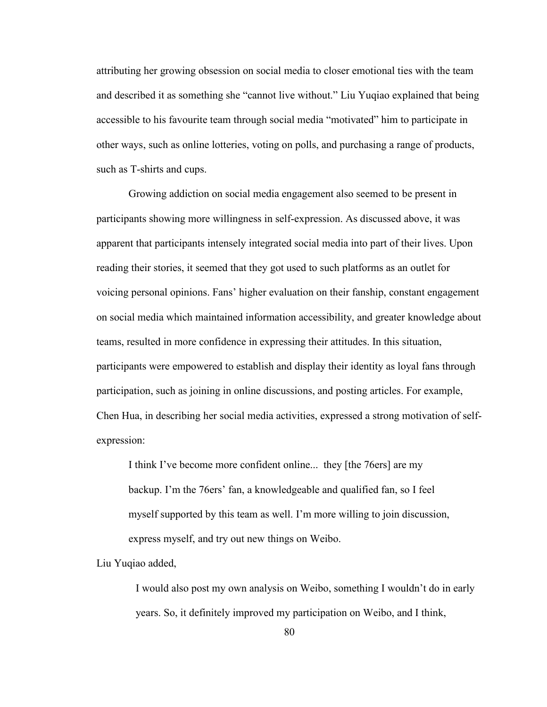attributing her growing obsession on social media to closer emotional ties with the team and described it as something she "cannot live without." Liu Yuqiao explained that being accessible to his favourite team through social media "motivated" him to participate in other ways, such as online lotteries, voting on polls, and purchasing a range of products, such as T-shirts and cups.

Growing addiction on social media engagement also seemed to be present in participants showing more willingness in self-expression. As discussed above, it was apparent that participants intensely integrated social media into part of their lives. Upon reading their stories, it seemed that they got used to such platforms as an outlet for voicing personal opinions. Fans' higher evaluation on their fanship, constant engagement on social media which maintained information accessibility, and greater knowledge about teams, resulted in more confidence in expressing their attitudes. In this situation, participants were empowered to establish and display their identity as loyal fans through participation, such as joining in online discussions, and posting articles. For example, Chen Hua, in describing her social media activities, expressed a strong motivation of self expression:

I think I've become more confident online... they [the 76ers] are my backup. I'm the 76ers' fan, a knowledgeable and qualified fan, so I feel myself supported by this team as well. I'm more willing to join discussion, express myself, and try out new things on Weibo.

Liu Yuqiao added,

I would also post my own analysis on Weibo, something I wouldn't do in early years. So, it definitely improved my participation on Weibo, and I think,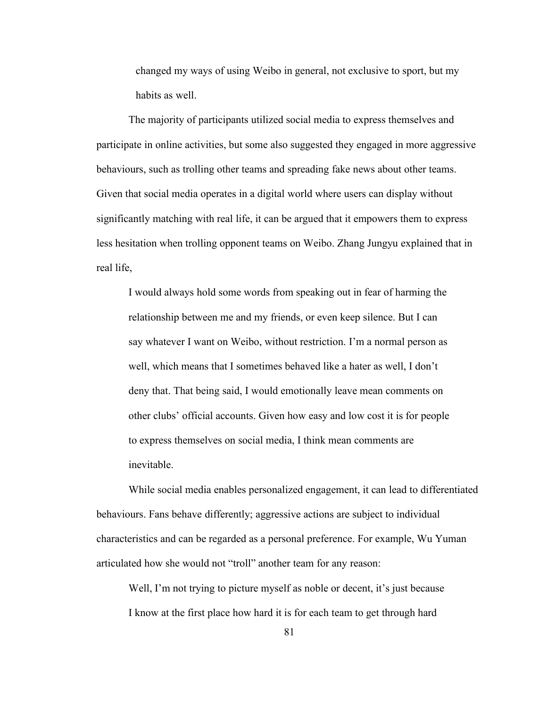changed my ways of using Weibo in general, not exclusive to sport, but my habits as well.

The majority of participants utilized social media to express themselves and participate in online activities, but some also suggested they engaged in more aggressive behaviours, such as trolling other teams and spreading fake news about other teams. Given that social media operates in a digital world where users can display without significantly matching with real life, it can be argued that it empowers them to express less hesitation when trolling opponent teams on Weibo. Zhang Jungyu explained that in real life,<br>I would always hold some words from speaking out in fear of harming the

relationship between me and my friends, or even keep silence. But I can say whatever I want on Weibo, without restriction. I'm a normal person as well, which means that I sometimes behaved like a hater as well, I don't deny that. That being said, I would emotionally leave mean comments on other clubs' official accounts. Given how easy and low cost it is for people to express themselves on social media, I think mean comments are inevitable.

While social media enables personalized engagement, it can lead to differentiated behaviours. Fans behave differently; aggressive actions are subject to individual characteristics and can be regarded as a personal preference. For example, Wu Yuman articulated how she would not "troll" another team for any reason:

Well, I'm not trying to picture myself as noble or decent, it's just because I know at the first place how hard it is for each team to get through hard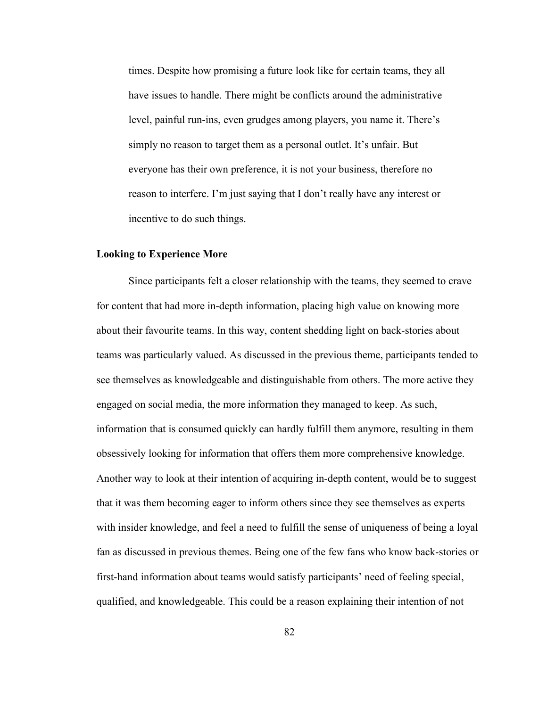times. Despite how promising a future look like for certain teams, they all have issues to handle. There might be conflicts around the administrative level, painful run-ins, even grudges among players, you name it. There's simply no reason to target them as a personal outlet. It's unfair. But everyone has their own preference, it is not your business, therefore no reason to interfere. I'm just saying that I don't really have any interest or incentive to do such things.

#### **Looking to Experience More**

Since participants felt a closer relationship with the teams, they seemed to crave for content that had more in-depth information, placing high value on knowing more about their favourite teams. In this way, content shedding light on back-stories about teams was particularly valued. As discussed in the previous theme, participants tended to see themselves as knowledgeable and distinguishable from others. The more active they engaged on social media, the more information they managed to keep. As such, information that is consumed quickly can hardly fulfill them anymore, resulting in them obsessively looking for information that offers them more comprehensive knowledge. Another way to look at their intention of acquiring in-depth content, would be to suggest that it was them becoming eager to inform others since they see themselves as experts with insider knowledge, and feel a need to fulfill the sense of uniqueness of being a loyal fan as discussed in previous themes. Being one of the few fans who know back-stories or first-hand information about teams would satisfy participants' need of feeling special, qualified, and knowledgeable. This could be a reason explaining their intention of not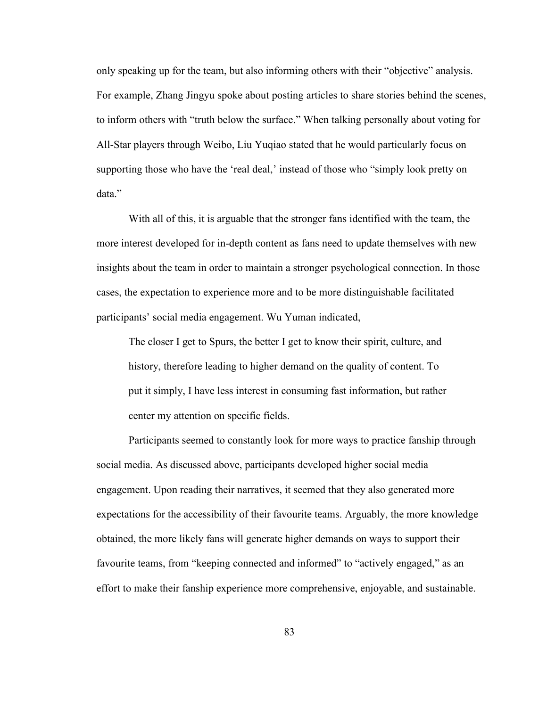only speaking up for the team, but also informing others with their "objective" analysis. For example, Zhang Jingyu spoke about posting articles to share stories behind the scenes, to inform others with "truth below the surface."When talking personally about voting for All-Star players through Weibo, Liu Yuqiao stated that he would particularly focus on supporting those who have the 'real deal,' instead of those who "simply look pretty on data."

With all of this, it is arguable that the stronger fans identified with the team, the more interest developed for in-depth content as fans need to update themselves with new insights about the team in order to maintain a stronger psychological connection. In those cases, the expectation to experience more and to be more distinguishable facilitated participants' social media engagement. Wu Yuman indicated,

The closer I get to Spurs, the better I get to know their spirit, culture, and history, therefore leading to higher demand on the quality of content. To put it simply, I have less interest in consuming fast information, but rather center my attention on specific fields.

Participants seemed to constantly look for more ways to practice fanship through social media. As discussed above, participants developed higher social media engagement. Upon reading their narratives, it seemed that they also generated more expectations for the accessibility of their favourite teams. Arguably, the more knowledge obtained, the more likely fans will generate higher demands on ways to support their favourite teams, from "keeping connected and informed" to "actively engaged," as an effort to make their fanship experience more comprehensive, enjoyable, and sustainable.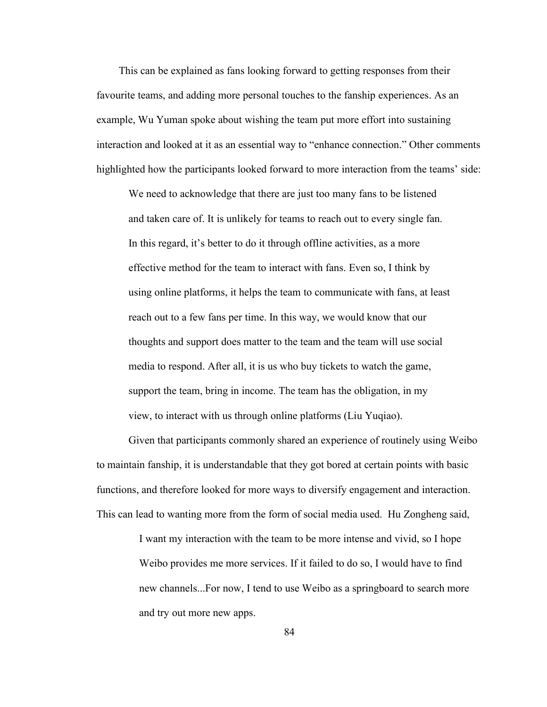This can be explained as fans looking forward to getting responses from their favourite teams, and adding more personal touches to the fanship experiences. As an example, Wu Yuman spoke about wishing the team put more effort into sustaining interaction and looked at it as an essential way to "enhance connection." Other comments highlighted how the participants looked forward to more interaction from the teams' side:

We need to acknowledge that there are just too many fans to be listened and taken care of. It is unlikely for teams to reach out to every single fan. In this regard, it's better to do it through offline activities, as a more effective method for the team to interact with fans. Even so, I think by using online platforms, it helps the team to communicate with fans, at least reach out to a few fans per time. In this way, we would know that our thoughts and support does matter to the team and the team will use social media to respond. After all, it is us who buy tickets to watch the game, support the team, bring in income. The team has the obligation, in my view, to interact with us through online platforms (Liu Yuqiao).

Given that participants commonly shared an experience of routinely using Weibo to maintain fanship, it is understandable that they got bored at certain points with basic functions, and therefore looked for more ways to diversify engagement and interaction. This can lead to wanting more from the form of social mediaused. Hu Zongheng said,

> I want my interaction with the team to be more intense and vivid, so I hope Weibo provides me more services. If it failed to do so, I would have to find new channels...For now, I tend to use Weibo as a springboard to search more and try out more new apps.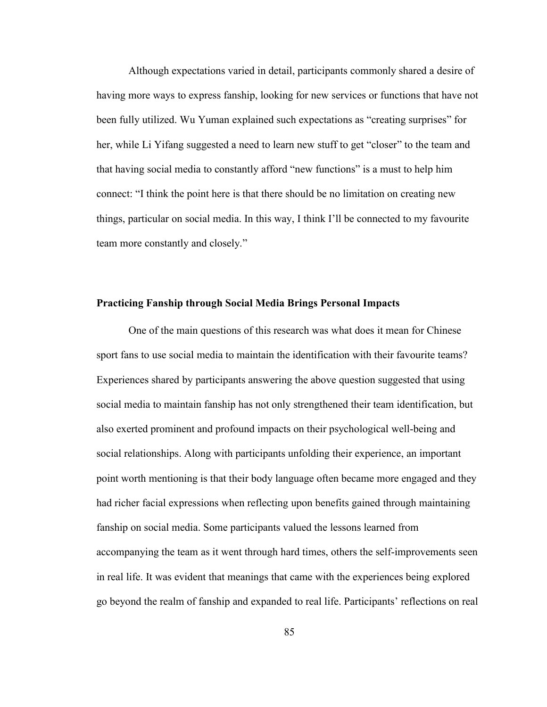Although expectations varied in detail, participants commonly shared a desire of having more ways to express fanship, looking for new services or functions that have not been fully utilized. Wu Yuman explained such expectations as "creating surprises" for her, while Li Yifang suggested a need to learn new stuff to get "closer" to the team and that having social media to constantly afford "new functions" is a must to help him connect: "I think the point here is that there should be no limitation on creating new things, particular on social media. In this way, I think I'll be connected to my favourite team more constantly and closely."

#### **Practicing Fanship through Social Media Brings Personal Impacts**

One of the main questions of this research was what does it mean for Chinese sport fans to use social media to maintain the identification with their favourite teams? Experiences shared by participants answering the above question suggested that using social media to maintain fanship has not only strengthened their team identification, but also exerted prominent and profound impacts on their psychological well-being and social relationships. Along with participants unfolding their experience, an important point worth mentioning is that their body language often became more engaged and they had richer facial expressions when reflecting upon benefits gained through maintaining fanship on social media. Some participants valued the lessons learned from accompanying the team as it went through hard times, others the self-improvements seen in real life. It was evident that meanings that came with the experiences being explored go beyond the realm of fanship and expanded to real life. Participants' reflections on real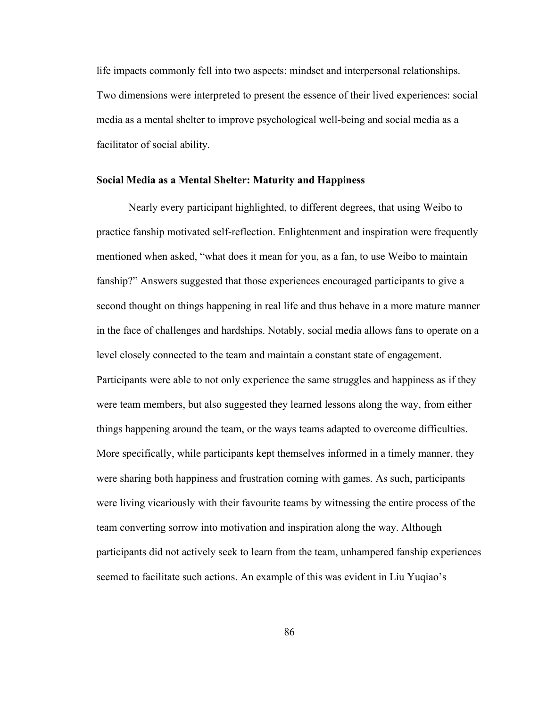life impacts commonly fell into two aspects: mindset and interpersonal relationships. Two dimensions were interpreted to present the essence of their lived experiences: social media as a mental shelter to improve psychological well-being and social media as a facilitator of social ability.

# **Social Media as a Mental Shelter: Maturity and Happiness**

Nearly every participant highlighted, to different degrees, that using Weibo to practice fanship motivated self-reflection. Enlightenment and inspiration were frequently mentioned when asked, "what does it mean for you, as a fan, to use Weibo to maintain fanship?" Answers suggested that those experiences encouraged participants to give a second thought on things happening in real life and thus behave in a more mature manner in the face of challenges and hardships. Notably, social media allows fans to operate on a level closely connected to the team and maintain a constant state of engagement. Participants were able to not only experience the same struggles and happiness as if they were team members, but also suggested they learned lessons along the way, from either things happening around the team, or the ways teams adapted to overcome difficulties. More specifically, while participants kept themselves informed in a timely manner, they were sharing both happiness and frustration coming with games. As such, participants were living vicariously with their favourite teams by witnessing the entire process of the team converting sorrow into motivation and inspiration along the way. Although participants did not actively seek to learn from the team, unhampered fanship experiences seemed to facilitate such actions. An example of this was evident in Liu Yuqiao's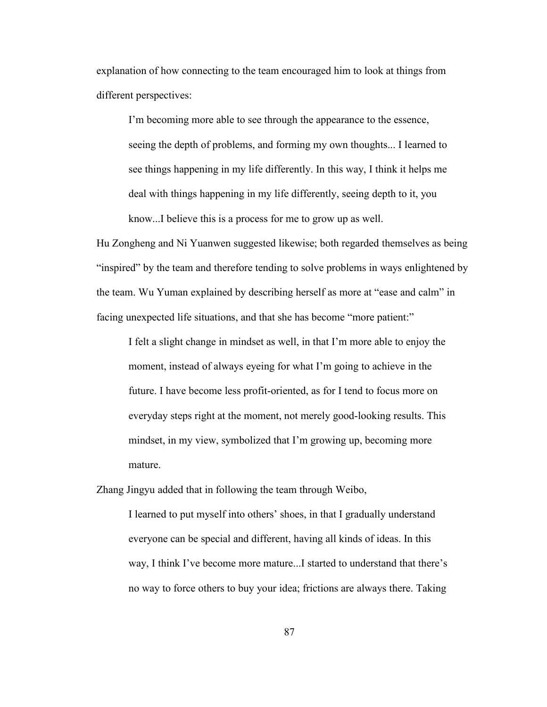explanation of how connecting to the team encouraged him to look at things from different perspectives:

I'm becoming more able to see through the appearance to the essence, seeing the depth of problems, and forming my own thoughts... I learned to see things happening in my life differently. In this way, I think it helps me deal with things happening in my life differently, seeing depth to it, you know...I believe this is a process for me to grow up as well.

Hu Zongheng and Ni Yuanwen suggested likewise; both regarded themselves as being "inspired" by the team and therefore tending to solve problems in ways enlightened by the team. Wu Yuman explained by describing herself as more at "ease and calm" in facing unexpected life situations, and that she has become "more patient:"

I felt a slight change in mindset as well, in that I'm more able to enjoy the moment, instead of always eyeing for what I'm going to achieve in the future. I have become less profit-oriented, as for I tend to focus more on everyday steps right at the moment, not merely good-looking results. This mindset, in my view, symbolized that I'm growing up, becoming more mature.

Zhang Jingyu added that in following the team through Weibo,

I learned to put myself into others' shoes, in that I gradually understand everyone can be special and different, having all kinds of ideas. In this way, I think I've become more mature...I started to understand that there's no way to force others to buy your idea; frictions are always there. Taking

87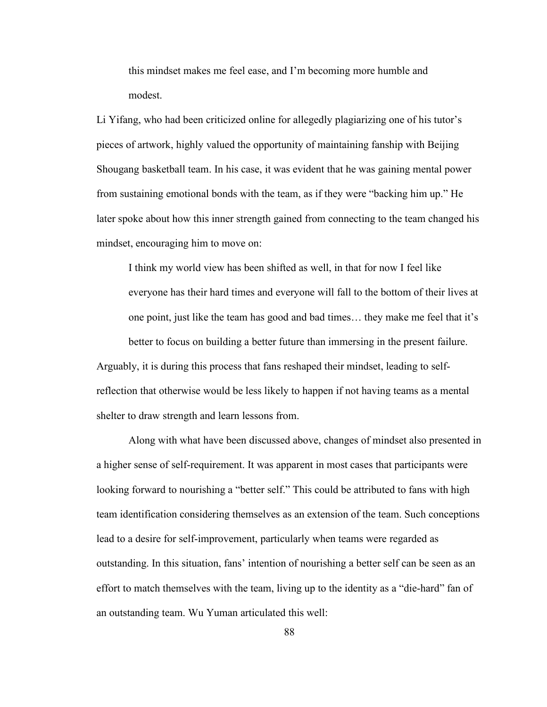this mindset makes me feel ease, and I'm becoming more humble and modest.

Li Yifang, who had been criticized online for allegedly plagiarizing one of his tutor's pieces of artwork, highly valued the opportunity of maintaining fanship with Beijing Shougang basketball team. In his case, it was evident that he was gaining mental power from sustaining emotional bonds with the team, as if they were "backing him up." He later spoke about how this inner strength gained from connecting to the team changed his mindset, encouraging him to move on:

I think my world view has been shifted as well, in that for now I feel like everyone has their hard times and everyone will fall to the bottom of their lives at one point, just like the team has good and bad times... they make me feel that it's better to focus on building a better future than immersing in the present failure. Arguably, it is during this process that fans reshaped their mindset, leading to selfreflection that otherwise would be less likely to happen if not having teams as a mental shelter to draw strength and learn lessons from.

Along with what have been discussed above, changes of mindset also presented in a higher sense of self-requirement. It was apparent in most cases that participants were looking forward to nourishing a "better self." This could be attributed to fans with high team identification considering themselves as an extension of the team. Such conceptions lead to a desire for self-improvement, particularly when teams were regarded as outstanding. In this situation, fans' intention of nourishing a betterself can be seen as an effort to match themselves with the team, living up to the identity as a "die-hard" fan of an outstanding team. Wu Yuman articulated this well: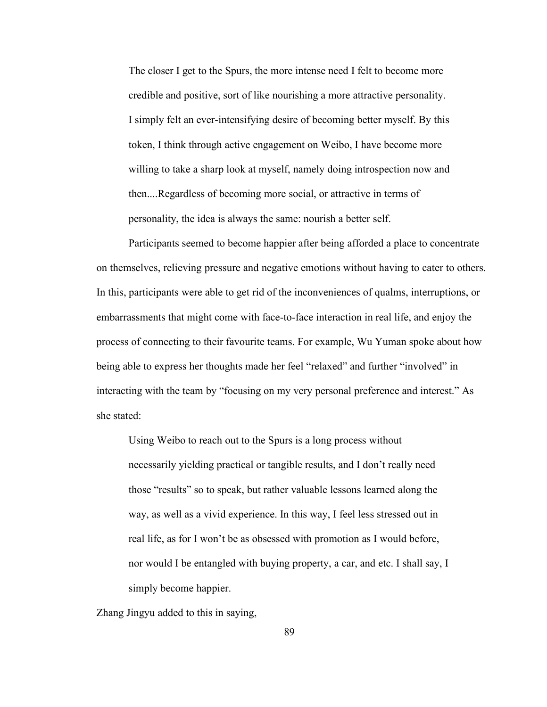The closer I get to the Spurs, the more intense need I felt to become more credible and positive, sort of like nourishing a more attractive personality. I simply felt an ever-intensifying desire of becoming better myself. By this token, I think through active engagement on Weibo, I have become more willing to take a sharp look at myself, namely doing introspection now and then....Regardless of becoming more social, or attractive in terms of personality, the idea is always the same: nourish a better self.

Participants seemed to become happier after being afforded a place to concentrate on themselves, relieving pressure and negative emotions without having to cater to others. In this, participants were able to get rid of the inconveniences of qualms, interruptions, or embarrassments that might come with face-to-face interaction in real life, and enjoy the process of connecting to their favourite teams. For example, Wu Yuman spoke about how being able to express her thoughts made her feel "relaxed" and further "involved" in interacting with the team by "focusing on my very personal preference and interest." As she stated:

Using Weibo to reach out to the Spurs is a long process without necessarily yielding practical or tangible results, and I don't really need those "results" so to speak, but rather valuable lessons learned along the way, as well as a vivid experience. In this way, I feel less stressed out in real life, as for I won't be as obsessed with promotion as I would before, nor would I be entangled with buying property, a car, and etc. I shall say, I simply become happier.

Zhang Jingyu added to this in saying,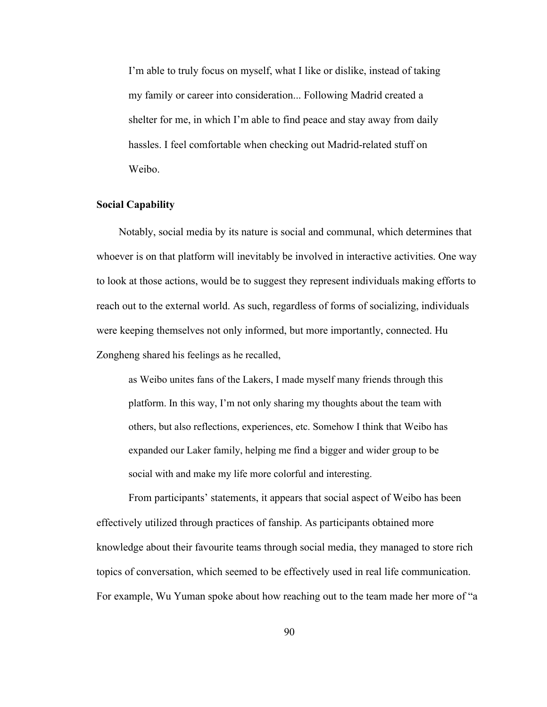I'm able to truly focus on myself, what I like or dislike, instead of taking my family or career into consideration... Following Madrid created a shelter for me, in which I'm able to find peace and stay away from daily hassles. I feel comfortable when checking out Madrid-related stuff on Weibo.

# **Social Capability**

Notably, social media by its nature is social and communal, which determines that whoever is on that platform will inevitably be involved in interactive activities. One way to look at those actions, would be to suggest they represent individuals making efforts to reach out to the external world. As such, regardless of forms of socializing, individuals were keeping themselves not only informed, but more importantly, connected. Hu Zongheng shared his feelings as he recalled,<br>as Weibo unites fans of the Lakers, I made myself many friends through this

platform. In this way, I'm not only sharing my thoughts about the team with others, but also reflections, experiences, etc. Somehow I think that Weibo has expanded our Laker family, helping me find a bigger and wider group to be social with and make my life more colorful and interesting.

From participants' statements, it appears that social aspect of Weibo has been effectively utilized through practices offanship. As participants obtained more knowledge about their favourite teams through social media, they managed to store rich topics of conversation, which seemed to be effectively used in real life communication. For example, Wu Yuman spoke about how reaching out to the team made her more of "a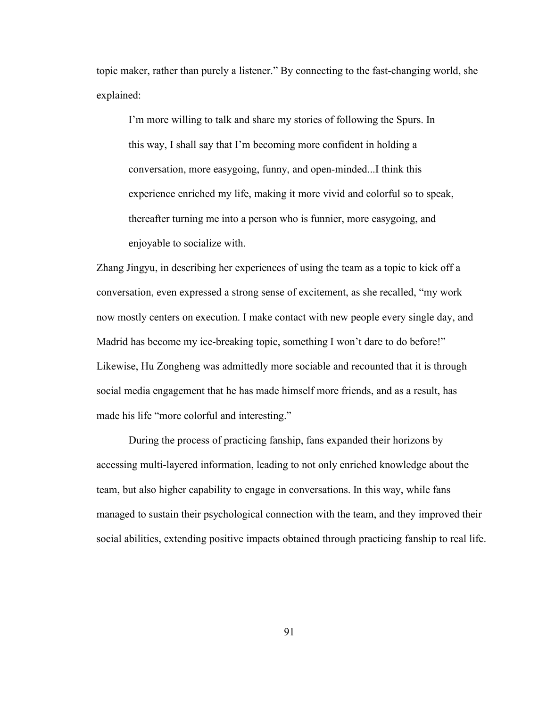topic maker, rather than purely a listener." By connecting to the fast-changing world, she explained:

I'm more willing to talk and share my stories of following the Spurs. In this way, I shall say that I'm becoming more confident in holding a conversation, more easygoing, funny, and open-minded...I think this experience enriched my life, making it more vivid and colorful so to speak, thereafter turning me into a person who is funnier, more easygoing, and enjoyable to socialize with.

Zhang Jingyu, in describing her experiences of using the team as a topic to kick off a conversation, even expressed a strong sense of excitement, as she recalled,"my work now mostly centers on execution. I make contact with new people every single day, and Madrid has become my ice-breaking topic, something I won't dare to do before!" Likewise, Hu Zongheng was admittedly more sociable and recounted that it is through social media engagement that he has made himself more friends, and as a result, has made his life "more colorful and interesting."

During the process of practicing fanship, fans expanded their horizons by accessing multi-layered information, leading to not only enriched knowledge about the team, but also higher capability to engage in conversations. In this way, while fans managed to sustain their psychological connection with the team, and they improved their social abilities, extending positive impacts obtained through practicing fanship to real life.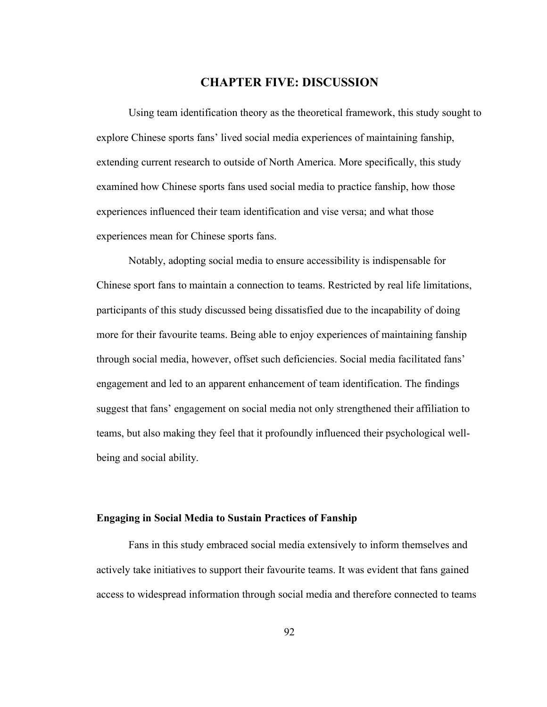# **CHAPTER FIVE: DISCUSSION**

Using team identification theory as the theoretical framework, this study sought to explore Chinese sports fans' lived social media experiences of maintaining fanship, extending current research to outside of North America. More specifically, this study examined how Chinese sports fans used social media to practice fanship, how those experiences influenced their team identification and vise versa; and what those experiences mean for Chinese sports fans.

Notably, adopting social media to ensure accessibility is indispensable for Chinese sport fans to maintain a connection to teams. Restricted by real life limitations, participants of this study discussed being dissatisfied due to the incapability of doing more for their favourite teams. Being able to enjoy experiences of maintaining fanship through social media, however, offset such deficiencies. Social media facilitated fans' engagement and led to an apparent enhancement of team identification. The findings suggest that fans' engagement on social media not only strengthened their affiliation to teams, but also making they feel that it profoundly influenced their psychological well being and social ability.

# **Engaging in Social Media to Sustain Practices of Fanship**

Fans in this study embraced social media extensively to inform themselves and actively take initiatives to support their favourite teams. It was evident that fans gained access to widespread information through social media and therefore connected to teams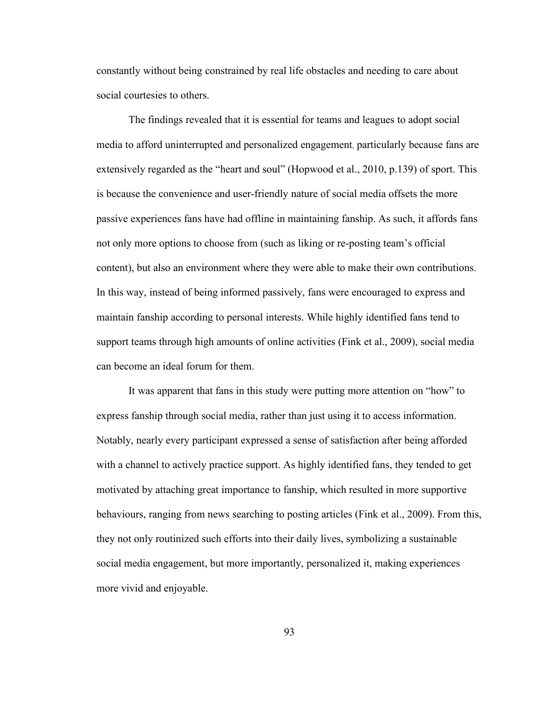constantly without being constrained by real life obstacles and needing to care about social courtesies to others.

The findings revealed that it is essential for teams and leagues to adopt social media to afford uninterrupted and personalized engagement, particularly because fans are extensively regarded as the "heart and soul" (Hopwood et al., 2010, p.139) of sport. This is because the convenience and user-friendly nature of social media offsets the more passive experiences fans have had offline in maintaining fanship. As such, it affords fans not only more options to choose from (such as liking or re-posting team's official content), but also an environment where they were able to make their own contributions. In this way, instead of being informed passively, fans were encouraged to express and maintain fanship according to personal interests. While highly identified fans tend to support teams through high amounts of online activities (Fink et al., 2009), social media can become an ideal forum for them.

It was apparent that fans in this study were putting more attention on "how" to express fanship through social media, rather than just using it to access information. Notably, nearly every participant expressed a sense of satisfaction after being afforded with a channel to actively practice support. As highly identified fans, they tended to get motivated by attaching great importance to fanship, which resulted in more supportive behaviours, ranging from news searching to posting articles (Fink et al., 2009). From this, they not only routinized such efforts into their daily lives, symbolizing a sustainable social media engagement, but more importantly, personalized it, making experiences more vivid and enjoyable.

93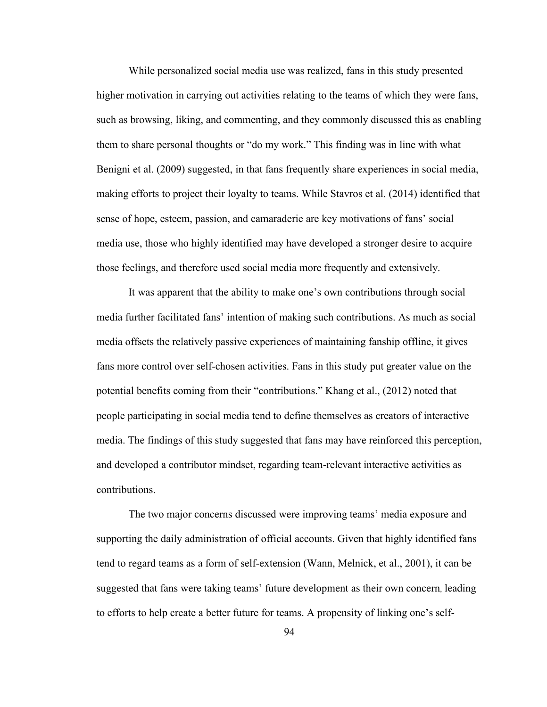While personalized social media use was realized, fans in this study presented higher motivation in carrying out activities relating to the teams of which they were fans, such as browsing, liking, and commenting, and they commonly discussed this as enabling them to share personal thoughts or "do my work." This finding was in line with what Benigni et al. (2009) suggested, in that fans frequently share experiences in social media, making efforts to project their loyalty to teams. While Stavros et al. (2014) identified that sense of hope, esteem, passion, and camaraderie are key motivations of fans' social media use, those who highly identified may have developed a stronger desire to acquire those feelings, and therefore used social media more frequently and extensively.

It was apparent that the ability to make one's own contributions through social media further facilitated fans' intention of making such contributions. As much as social media offsets the relatively passive experiences of maintaining fanship offline, it gives fans more control over self-chosen activities. Fans in this study put greater value on the potential benefits coming from their "contributions." Khang et al., (2012) noted that people participating in social media tend to define themselves as creators of interactive media. The findings of this study suggested that fans may have reinforced this perception, and developed a contributor mindset, regarding team-relevant interactive activities as contributions.

The two major concerns discussed were improving teams' media exposure and supporting the daily administration of official accounts. Given that highly identified fans tend to regard teams as a form of self-extension (Wann, Melnick, et al., 2001), it can be suggested that fans were taking teams' future development as their own concern, leading to efforts to help create a better future for teams. A propensity of linking one's self-

94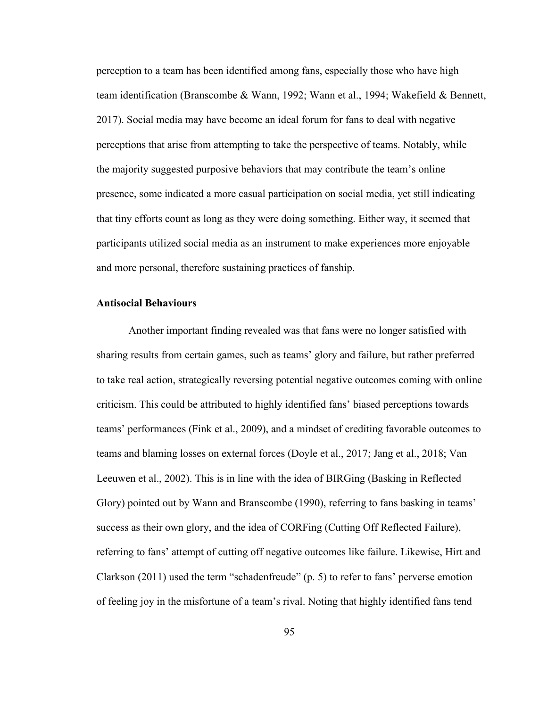perception to a team has been identified among fans, especially those who have high team identification (Branscombe & Wann, 1992; Wann et al., 1994; Wakefield & Bennett, 2017). Social media may have become an ideal forum for fans to deal with negative perceptions that arise from attempting to take the perspective of teams. Notably, while the majority suggested purposive behaviors that may contribute the team's online presence, some indicated a more casual participation on social media, yet still indicating that tiny efforts count as long as they were doing something. Either way, it seemed that participants utilized social media as an instrument to make experiences more enjoyable and more personal, therefore sustaining practices of fanship.

# **Antisocial Behaviours**

Another important finding revealed was that fans were no longer satisfied with sharing results from certain games, such as teams' glory and failure, but rather preferred to take real action, strategically reversing potential negative outcomes coming with online criticism. This could be attributed to highly identified fans' biased perceptions towards teams' performances (Fink et al., 2009), and a mindset of crediting favorable outcomes to teams and blaming losses on external forces (Doyle et al., 2017; Jang et al., 2018; Van Leeuwen et al., 2002). This is in line with the idea of BIRGing (Basking in Reflected Glory) pointed out by Wann and Branscombe (1990), referring to fans basking in teams' success as their own glory, and the idea of CORFing (Cutting Off Reflected Failure), referring to fans' attempt of cutting off negative outcomes like failure. Likewise, Hirt and Clarkson (2011) used the term "schadenfreude" (p. 5) to refer to fans' perverse emotion of feeling joy in the misfortune of a team's rival. Noting that highly identified fans tend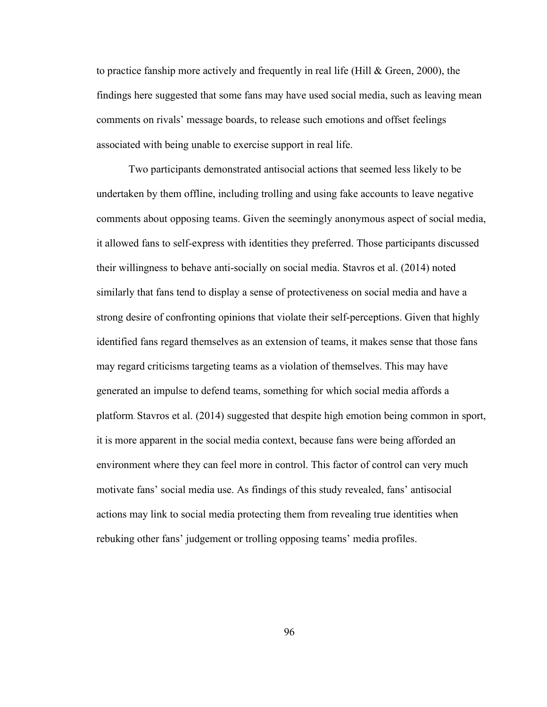to practice fanship more actively and frequently in real life (Hill & Green, 2000), the findings here suggested that some fans may have used social media, such as leaving mean comments on rivals' message boards, to release such emotions and offset feelings associated with being unable to exercise support in real life.

Two participants demonstrated antisocial actions that seemed less likely to be undertaken by them offline, including trolling and using fake accounts to leave negative comments about opposing teams. Given the seemingly anonymous aspect of social media, it allowed fans to self-express with identities they preferred. Those participants discussed their willingness to behave anti-socially on social media. Stavros et al. (2014) noted similarly that fans tend to display a sense of protectiveness on social media and have a strong desire of confronting opinions that violate their self-perceptions. Given that highly identified fans regard themselves as an extension of teams, it makes sense that those fans may regard criticisms targeting teams as a violation of themselves. This may have generated an impulse to defend teams, something for which social media affords a platform. Stavros et al. (2014) suggested that despite high emotion being common in sport, it is more apparent in the social media context, because fans were being afforded an environment where they can feel more in control. This factor of control can very much motivate fans' social media use. As findings of this study revealed, fans' antisocial actions may link to social media protecting them from revealing true identities when rebuking other fans' judgement or trolling opposing teams' media profiles.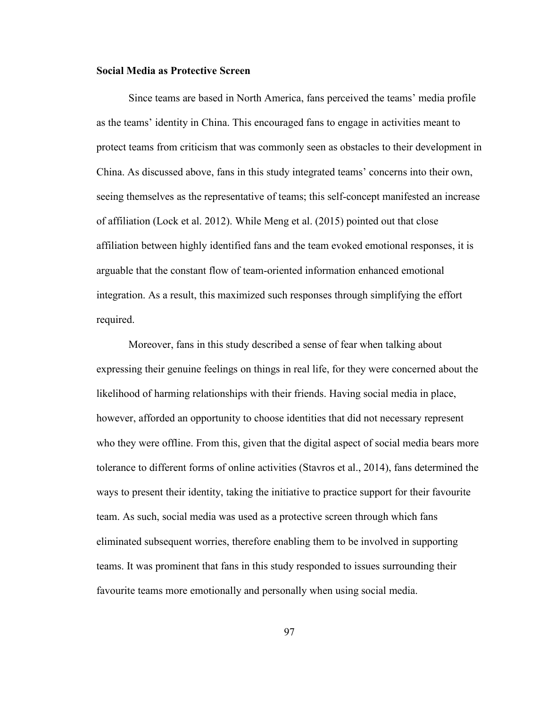# **Social Media as Protective Screen**

Since teams are based in North America, fans perceived the teams' media profile as the teams' identity in China. This encouraged fans to engage in activities meant to protect teams from criticism that was commonly seen as obstacles to their development in China. As discussed above, fans in this study integrated teams' concerns into their own, seeing themselves as the representative of teams; this self-concept manifested an increase of affiliation (Lock et al. 2012). While Meng et al. (2015) pointed out that close affiliation between highly identified fans and the team evoked emotional responses, it is arguable that the constant flow of team-oriented information enhanced emotional integration. As a result, this maximized such responses through simplifying the effort required.<br>Moreover, fans in this study described a sense of fear when talking about

expressing their genuine feelings on things in real life, for they were concerned about the likelihood of harming relationships with their friends. Having social media in place,<br>however, afforded an opportunity to choose identities that did not necessary represent who they were offline. From this, given that the digital aspect of social media bears more tolerance to different forms of online activities (Stavros et al., 2014), fans determined the ways to present their identity, taking the initiative to practice support for their favourite team. As such, social media was used as a protective screen through which fans eliminated subsequent worries, therefore enabling them to be involved in supporting teams. It was prominent that fans in this study responded to issues surrounding their favourite teams more emotionally and personally when using social media.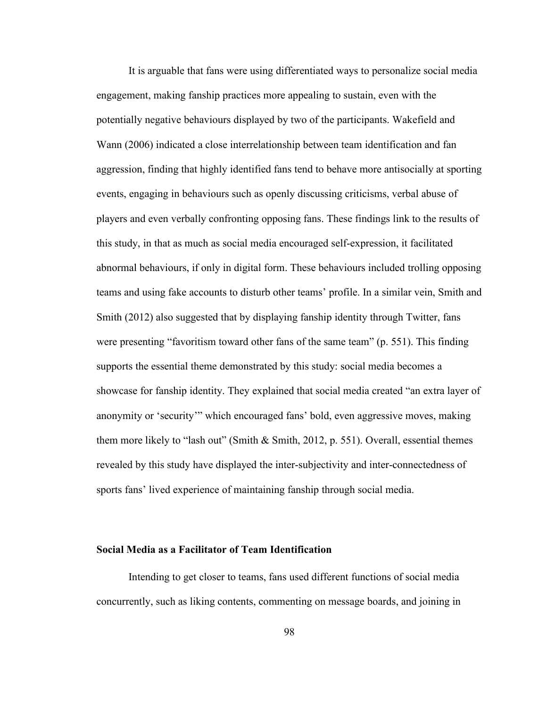It is arguable that fans were using differentiated ways to personalize social media engagement, making fanship practices more appealing to sustain, even with the potentially negative behaviours displayed by two of the participants. Wakefield and Wann (2006) indicated a close interrelationship between team identification and fan aggression, finding that highly identified fans tend to behave more antisocially at sporting events, engaging in behaviours such as openly discussing criticisms, verbal abuse of players and even verbally confronting opposing fans. These findings link to the results of this study, in that as much as social media encouraged self-expression, it facilitated abnormal behaviours, if only in digital form. These behaviours included trolling opposing teams and using fake accounts to disturb other teams' profile. In a similar vein, Smith and Smith (2012) also suggested that by displaying fanship identity through Twitter, fans were presenting "favoritism toward other fans of the same team"  $(p. 551)$ . This finding supports the essential theme demonstrated by this study: social media becomes a showcase for fanship identity. They explained that social media created "an extra layer of anonymity or 'security'" which encouraged fans' bold, even aggressive moves, making them more likely to "lash out" (Smith & Smith, 2012, p. 551). Overall, essential themes revealed by this study have displayed the inter-subjectivity and inter-connectedness of sports fans' lived experience of maintaining fanship through social media.

### **Social Media as a Facilitator of Team Identification**

Intending to get closer to teams, fans used different functions of social media concurrently, such as liking contents, commenting on message boards, and joining in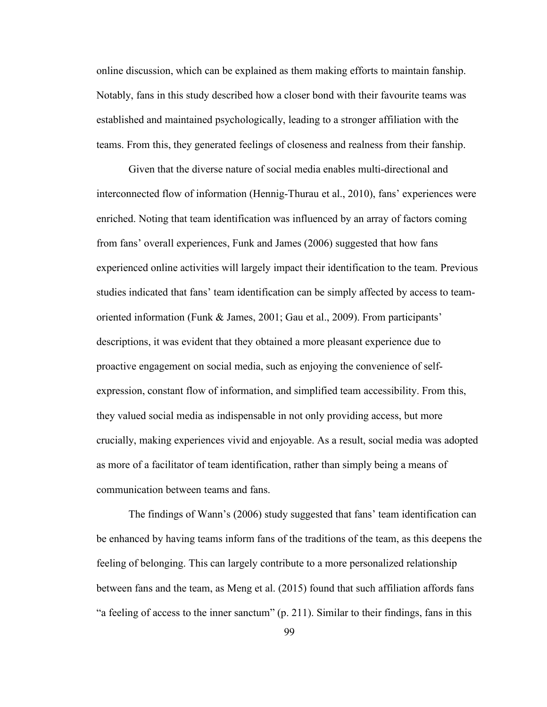online discussion, which can be explained as them making efforts to maintain fanship. Notably, fans in this study described how a closer bond with their favourite teams was established and maintained psychologically, leading to a stronger affiliation with the teams. From this, they generated feelings of closeness and realness from their fanship.

Given that the diverse nature of social media enables multi-directional and interconnected flow of information (Hennig-Thurau et al., 2010), fans' experiences were enriched. Noting that team identification wasinfluenced by an array of factors coming from fans' overall experiences, Funk and James (2006) suggested that how fans experienced online activities will largely impact their identification to the team. Previous studies indicated that fans' team identification can be simply affected by access to team oriented information (Funk & James, 2001; Gau et al., 2009). From participants' descriptions, it was evident that they obtained a more pleasant experience due to proactive engagement on social media, such as enjoying the convenience of self expression, constant flow of information, and simplified team accessibility. From this, they valued social media as indispensable in not only providing access, but more crucially, making experiences vivid and enjoyable. As a result, social media was adopted as more of a facilitator of team identification, rather than simply being a means of communication between teams and fans.

The findings of Wann's (2006) study suggested that fans' team identification can be enhanced by having teams inform fans of the traditions of the team, as this deepens the feeling of belonging. This can largely contribute to a more personalized relationship between fans and the team, as Meng et al. (2015) found that such affiliation affords fans "a feeling of access to the inner sanctum"  $(p. 211)$ . Similar to their findings, fans in this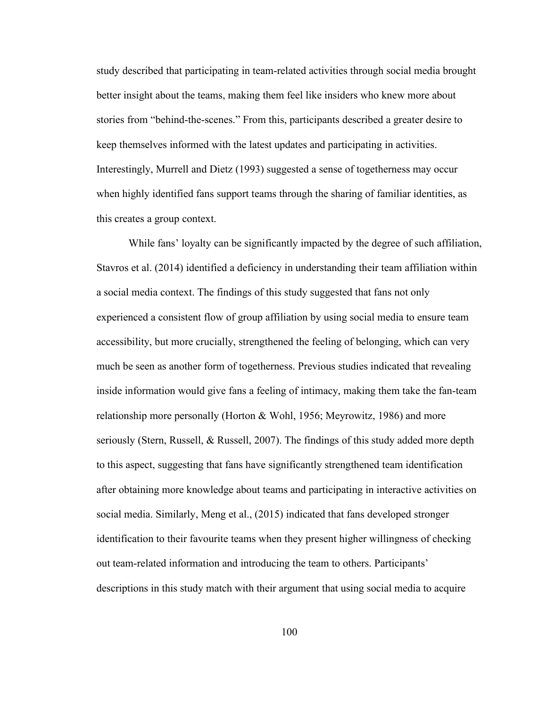study described that participating in team-related activities through social media brought better insight about the teams, making them feel like insiders who knew more about stories from "behind-the-scenes." From this, participants described a greater desire to keep themselves informed with the latest updates and participating in activities. Interestingly, Murrell and Dietz (1993) suggested a sense of togetherness may occur when highly identified fans support teams through the sharing of familiar identities, as this creates a group context.

While fans' loyalty can be significantly impacted by the degree of such affiliation, Stavros et al. (2014) identified a deficiency in understanding their team affiliation within a social media context. The findings of this study suggested that fans not only experienced a consistent flow of group affiliation by using social media to ensure team accessibility, but more crucially, strengthened the feeling of belonging, which can very much be seen as another form of togetherness. Previous studies indicated that revealing inside information would give fans a feeling of intimacy, making them take the fan-team relationship more personally (Horton & Wohl, 1956; Meyrowitz, 1986) and more seriously (Stern, Russell, & Russell, 2007). The findings of this study added more depth to this aspect, suggesting that fans have significantly strengthened team identification after obtaining more knowledge about teams and participating in interactive activities on social media. Similarly, Meng et al., (2015) indicated that fans developed stronger identification to their favourite teams when they present higher willingness of checking out team-related information and introducing the team to others. Participants' descriptions in this study match with their argument that using social media to acquire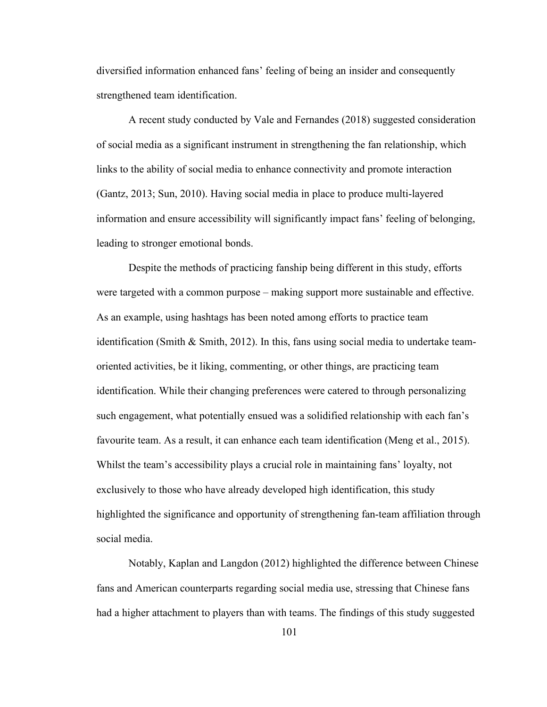diversified information enhanced fans' feeling of being an insider and consequently strengthened team identification.

A recent study conducted by Vale and Fernandes (2018) suggested consideration of social media as a significant instrument in strengthening the fan relationship, which links to the ability of social media to enhance connectivity and promote interaction (Gantz, 2013; Sun, 2010). Having social media in place to produce multi-layered information and ensure accessibility will significantly impact fans' feeling of belonging, leading to stronger emotional bonds.

Despite the methods of practicing fanship being different in this study, efforts were targeted with a common purpose – making support more sustainable and effective. As an example, using hashtags has been noted among efforts to practice team identification (Smith & Smith, 2012). In this, fans using social media to undertake team oriented activities, be it liking, commenting, or other things, are practicing team identification. While their changing preferences were catered to through personalizing such engagement, what potentially ensued was a solidified relationship with each fan's favourite team. As a result, it can enhance each team identification (Meng et al., 2015). Whilst the team's accessibility plays a crucial role in maintaining fans' loyalty, not exclusively to those who have already developed high identification, this study highlighted the significance and opportunity of strengthening fan-team affiliation through social media.

Notably, Kaplan and Langdon (2012) highlighted the difference between Chinese fans and American counterparts regarding social media use, stressing that Chinese fans had a higher attachment to players than with teams. The findings of this study suggested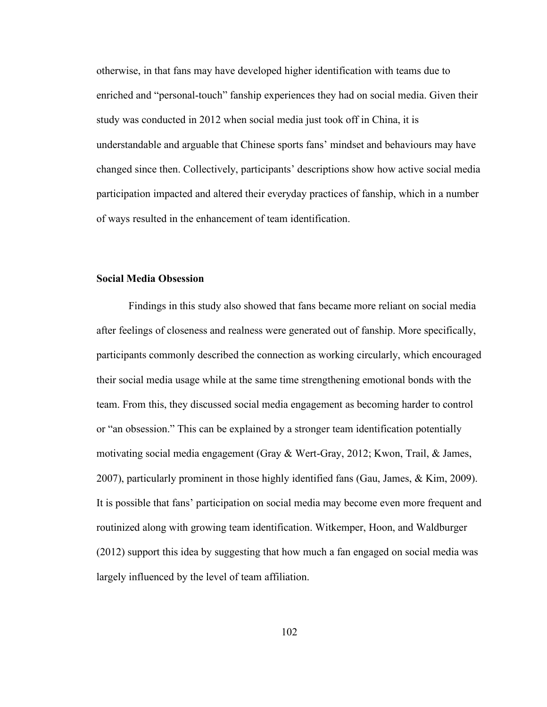otherwise, in that fans may have developed higher identification with teams due to enriched and "personal-touch" fanship experiences they had on social media. Given their study was conducted in 2012 when social media just took off in China, it is understandable and arguable that Chinese sports fans' mindset and behaviours may have changed since then. Collectively, participants' descriptions show how active social media participation impacted and altered their everyday practices of fanship, which in a number of ways resulted in the enhancement of team identification.

#### **Social Media Obsession**

Findings in this study also showed that fans became more reliant on social media after feelings of closeness and realness were generated out of fanship. More specifically, participants commonly described the connection as working circularly, which encouraged their social media usage while at the same time strengthening emotionalbonds with the team. From this, they discussed social media engagement as becoming harder to control or "an obsession." This can be explained by a stronger team identification potentially motivating social media engagement (Gray & Wert‐Gray, 2012; Kwon, Trail, & James, 2007), particularly prominent in those highly identified fans (Gau, James, & Kim, 2009). It is possible that fans' participation on social media may become even more frequent and routinized along with growing team identification. Witkemper, Hoon, and Waldburger (2012) support this idea by suggesting that how much a fan engaged on social media was largely influenced by the level of team affiliation.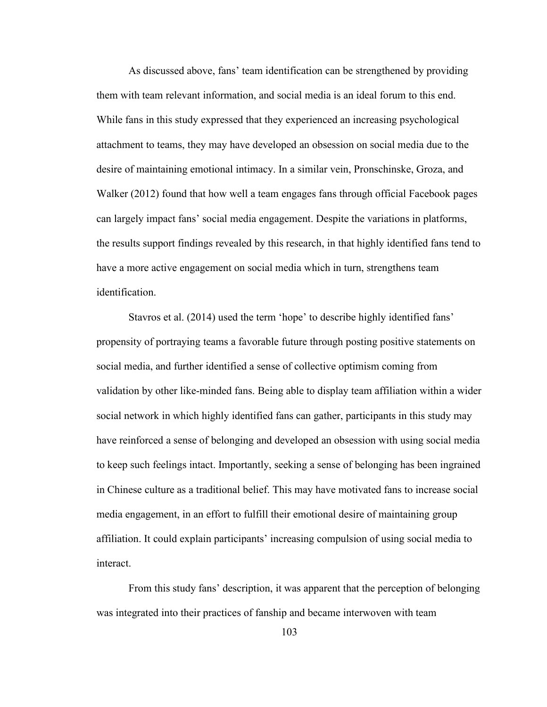As discussed above, fans' team identification can be strengthened by providing them with team relevant information, and social media is an ideal forum to this end. While fans in this study expressed that they experienced an increasing psychological attachment to teams, they may have developed an obsession on social media due to the desire of maintaining emotional intimacy. In a similar vein, Pronschinske, Groza, and Walker (2012) found that how well a team engages fans through official Facebook pages can largely impact fans' social media engagement. Despite the variations in platforms, the results support findings revealed by this research, in that highly identified fans tend to have a more active engagement on social media which in turn, strengthens team identification.

Stavros et al. (2014) used the term 'hope' to describe highly identified fans' propensity of portraying teams a favorable future through posting positive statements on social media, and further identified a sense of collective optimism coming from validation by other like-minded fans. Being able to display team affiliation within a wider social network in which highly identified fans can gather, participants in this study may have reinforced a sense of belonging and developed an obsession with using social media to keep such feelings intact. Importantly, seeking a sense of belonging has been ingrained in Chinese culture as a traditional belief. This may have motivated fans to increase social media engagement, in an effort to fulfill their emotional desire of maintaining group affiliation. It could explain participants' increasing compulsion of using social media to interact.<br>From this study fans' description, it was apparent that the perception of belonging

was integrated into their practices of fanship and became interwoven with team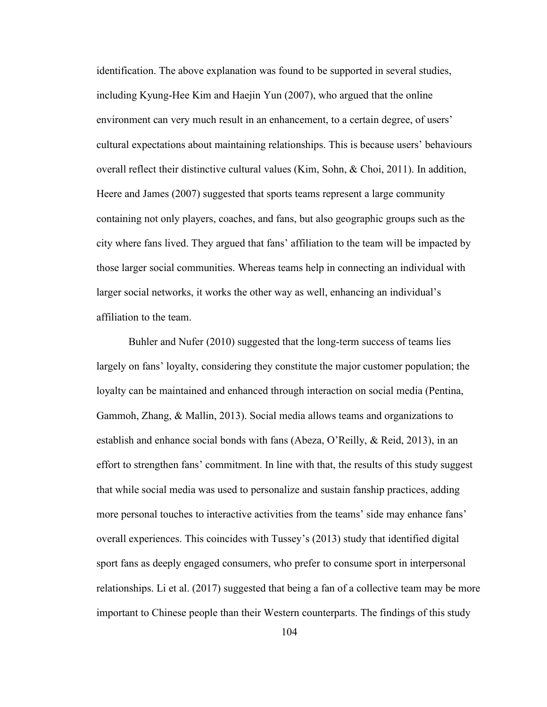identification. The above explanation was found to be supported in several studies, including Kyung-Hee Kim and Haejin Yun (2007), who argued that the online environment can very much result in an enhancement, to a certain degree, of users' cultural expectations about maintaining relationships. This is because users' behaviours overall reflect their distinctive cultural values (Kim, Sohn, & Choi, 2011). In addition, Heere and James (2007) suggested that sports teams represent a large community containing not only players, coaches, and fans, but also geographic groups such as the city where fans lived. They argued that fans' affiliation to the team will be impacted by those larger social communities. Whereas teams help in connecting an individual with larger social networks, it works the other way as well, enhancing an individual's affiliation to the team.

Buhler and Nufer (2010) suggested that the long-term success of teams lies largely on fans' loyalty, considering they constitute the major customer population; the loyalty can be maintained and enhanced through interaction on social media (Pentina, Gammoh, Zhang, & Mallin, 2013). Social media allows teams and organizations to establish and enhance social bonds with fans (Abeza, O'Reilly, & Reid, 2013), in an effort to strengthen fans' commitment. In line with that, the results of this study suggest that while social media was used to personalize and sustain fanship practices, adding more personal touches to interactive activities from the teams' side may enhance fans' overall experiences. This coincides with Tussey's (2013) study that identified digital sport fans as deeply engaged consumers, who prefer to consume sport in interpersonal relationships. Li et al. (2017) suggested that being a fan of a collective team may be more important to Chinese people than their Western counterparts. The findings ofthis study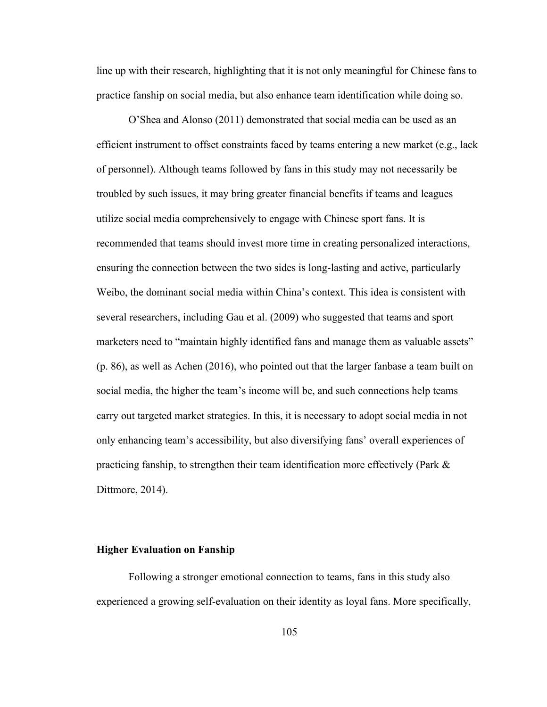line up with their research, highlighting that it is not only meaningful for Chinese fans to practice fanship on social media, but also enhance team identification while doing so.

O'Shea and Alonso (2011) demonstrated that social media can be used as an efficient instrument to offset constraints faced by teams entering a new market (e.g., lack of personnel). Although teams followed by fans in this study may not necessarily be troubled by such issues, it may bring greater financial benefits if teams and leagues utilize social media comprehensively to engage with Chinese sport fans. It is recommended that teams should invest more time in creating personalized interactions, ensuring the connection between the two sides is long-lasting and active, particularly Weibo, the dominant social media within China's context. This idea is consistent with several researchers, including Gau et al. (2009) who suggested that teams and sport marketers need to "maintain highly identified fans and manage them as valuable assets" (p. 86), as well as Achen (2016), who pointed out that the larger fanbase a team built on social media, the higher the team's income will be, and such connections help teams carry out targeted market strategies. In this, it is necessary to adopt social media in not only enhancing team's accessibility, but also diversifying fans' overall experiences of practicing fanship, to strengthen their team identification more effectively (Park & Dittmore, 2014).

# **Higher Evaluation on Fanship**

Following a stronger emotional connection to teams, fans in this study also experienced a growing self-evaluation on their identity as loyal fans. More specifically,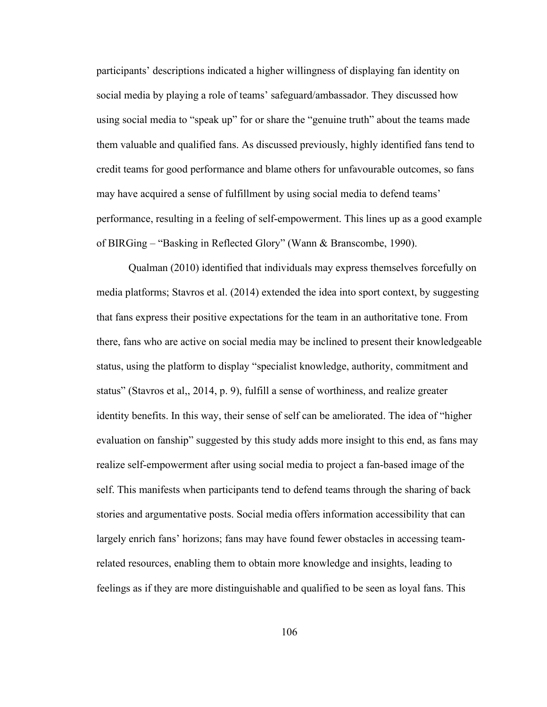participants' descriptions indicated a higher willingness of displaying fan identity on social media by playing a role of teams' safeguard/ambassador. They discussed how using social media to "speak up" for or share the "genuine truth" about the teams made them valuable and qualified fans. As discussed previously, highly identified fans tend to credit teams for good performance and blame others for unfavourable outcomes, so fans may have acquired a sense of fulfillment by using social media to defend teams' performance, resulting in a feeling of self-empowerment. This lines up as a good example of BIRGing – "Basking in Reflected Glory" (Wann & Branscombe, 1990).

Qualman (2010) identified that individuals may express themselves forcefully on media platforms; Stavros et al. (2014) extended the idea into sport context, by suggesting that fans express their positive expectations for the team in an authoritative tone. From there, fans who are active on social media may be inclined to present their knowledgeable status, using the platform to display "specialist knowledge, authority, commitment and status" (Stavros et al,, 2014, p. 9), fulfill a sense of worthiness, and realize greater identity benefits. In this way, their sense of self can be ameliorated. The idea of "higher evaluation on fanship" suggested by this study addsmore insight to this end, as fans may realize self-empowerment after using social media to project a fan-based image of the self. This manifests when participants tend to defend teams through the sharing of back stories and argumentative posts. Social media offers information accessibility that can largely enrich fans' horizons; fans may have found fewer obstacles in accessing teamrelated resources, enabling them to obtain more knowledge and insights, leading to feelings as if they are more distinguishable and qualified to be seen as loyal fans. This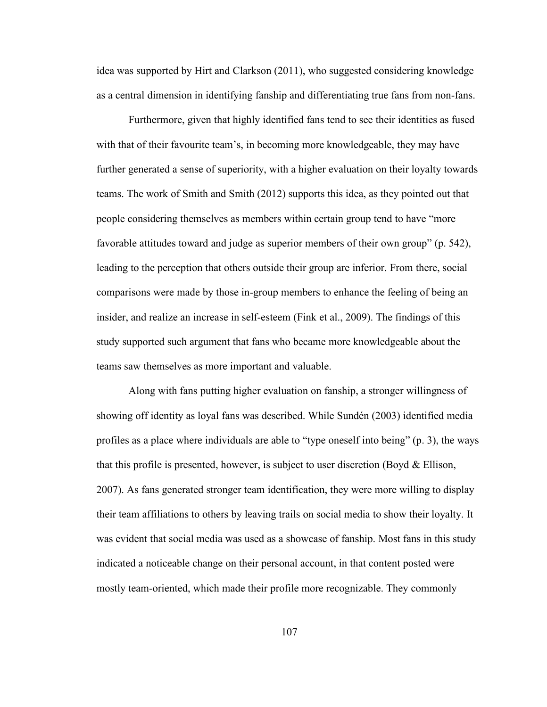idea was supported by Hirt and Clarkson (2011), who suggested considering knowledge as a central dimension in identifying fanship and differentiating true fans from non-fans.

Furthermore, given that highly identified fans tend to see their identities as fused with that of their favourite team's, in becoming more knowledgeable, they may have further generated a sense of superiority, with a higher evaluation on their loyalty towards teams. The work of Smith and Smith (2012) supports this idea, as they pointed out that people considering themselves as members within certain group tend to have "more favorable attitudes toward and judge as superior members of their own group" (p. 542), leading to the perception that others outside their group are inferior. From there, social comparisons were made by those in-group members to enhance the feeling of being an insider, and realize an increase in self-esteem (Fink et al., 2009). The findings of this study supported such argument that fans who became more knowledgeable about the teams saw themselves as more important and valuable.

Along with fans putting higher evaluation on fanship, a stronger willingness of showing off identity as loyal fans was described. While Sundén (2003) identified media profiles as a place where individuals are able to "type oneself into being" (p. 3), the ways that this profile is presented, however, is subject to user discretion (Boyd  $\&$  Ellison, 2007). As fans generated stronger team identification, they were more willing to display their team affiliations to others by leaving trails on social media to show their loyalty. It was evident that social media was used as a showcase of fanship. Most fans in this study indicated a noticeable change on their personal account, in that content posted were mostly team-oriented, which made their profile more recognizable. They commonly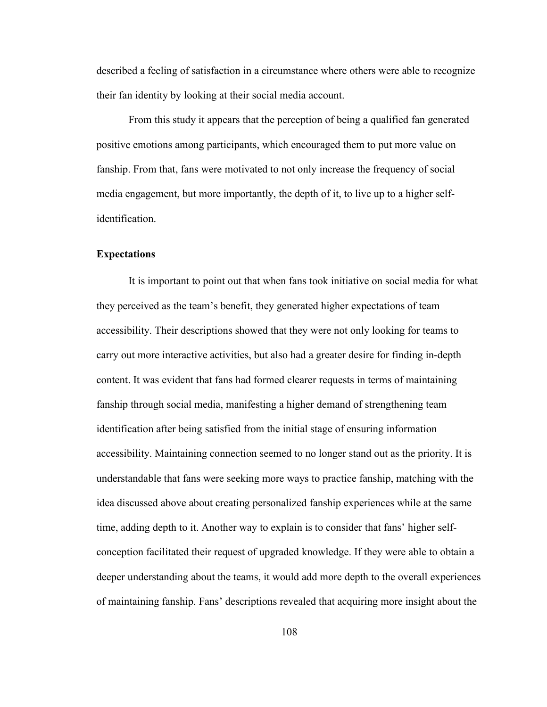described a feeling of satisfaction in a circumstance where others were able to recognize their fan identity by looking at their social media account.

From this study it appears that the perception of being a qualified fan generated positive emotions among participants, which encouraged them to put more value on fanship. From that, fans were motivated to not only increase the frequency of social media engagement, but more importantly, the depth of it, to live up to a higher selfidentification.

#### **Expectations**

It is important to point out that when fans took initiative on social media for what they perceived as the team's benefit, they generated higher expectations ofteam accessibility. Their descriptions showed that they were not only looking for teams to carry out more interactive activities, but also had a greater desire for finding in-depth content. It was evident that fans had formed clearer requests in terms of maintaining fanship through social media, manifesting a higher demand of strengthening team identification after being satisfied from the initial stage of ensuring information accessibility. Maintaining connection seemed to no longer stand out as the priority. It is understandable that fans were seeking more ways to practice fanship, matching with the idea discussed above about creating personalized fanship experiences while at the same time, adding depth to it. Another way to explain is to consider that fans' higher self conception facilitated their request of upgraded knowledge. If they were able to obtain a deeper understanding about the teams, it would add more depth to the overall experiences of maintaining fanship. Fans' descriptions revealed that acquiring more insight about the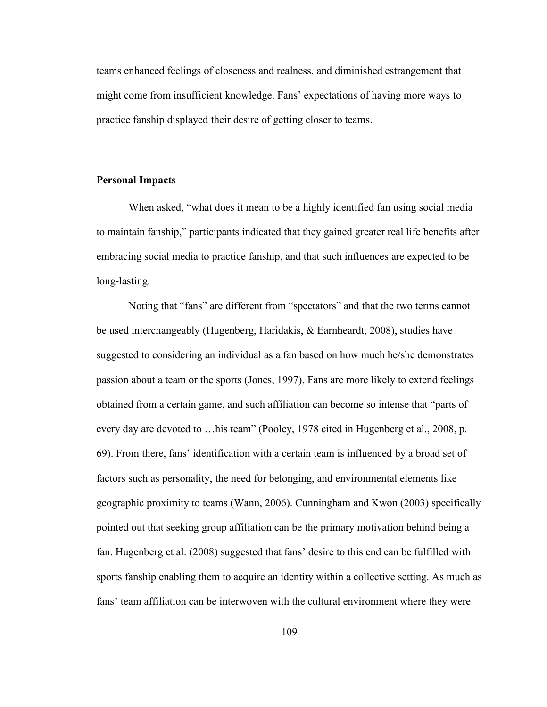teams enhanced feelings of closeness and realness, and diminished estrangement that might come from insufficient knowledge. Fans' expectations of having more ways to practice fanship displayed their desire of getting closer to teams.

### **Personal Impacts**

When asked, "what does it mean to be a highly identified fan using social media to maintain fanship," participants indicated that they gained greater real life benefits after embracing social media to practice fanship, and that such influences are expected to be long-lasting.

Noting that "fans" are different from "spectators" and that the two terms cannot be used interchangeably (Hugenberg, Haridakis, & Earnheardt, 2008), studies have suggested to considering an individual as a fan based on how much he/shedemonstrates passion about a team or the sports (Jones, 1997). Fans are more likely to extend feelings obtained from a certain game, and such affiliation can become so intense that "parts of every day are devoted to …his team" (Pooley, 1978 cited in Hugenberg et al., 2008, p. 69). From there, fans' identification with a certain team is influenced by a broad set of factors such as personality, the need for belonging, and environmental elements like geographic proximity to teams (Wann, 2006). Cunningham and Kwon (2003) specifically pointed out that seeking group affiliation can be the primary motivation behind being a fan. Hugenberg et al. (2008) suggested that fans' desire to this end can be fulfilled with sports fanship enabling them to acquire an identity within a collective setting. As much as fans' team affiliation can be interwoven with the cultural environment where they were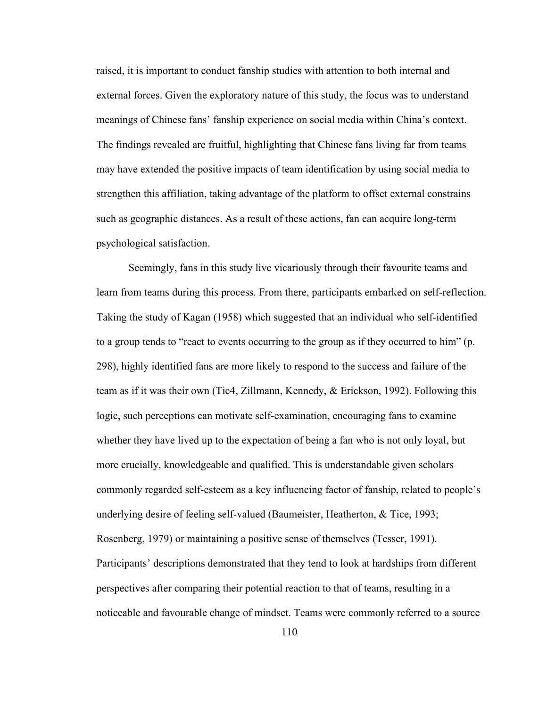raised, it is important to conduct fanship studies with attention to both internal and external forces. Given the exploratory nature of this study, the focus was to understand meanings of Chinese fans' fanship experience on social media within China's context. The findings revealed are fruitful, highlighting that Chinese fans living far from teams may have extended the positive impacts of team identification by using social media to strengthen this affiliation, taking advantage of the platform to offset external constrains such as geographic distances. As a result of these actions, fan can acquire long-term psychological satisfaction.

Seemingly, fans in this study live vicariously through their favourite teams and learn from teams during this process. From there, participants embarked on self-reflection. Taking the study of Kagan (1958) which suggested that an individual who self-identified to a group tends to "react to events occurring to the group as if they occurred to him" (p. 298), highly identified fans are more likely to respond to the success and failure of the team as if it was their own (Tic4, Zillmann, Kennedy, & Erickson, 1992). Following this logic, such perceptions can motivate self-examination, encouraging fans to examine whether they have lived up to the expectation of being a fan who is not only loyal, but more crucially, knowledgeable and qualified. This is understandable given scholars commonly regarded self-esteem as a key influencing factor of fanship, related to people's underlying desire of feeling self-valued (Baumeister, Heatherton, & Tice, 1993; Rosenberg, 1979) or maintaining a positive sense of themselves (Tesser, 1991). Participants' descriptions demonstrated that they tend to look at hardships from different perspectives after comparing their potential reaction to that of teams, resulting in a noticeable and favourable change of mindset. Teams were commonly referred to a source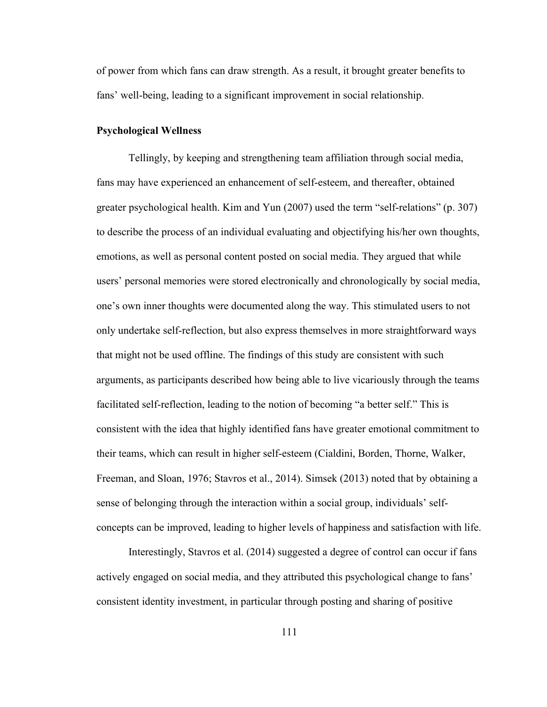of power from which fans can draw strength. As a result, it brought greater benefits to fans' well-being, leading to a significant improvement in social relationship.

# **Psychological Wellness**

Tellingly, by keeping and strengthening team affiliation through social media, fans may have experienced an enhancement of self-esteem, and thereafter, obtained greater psychological health. Kim and Yun (2007) used the term "self-relations"(p. 307) to describe the process of an individual evaluating and objectifying his/her own thoughts, emotions, as well as personal content posted on social media. They argued that while users' personal memories were stored electronically and chronologically by social media, one's own inner thoughts were documented along the way. This stimulated users to not only undertake self-reflection, but also express themselves in more straightforward ways that might not be used offline. The findings ofthis study are consistent with such arguments, as participants described how being able to live vicariously through the teams facilitated self-reflection, leading to the notion of becoming "a better self." This is consistent with the idea that highly identified fans have greater emotional commitment to their teams, which can result in higher self-esteem (Cialdini, Borden, Thorne, Walker, Freeman, and Sloan, 1976; Stavros et al., 2014). Simsek (2013) noted that by obtaining a sense of belonging through the interaction within a social group, individuals' self concepts can be improved, leading to higher levels ofhappiness and satisfaction with life.

Interestingly, Stavros et al. (2014) suggested a degree of control can occur if fans actively engaged on social media, and they attributed this psychological change to fans' consistent identity investment, in particular through posting and sharing of positive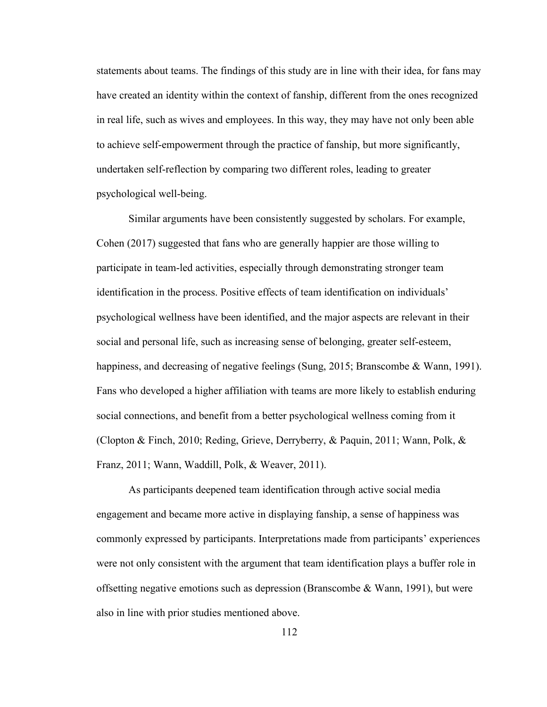statements about teams. The findings of this study are in line with their idea, for fans may have created an identity within the context of fanship, different from the ones recognized in real life, such as wives and employees. In this way, they may have not only been able to achieve self-empowerment through the practice of fanship, but more significantly, undertaken self-reflection by comparing two different roles, leading to greater psychological well-being.

Similar arguments have been consistently suggested by scholars. For example, Cohen (2017) suggested that fans who are generally happier are those willing to participate in team-led activities, especially through demonstrating stronger team identification in the process. Positive effects of team identification on individuals' psychological wellness have been identified, and the major aspects are relevant in their social and personal life, such as increasing sense of belonging, greater self-esteem, happiness, and decreasing of negative feelings (Sung, 2015; Branscombe & Wann, 1991). Fans who developed a higher affiliation with teams are more likely to establish enduring social connections, and benefit from a better psychological wellness coming from it (Clopton & Finch, 2010; Reding, Grieve, Derryberry, & Paquin, 2011; Wann, Polk, & Franz, 2011; Wann, Waddill, Polk, & Weaver, 2011).

As participants deepened team identification through active social media engagement and became more active in displaying fanship, a sense of happiness was commonly expressed by participants. Interpretations made from participants' experiences were not only consistent with the argument that team identification plays a buffer role in offsetting negative emotions such as depression (Branscombe & Wann, 1991), but were also in line with prior studies mentioned above.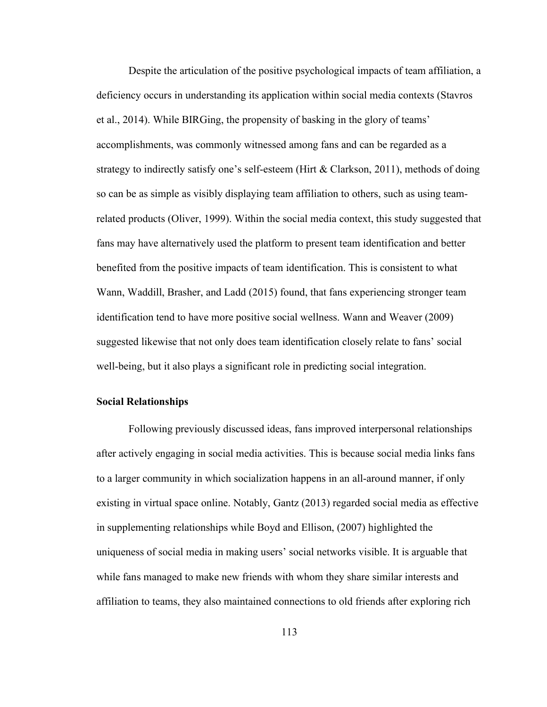Despite the articulation of the positive psychological impacts of team affiliation, a deficiency occurs in understanding its application within social media contexts (Stavros et al., 2014). While BIRGing, the propensity of basking in the glory of teams' accomplishments, was commonly witnessed among fans and can be regarded as a strategy to indirectly satisfy one's self-esteem (Hirt & Clarkson, 2011), methods of doing so can be as simple as visibly displaying team affiliation to others, such as using teamrelated products (Oliver, 1999). Within the social media context, this study suggested that fans may have alternatively used the platform to present team identification and better benefited from the positive impacts of team identification. This is consistent to what Wann, Waddill, Brasher, and Ladd (2015) found, that fans experiencing stronger team identification tend to have more positive social wellness. Wann and Weaver (2009) suggested likewise that not only does team identification closely relate to fans' social well-being, but it also plays a significant role in predicting social integration.

#### **Social Relationships**

Following previously discussed ideas, fans improved interpersonal relationships after actively engaging in social media activities. This is because social media links fans to a larger community in which socialization happens in an all-around manner, if only existing in virtual space online. Notably, Gantz (2013) regarded social media as effective in supplementing relationships while Boyd and Ellison, (2007) highlighted the uniqueness of social media in making users' social networks visible. It is arguable that while fans managed to make new friends with whom they share similar interests and affiliation to teams, they also maintained connections to old friends after exploring rich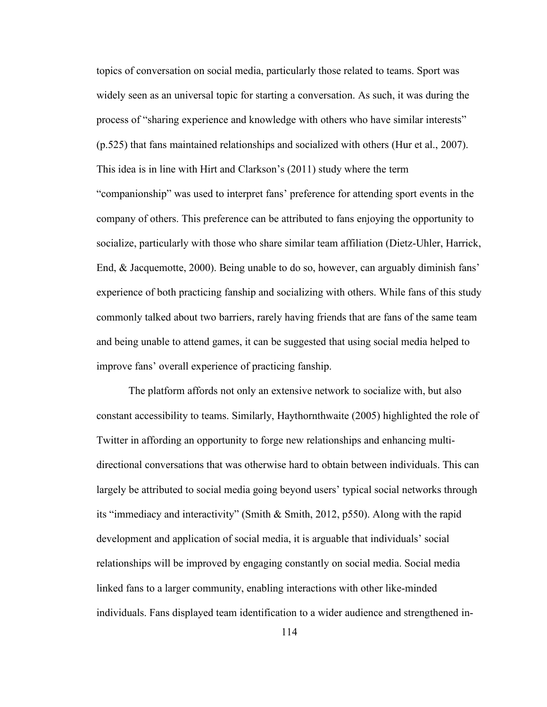topics of conversation on social media, particularly those related to teams. Sport was widely seen as an universal topic for starting a conversation. As such, it was during the process of "sharing experience and knowledge with others who have similar interests" (p.525) that fans maintained relationships and socialized with others (Hur et al., 2007). This idea is in line with Hirt and Clarkson's (2011) study where the term "companionship" was used to interpret fans' preference for attending sport events in the company of others. This preference can be attributed to fans enjoying the opportunity to socialize, particularly with those who share similar team affiliation (Dietz-Uhler, Harrick, End, & Jacquemotte, 2000). Being unable to do so, however, can arguably diminish fans' experience of both practicing fanship and socializing with others. While fans of this study commonly talked about two barriers, rarely having friends that are fans of the same team and being unable to attend games, it can be suggested that using social media helped to improve fans' overall experience of practicing fanship.

The platform affords not only an extensive network to socialize with, but also constant accessibility to teams. Similarly, Haythornthwaite (2005) highlighted the role of Twitter in affording an opportunity to forge new relationships and enhancing multi directional conversations that was otherwise hard to obtain between individuals. This can largely be attributed to social media going beyond users' typical social networks through its "immediacy and interactivity" (Smith & Smith, 2012, p550). Along with the rapid development and application of social media, it is arguable that individuals' social relationships will be improved by engaging constantly on social media. Social media linked fans to a larger community, enabling interactions with other like-minded individuals. Fans displayed team identification to a wider audience and strengthened in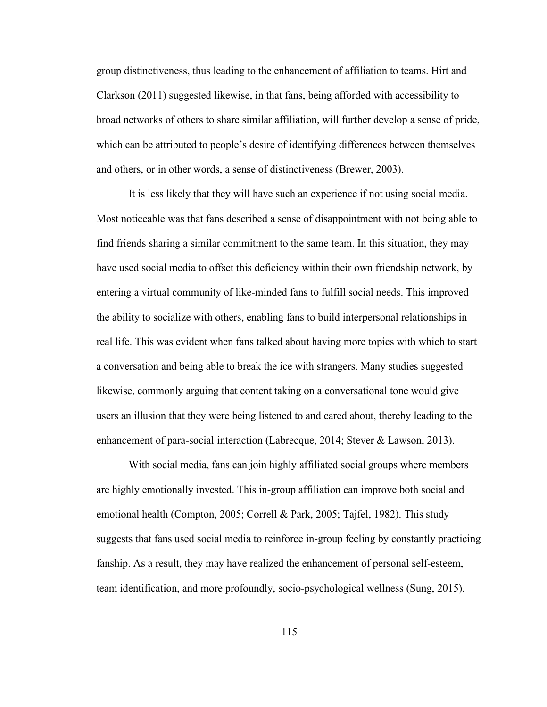group distinctiveness, thus leading to the enhancement of affiliation to teams. Hirt and Clarkson (2011) suggested likewise, in that fans, being afforded with accessibility to broad networks of others to share similar affiliation, will further develop a sense of pride,<br>which can be attributed to people's desire of identifying differences between themselves and others, or in other words, a sense of distinctiveness (Brewer, 2003).

It is less likely that they will have such an experience if not using social media. Most noticeable was that fans described a sense of disappointment with not being able to find friends sharing a similar commitment to the same team. In this situation, they may have used social media to offset this deficiency within their own friendship network, by entering a virtual community of like-minded fans to fulfill social needs. This improved the ability to socialize with others, enabling fans to build interpersonal relationships in real life. This was evident when fans talked about having more topics with which to start a conversation and being able to break the ice with strangers. Many studies suggested likewise, commonly arguing that content taking on a conversational tone would give users an illusion that they were being listened to and cared about, thereby leading to the enhancement of para-social interaction (Labrecque, 2014; Stever & Lawson, 2013).

With social media, fans can join highly affiliated social groups where members are highly emotionally invested. This in-group affiliation can improve both social and emotional health (Compton, 2005; Correll & Park, 2005; Tajfel, 1982). This study suggests that fans used social media to reinforce in-group feeling by constantly practicing fanship. As a result, they may have realized the enhancement of personal self-esteem, team identification, and more profoundly, socio-psychological wellness (Sung, 2015).

115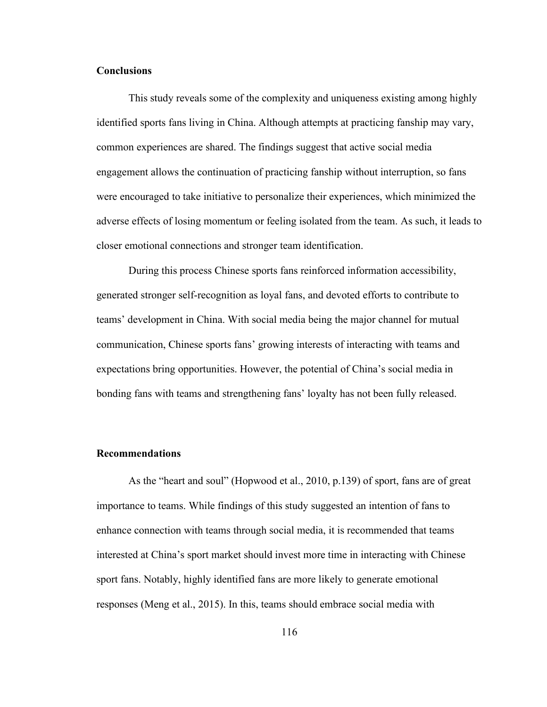# **Conclusions**

This study reveals some of the complexity and uniqueness existing among highly identified sports fans living in China. Although attempts at practicing fanship may vary, common experiences are shared. The findings suggest that active social media engagement allows the continuation of practicing fanship without interruption, so fans were encouraged to take initiative to personalize their experiences, which minimized the adverse effects of losing momentum or feeling isolated from the team. As such, it leads to closer emotional connections and stronger team identification.

During this process Chinese sports fans reinforced information accessibility, generated stronger self-recognition as loyal fans, and devoted efforts to contribute to teams' development in China. With social media being the major channel for mutual communication, Chinese sports fans' growing interests of interacting with teams and expectations bring opportunities. However, the potential of China's social media in bonding fans with teams and strengthening fans' loyalty has not been fully released.

# **Recommendations**

As the "heart and soul" (Hopwood et al., 2010, p.139) of sport, fans are of great importance to teams. While findings of this study suggested an intention of fans to enhance connection with teams through social media, it is recommended that teams interested at China's sport market should invest more time in interacting with Chinese sport fans. Notably, highly identified fans are more likely to generate emotional responses (Meng et al., 2015). In this, teams should embrace social media with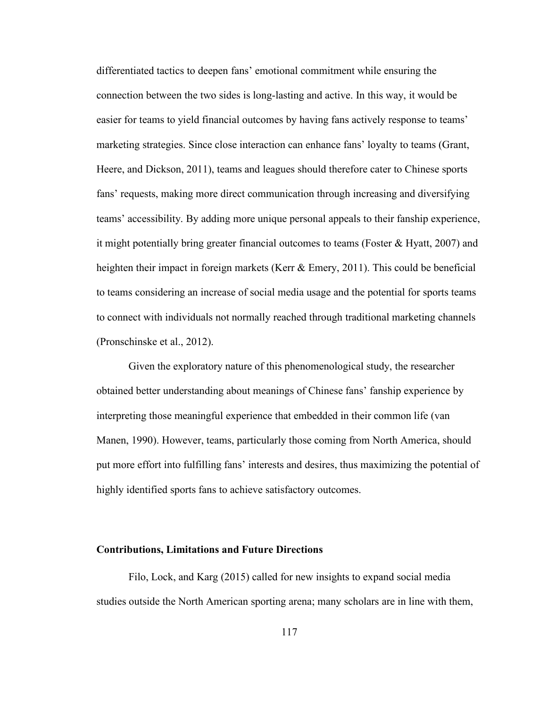differentiated tactics to deepen fans' emotional commitment while ensuring the connection between the two sides is long-lasting and active. In this way, it would be easier for teams to yield financial outcomes by having fans actively response to teams' marketing strategies. Since close interaction can enhance fans' loyalty to teams (Grant, Heere, and Dickson, 2011), teams and leagues should therefore cater to Chinese sports fans' requests, making more direct communication through increasing and diversifying teams' accessibility. By adding more unique personal appeals to their fanship experience, it might potentially bring greater financial outcomes to teams (Foster & Hyatt, 2007) and heighten their impact in foreign markets (Kerr & Emery, 2011). This could be beneficial to teams considering an increase of social media usage and the potential for sports teams to connect with individuals not normally reached through traditional marketing channels (Pronschinske et al., 2012).

Given the exploratory nature of this phenomenological study, the researcher obtained better understanding about meanings ofChinese fans' fanship experience by interpreting those meaningful experience that embedded in their common life (van Manen, 1990). However, teams, particularly those coming from North America, should put more effort into fulfilling fans' interests and desires, thus maximizing the potential of highly identified sports fans to achieve satisfactory outcomes.

#### **Contributions, Limitations and Future Directions**

Filo, Lock, and Karg (2015) called for new insights to expand social media studies outside the North American sporting arena; many scholars are in line with them,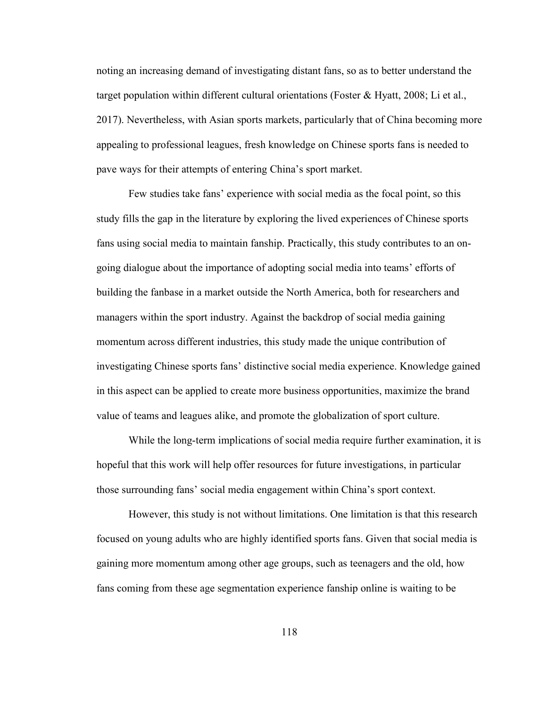noting an increasing demand of investigating distant fans, so as to better understand the target population within different cultural orientations (Foster & Hyatt, 2008; Li et al., 2017). Nevertheless, with Asian sports markets, particularly that of China becoming more appealing to professional leagues, fresh knowledge on Chinese sports fans is needed to pave ways for their attempts of entering China's sport market.

Few studies take fans' experience with social media asthe focal point, so this study fills the gap in the literature by exploring the lived experiences ofChinese sports fans using social media to maintain fanship. Practically, this study contributes to an on going dialogue about the importance of adopting social media into teams' efforts of building the fanbase in a market outside the North America, both for researchers and managers within the sport industry. Against the backdrop of social media gaining momentum across different industries, this study made the unique contribution of investigating Chinese sports fans' distinctive social media experience. Knowledge gained in this aspect can be applied to create more business opportunities, maximize the brand value of teams and leagues alike, and promote the globalization of sport culture.

While the long-term implications of social media require further examination, it is hopeful that this work will help offer resources for future investigations, in particular those surrounding fans' social media engagement within China's sport context.

However, this study is not without limitations. One limitation is that this research focused on young adults who are highly identified sports fans. Given that social media is gaining more momentum among other age groups, such as teenagers and the old, how fans coming from these age segmentation experience fanship online is waiting to be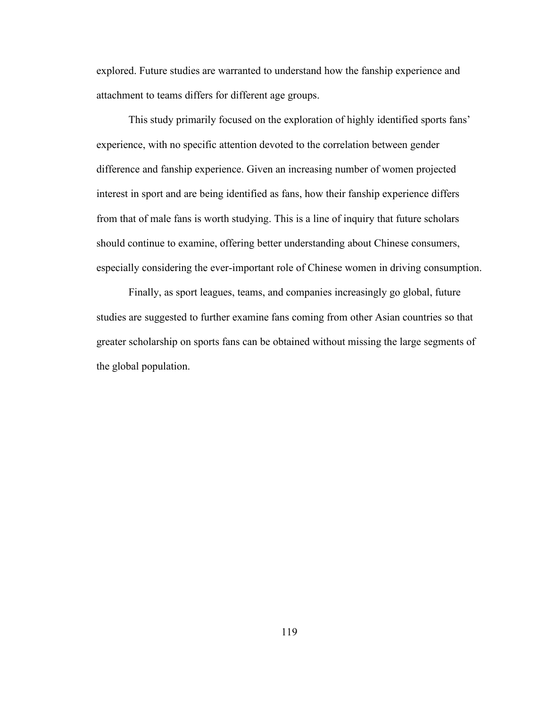explored. Future studies are warranted to understand how the fanship experience and attachment to teams differs for different age groups.

This study primarily focused on the exploration of highly identified sports fans' experience, with no specific attention devoted to the correlation between gender difference and fanship experience. Given an increasing number of women projected interest in sport and are being identified as fans, how their fanship experience differs from that of male fans is worth studying. This is a line of inquiry that future scholars should continue to examine, offering better understanding about Chinese consumers, especially considering the ever-important role of Chinese women in driving consumption.

Finally, as sport leagues, teams, and companies increasingly go global, future studies are suggested to further examine fans coming from other Asian countries so that greater scholarship on sports fans can be obtained without missing the large segments of the global population.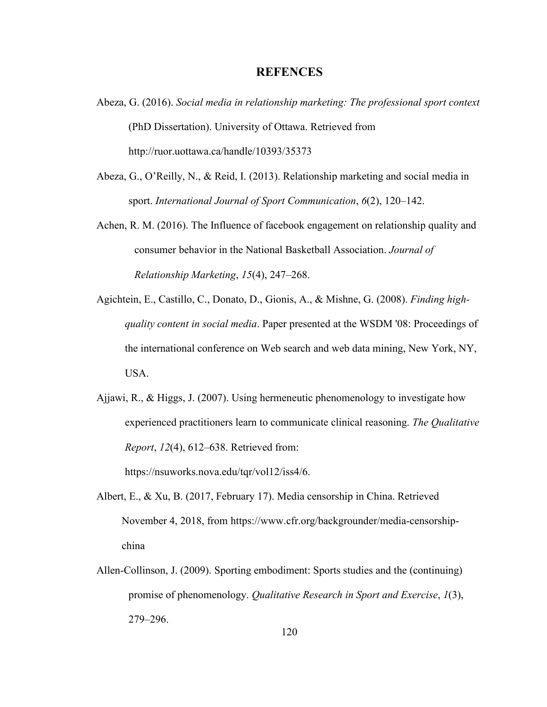# **REFENCES**

- Abeza, G. (2016). *Social media in relationship marketing: The professional sport context* (PhD Dissertation). University of Ottawa. Retrieved from http://ruor.uottawa.ca/handle/10393/35373
- Abeza, G., O'Reilly, N., & Reid, I. (2013). Relationship marketing and social media in sport. *International Journal of Sport Communication*, *6*(2), 120–142.
- Achen, R. M. (2016). The Influence of facebook engagement on relationship quality and consumer behavior in the National Basketball Association. *Journal of Relationship Marketing*, *15*(4), 247–268.
- Agichtein, E., Castillo, C., Donato, D., Gionis, A., & Mishne, G. (2008). *Finding high quality contentin social media*. Paper presented at the WSDM '08: Proceedings of the international conference on Web search and web data mining, New York, NY, USA.
- Ajjawi, R., & Higgs, J. (2007). Using hermeneutic phenomenology to investigate how experienced practitioners learn to communicate clinicalreasoning. *The Qualitative Report*, *12*(4), 612–638. Retrieved from:

https://nsuworks.nova.edu/tqr/vol12/iss4/6.

- Albert, E., & Xu, B. (2017, February 17). Media censorship in China. Retrieved November 4, 2018, from https://www.cfr.org/backgrounder/media-censorship china
- Allen‐Collinson, J. (2009). Sporting embodiment: Sports studies and the (continuing) promise of phenomenology. *Qualitative Research in Sport and Exercise*, *1*(3), 279–296.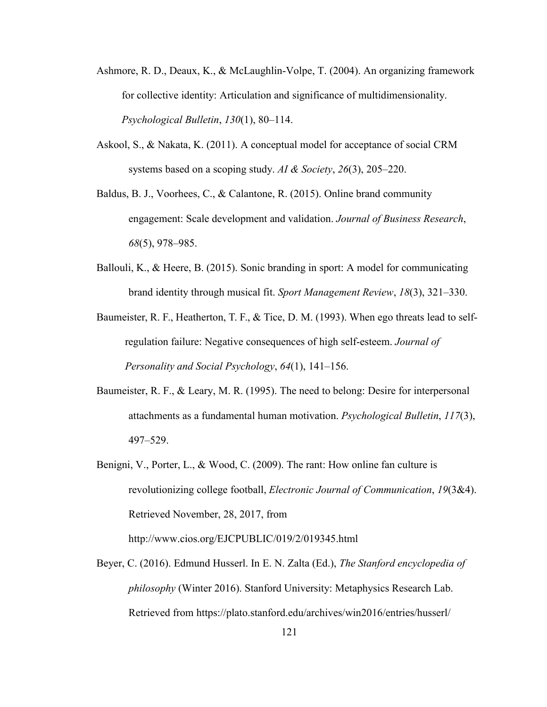- Ashmore, R. D., Deaux, K., & McLaughlin-Volpe, T. (2004). An organizing framework for collective identity: Articulation and significance of multidimensionality. *Psychological Bulletin*, *130*(1), 80–114.
- Askool, S., & Nakata, K. (2011). A conceptual model for acceptance of social CRM systems based on a scoping study. *AI* & *Society*, 26(3), 205–220.<br>Baldus, B. J., Voorhees, C., & Calantone, R. (2015). Online brand community
- engagement: Scale development and validation. *Journal of Business Research*, *68*(5), 978–985.
- Ballouli, K., & Heere, B. (2015). Sonic branding in sport: A model for communicating brand identity through musical fit.*Sport Management Review*, *18*(3), 321–330.
- Baumeister, R. F., Heatherton, T. F., & Tice, D. M. (1993). When ego threats lead to selfregulation failure: Negative consequences ofhigh self-esteem. *Journal of Personality and Social Psychology*, *64*(1), 141–156.
- Baumeister, R. F., & Leary, M. R. (1995). The need to belong: Desire for interpersonal attachments as a fundamental human motivation. *Psychological Bulletin*, *117*(3), 497–529.
- Benigni, V., Porter, L., & Wood, C. (2009). The rant: How online fan culture is revolutionizing college football, *Electronic Journal of Communication*, *19*(3&4). Retrieved November, 28, 2017, from

http://www.cios.org/EJCPUBLIC/019/2/019345.html

Beyer, C. (2016). Edmund Husserl. In E. N. Zalta (Ed.), *The Stanford encyclopedia of philosophy* (Winter 2016). Stanford University: Metaphysics Research Lab. Retrieved from https://plato.stanford.edu/archives/win2016/entries/husserl/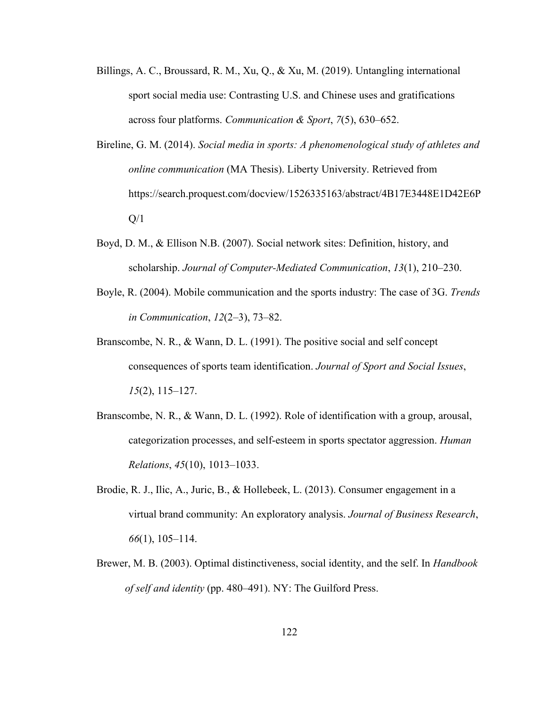- Billings, A. C., Broussard, R. M., Xu, Q., & Xu, M. (2019). Untangling international sport social media use: Contrasting U.S. and Chinese uses and gratifications across four platforms. *Communication & Sport*, *7*(5), 630–652.
- Bireline, G. M. (2014). *Social media in sports: A phenomenological study of athletes and online communication* (MA Thesis). Liberty University. Retrieved from https://search.proquest.com/docview/1526335163/abstract/4B17E3448E1D42E6P  $Q/1$
- Boyd, D. M., & Ellison N.B. (2007). Social network sites: Definition, history, and scholarship. *Journal of Computer-Mediated Communication*, *13*(1), 210–230.
- Boyle, R. (2004). Mobile communication and the sports industry: The case of 3G. *Trends in Communication*, *12*(2–3), 73–82.
- Branscombe, N. R., & Wann, D. L. (1991). The positive social and self concept consequences ofsports team identification. *Journal of Sport and Social Issues*, *15*(2), 115–127.
- Branscombe, N. R., & Wann, D. L. (1992). Role of identification with a group, arousal, categorization processes, and self-esteem in sports spectator aggression. *Human Relations*, *45*(10), 1013–1033.
- Brodie, R. J., Ilic, A., Juric, B., & Hollebeek, L. (2013). Consumer engagement in a virtual brand community: An exploratory analysis. *Journal of Business Research*, *66*(1), 105–114.
- Brewer, M. B. (2003). Optimal distinctiveness, social identity, and the self. In *Handbook of self and identity* (pp. 480–491). NY: The Guilford Press.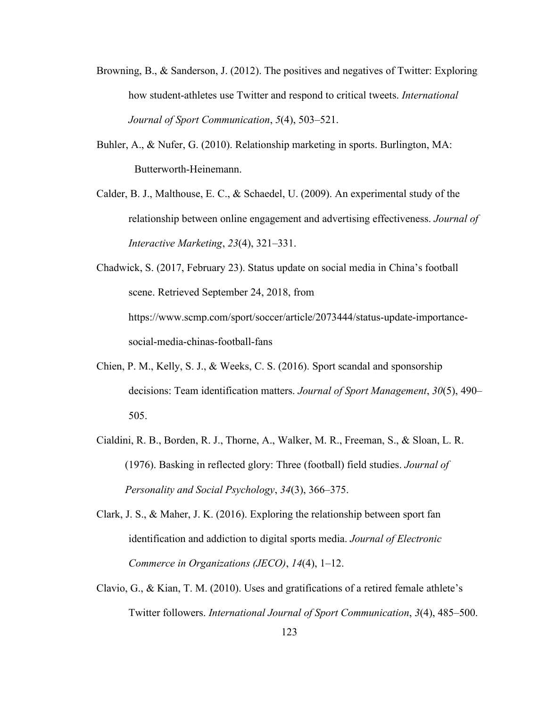- Browning, B., & Sanderson, J. (2012). The positives and negatives of Twitter: Exploring how student-athletes use Twitter and respond to critical tweets. *International Journal of Sport Communication*, *5*(4), 503–521.
- Buhler, A., & Nufer, G. (2010). Relationship marketing in sports. Burlington, MA: Butterworth-Heinemann.
- Calder, B. J., Malthouse, E. C., & Schaedel, U. (2009). An experimental study of the relationship between online engagement and advertising effectiveness. *Journal of Interactive Marketing*, *23*(4), 321–331.
- Chadwick, S. (2017, February 23). Status update on social media in China's football scene. Retrieved September 24, 2018, from https://www.scmp.com/sport/soccer/article/2073444/status-update-importance social-media-chinas-football-fans
- Chien, P. M., Kelly, S. J., & Weeks, C. S. (2016). Sport scandal and sponsorship decisions: Team identification matters. *Journal of Sport Management*, *30*(5), 490– 505.
- Cialdini, R. B., Borden, R. J., Thorne, A., Walker, M. R., Freeman, S., & Sloan, L. R. (1976). Basking in reflected glory: Three (football) field studies. *Journal of Personality and Social Psychology*, *34*(3), 366–375.
- Clark, J. S., & Maher, J. K. (2016). Exploring the relationship between sport fan identification and addiction to digital sports media. *Journal of Electronic Commerce in Organizations (JECO)*, *14*(4), 1–12.
- Clavio, G., & Kian, T. M. (2010). Uses and gratifications of a retired female athlete's Twitter followers. *International Journal of Sport Communication*, *3*(4), 485–500.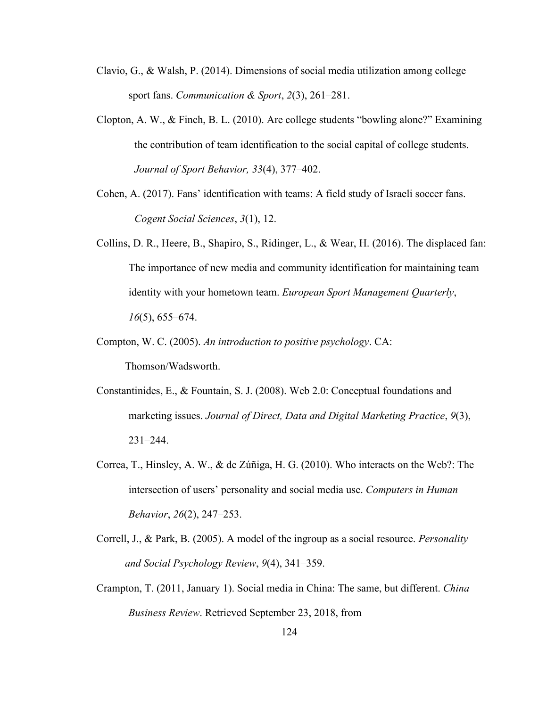- Clavio, G., & Walsh, P. (2014). Dimensions of social media utilization among college sport fans. *Communication & Sport*, *2*(3), 261–281.
- Clopton, A. W., & Finch, B. L. (2010). Are college students "bowling alone?" Examining the contribution of team identification to the social capital of college students. *Journal of Sport Behavior, 33*(4), 377–402.
- Cohen, A. (2017). Fans' identification with teams: A field study of Israeli soccer fans. *Cogent Social Sciences*, *3*(1), 12.
- Collins, D. R., Heere, B., Shapiro, S., Ridinger, L., & Wear, H. (2016). The displaced fan: The importance of new media and community identification for maintaining team identity with your hometown team. *European Sport Management Quarterly*, *16*(5), 655–674.
- Compton, W. C. (2005). *An introduction to positive psychology*. CA: Thomson/Wadsworth.
- Constantinides, E., & Fountain, S. J. (2008). Web 2.0: Conceptual foundations and marketing issues. *Journal of Direct, Data and Digital Marketing Practice*, *9*(3), 231–244.
- Correa, T., Hinsley, A. W., & de Zúñiga, H. G. (2010). Who interacts on the Web?: The intersection of users' personality and socialmedia use. *Computers in Human Behavior*, *26*(2), 247–253.
- Correll, J., & Park, B. (2005). A model of the ingroup as a social resource. *Personality and Social Psychology Review*, *9*(4), 341–359.
- Crampton, T. (2011, January 1). Social media in China: The same, but different. *China Business Review*. Retrieved September 23,2018, from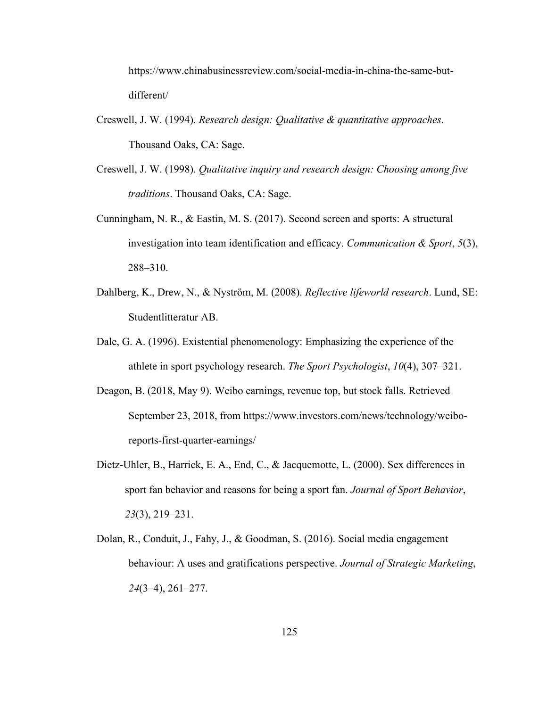https://www.chinabusinessreview.com/social-media-in-china-the-same-but different/

- Creswell, J. W. (1994). *Research design:Qualitative & quantitative approaches*. Thousand Oaks, CA: Sage.
- Creswell, J. W. (1998). *Qualitative inquiry and research design: Choosing among five traditions*. Thousand Oaks, CA: Sage.
- Cunningham, N. R., & Eastin, M. S. (2017). Second screen and sports: A structural investigation into team identification and efficacy. *Communication & Sport*, *5*(3), 288–310.
- Dahlberg, K., Drew, N., & Nyström, M. (2008). *Reflective lifeworld research*. Lund, SE: Studentlitteratur AB.
- Dale, G. A. (1996). Existential phenomenology: Emphasizing the experience of the athlete in sport psychology research. *The Sport Psychologist*, *10*(4), 307–321.
- Deagon, B. (2018, May 9). Weibo earnings, revenue top, but stock falls. Retrieved September 23, 2018, from https://www.investors.com/news/technology/weiboreports-first-quarter-earnings/
- Dietz-Uhler, B., Harrick, E. A., End, C., & Jacquemotte, L. (2000). Sex differences in sport fan behavior and reasons for being a sport fan.*Journal of Sport Behavior*, *23*(3), 219–231.
- Dolan, R., Conduit, J., Fahy, J., & Goodman, S. (2016). Social media engagement behaviour: A uses and gratifications perspective. *Journal of Strategic Marketing*, *24*(3–4), 261–277.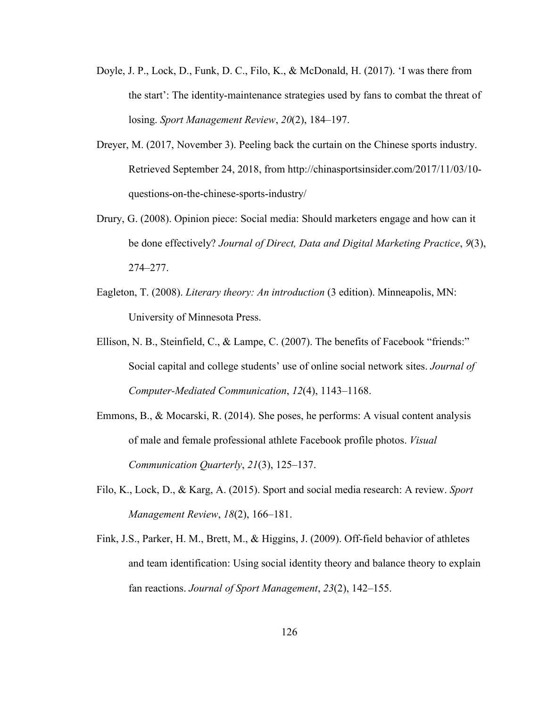- Doyle, J. P., Lock, D., Funk, D. C., Filo, K., & McDonald, H. (2017). 'I was there from the start': The identity-maintenance strategies used by fans to combat the threat of losing. *Sport Management Review*, *20*(2), 184–197.
- Dreyer, M. (2017, November 3). Peeling back the curtain on the Chinese sports industry. Retrieved September 24, 2018, from http://chinasportsinsider.com/2017/11/03/10 questions-on-the-chinese-sports-industry/
- Drury, G. (2008). Opinion piece: Social media: Should marketers engage and how can it be done effectively? *Journal of Direct, Data and Digital Marketing Practice*, *9*(3), 274–277.
- Eagleton, T. (2008). *Literary theory: An introduction* (3 edition). Minneapolis, MN: University of Minnesota Press.
- Ellison, N. B., Steinfield, C., & Lampe, C.  $(2007)$ . The benefits of Facebook "friends:" Social capital and college students' use of online social network sites. *Journal of Computer-Mediated Communication*, *12*(4), 1143–1168.
- Emmons, B., & Mocarski, R. (2014). She poses, he performs: A visual content analysis of male and female professional athlete Facebook profile photos. *Visual Communication Quarterly*, *21*(3), 125–137.
- Filo, K., Lock, D., & Karg, A. (2015). Sport and social media research: A review. *Sport Management Review*, *18*(2), 166–181.
- Fink, J.S., Parker, H. M., Brett, M., & Higgins, J. (2009). Off-field behavior of athletes and team identification: Using social identity theory and balance theory to explain fan reactions. *Journal of Sport Management*, *23*(2), 142–155.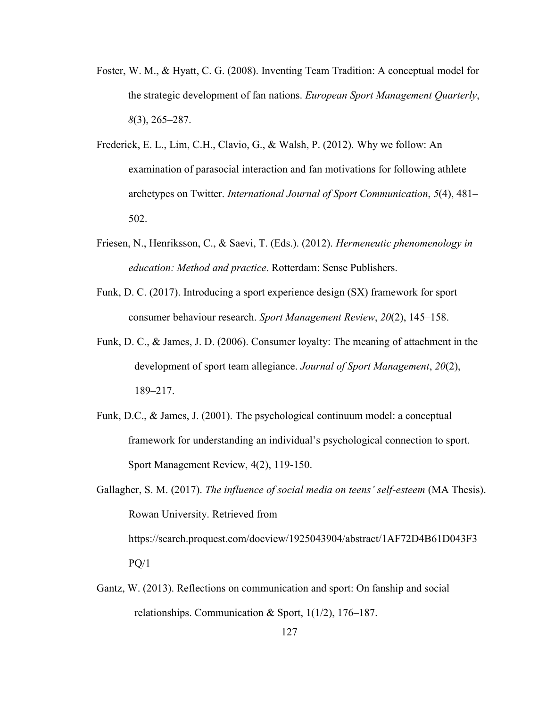- Foster, W. M., & Hyatt, C. G. (2008). Inventing Team Tradition: A conceptual model for the strategic development of fan nations. *European Sport Management Quarterly*, *8*(3), 265–287.
- Frederick, E. L., Lim, C.H., Clavio, G., & Walsh, P. (2012). Why we follow:An examination of parasocial interaction and fan motivations for following athlete archetypes on Twitter. *International Journal of Sport Communication*, *5*(4), 481– 502.
- Friesen, N., Henriksson, C., & Saevi, T. (Eds.). (2012). *Hermeneutic phenomenology in education: Method and practice*. Rotterdam: Sense Publishers.
- Funk, D. C. (2017). Introducing a sport experience design (SX) framework for sport consumer behaviour research. *Sport Management Review*, *20*(2), 145–158.
- Funk, D. C., & James, J. D. (2006). Consumer loyalty: The meaning of attachment in the development of sport team allegiance. *Journal of Sport Management*, *20*(2), 189–217.
- Funk, D.C., & James, J. (2001). The psychological continuum model: a conceptual framework for understanding an individual's psychological connection to sport. Sport Management Review, 4(2), 119-150.
- Gallagher, S. M. (2017). *The influence of social media on teens' self-esteem* (MA Thesis). Rowan University. Retrieved from https://search.proquest.com/docview/1925043904/abstract/1AF72D4B61D043F3  $PQ/1$
- Gantz, W. (2013). Reflections on communication and sport: On fanship and social relationships. Communication & Sport,  $1(1/2)$ , 176–187.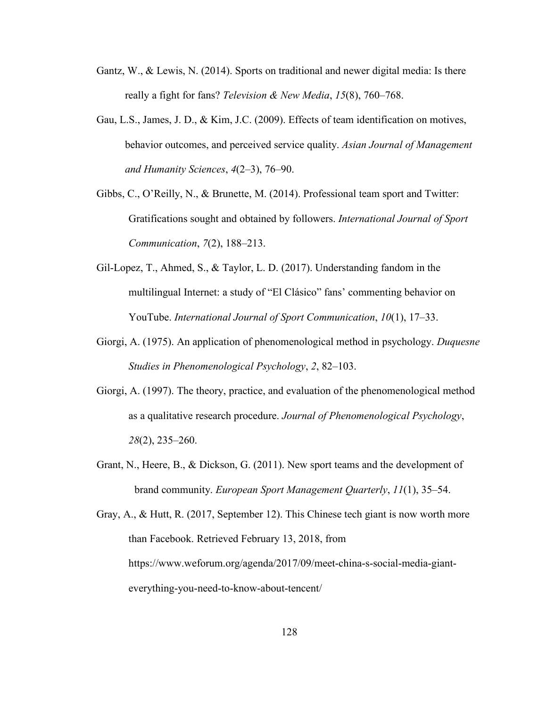- Gantz, W., & Lewis, N. (2014). Sports on traditional and newer digital media: Is there really a fight for fans? *Television & New Media*, *15*(8), 760–768.
- Gau, L.S., James, J. D., & Kim, J.C. (2009). Effects of team identification on motives, behavior outcomes, and perceived service quality. *Asian Journal of Management and Humanity Sciences*, *4*(2–3), 76–90.
- Gibbs, C., O'Reilly, N., & Brunette, M. (2014). Professional team sport and Twitter: Gratifications sought and obtained by followers. *International Journal of Sport Communication*, *7*(2), 188–213.
- Gil-Lopez, T., Ahmed, S., & Taylor, L. D. (2017). Understanding fandom in the multilingual Internet: a study of "El Clásico" fans' commenting behavior on YouTube. *International Journal of Sport Communication*, *10*(1), 17–33.
- Giorgi, A. (1975). An application of phenomenological method in psychology. *Duquesne Studies in Phenomenological Psychology*, *2*, 82–103.
- Giorgi, A. (1997). The theory, practice, and evaluation of the phenomenological method as a qualitative research procedure. *Journal of Phenomenological Psychology*, *28*(2), 235–260.
- Grant, N., Heere, B., & Dickson, G. (2011). New sport teams and the development of brand community. *European Sport Management Quarterly*, *11*(1), 35–54.

Gray, A., & Hutt, R. (2017, September 12). This Chinese tech giant is now worth more than Facebook. Retrieved February 13, 2018, from https://www.weforum.org/agenda/2017/09/meet-china-s-social-media-giant everything-you-need-to-know-about-tencent/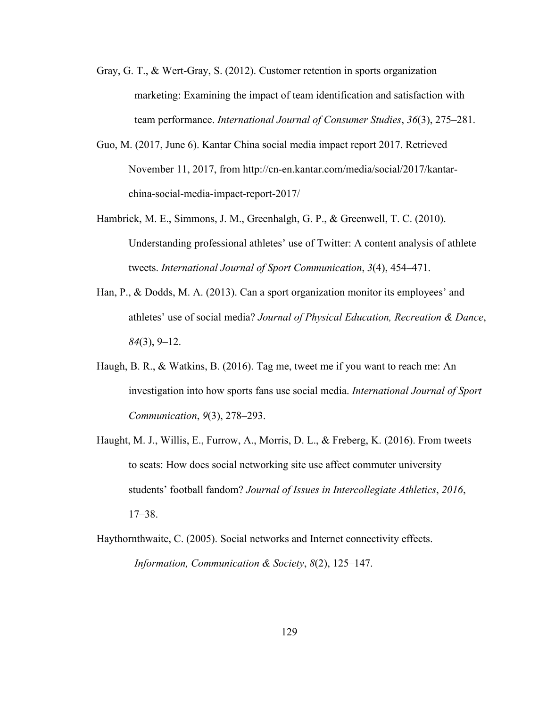- Gray, G. T., & Wert‐Gray, S. (2012). Customer retention in sports organization marketing: Examining the impact of team identification and satisfaction with team performance. *International Journal of Consumer Studies*, *36*(3), 275–281.
- Guo, M. (2017, June 6). Kantar China social media impact report 2017. Retrieved November 11,2017, from http://cn-en.kantar.com/media/social/2017/kantar china-social-media-impact-report-2017/
- Hambrick, M. E., Simmons, J. M., Greenhalgh, G. P., & Greenwell, T. C. (2010). Understanding professional athletes' use of Twitter: A content analysis of athlete tweets. *International Journal of Sport Communication*, *3*(4), 454–471.
- Han, P., & Dodds, M. A. (2013). Can a sport organization monitor its employees' and athletes' use of social media? *Journal of Physical Education, Recreation & Dance*, *84*(3), 9–12.
- Haugh, B. R., & Watkins, B. (2016). Tag me, tweet me if you want to reach me: An investigation into how sports fans use social media. *International Journal of Sport Communication*, *9*(3), 278–293.
- Haught, M. J., Willis, E., Furrow, A., Morris, D. L., & Freberg, K. (2016). From tweets to seats: How does social networking site use affect commuter university students' football fandom? *Journal of Issues in Intercollegiate Athletics*, *2016*, 17–38.
- Haythornthwaite, C. (2005). Social networks and Internet connectivity effects. *Information, Communication & Society*, *8*(2), 125–147.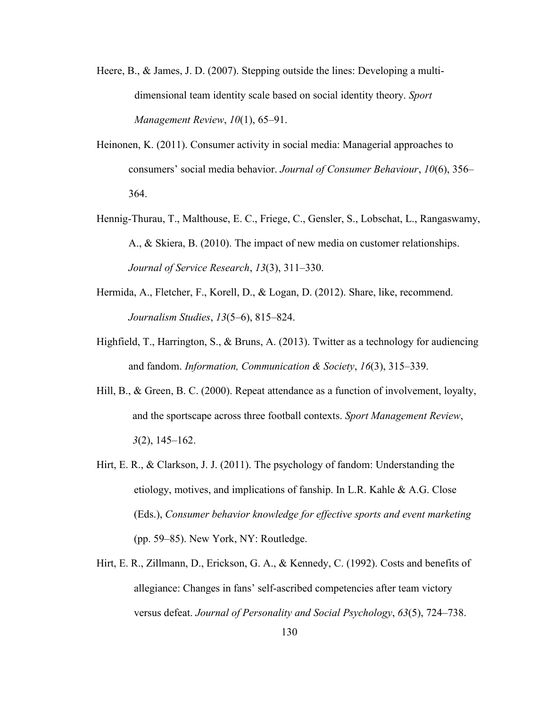- Heere, B., & James, J. D. (2007). Stepping outside the lines: Developing a multi dimensional team identity scale based on social identity theory. *Sport Management Review*, *10*(1), 65–91.
- Heinonen, K. (2011). Consumer activity in social media: Managerial approaches to consumers' social media behavior. *Journal of Consumer Behaviour*, *10*(6), 356– 364.
- Hennig-Thurau, T., Malthouse, E. C., Friege, C., Gensler, S., Lobschat, L., Rangaswamy, A., & Skiera, B. (2010). The impact of new media on customer relationships. *Journal of Service Research*, *13*(3), 311–330.
- Hermida, A., Fletcher, F., Korell, D., & Logan, D. (2012). Share, like, recommend. *Journalism Studies*, *13*(5–6), 815–824.
- Highfield, T., Harrington, S., & Bruns, A. (2013). Twitter as a technology for audiencing and fandom. *Information, Communication & Society*, *16*(3), 315–339.
- Hill, B., & Green, B. C. (2000). Repeat attendance as a function of involvement, loyalty, and the sportscape across three football contexts. *Sport Management Review*, *3*(2), 145–162.
- Hirt, E. R., & Clarkson, J. J. (2011). The psychology of fandom: Understanding the etiology, motives, and implications of fanship. In L.R. Kahle  $\&$  A.G. Close (Eds.), *Consumer behavior knowledge for ef ective sports and event marketing* (pp. 59–85). New York, NY: Routledge.
- Hirt, E. R., Zillmann, D., Erickson, G. A., & Kennedy, C. (1992). Costs and benefits of allegiance: Changes in fans' self-ascribed competencies after team victory versus defeat. *Journal of Personality and Social Psychology*, *63*(5), 724–738.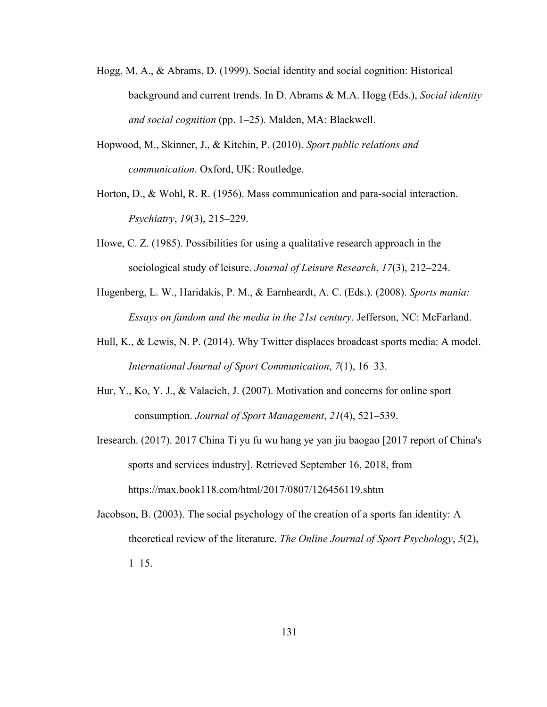- Hogg, M. A., & Abrams, D. (1999). Social identity and social cognition: Historical background and current trends. In D. Abrams & M.A. Hogg (Eds.), *Social identity and social cognition* (pp. 1–25). Malden, MA: Blackwell.
- Hopwood, M., Skinner, J., & Kitchin, P. (2010). *Sport public relations and communication*. Oxford, UK: Routledge.
- Horton, D., & Wohl, R. R. (1956). Mass communication and para-social interaction. *Psychiatry*, *19*(3), 215–229.
- Howe, C. Z. (1985). Possibilities for using a qualitative research approach in the sociological study of leisure. *Journal of Leisure Research*, *17*(3), 212–224.
- Hugenberg, L. W., Haridakis, P. M., & Earnheardt, A. C. (Eds.). (2008). *Sports mania: Essays on fandom and the media in the 21st century*. Jefferson, NC: McFarland.
- Hull, K., & Lewis, N. P. (2014). Why Twitter displaces broadcast sports media: A model. *International Journal of Sport Communication*, *7*(1), 16–33.
- Hur, Y., Ko, Y. J., & Valacich, J. (2007). Motivation and concerns for online sport consumption. *Journal of Sport Management*, *21*(4), 521–539.
- Iresearch. (2017). 2017 China Ti yu fu wu hang ye yan jiu baogao [2017 report of China's sports and services industry]. Retrieved September 16, 2018, from https://max.book118.com/html/2017/0807/126456119.shtm
- Jacobson, B. (2003). The social psychology of the creation of a sports fan identity: A theoretical review of the literature. *The Online Journal of Sport Psychology*, *5*(2),  $1-15.$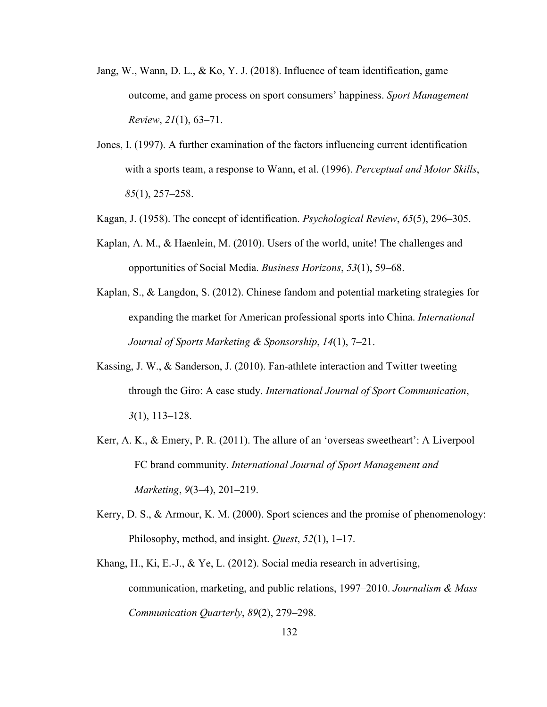- Jang, W., Wann, D. L., & Ko, Y. J. (2018). Influence of team identification, game outcome, and game process on sport consumers' happiness. *Sport Management Review*, *21*(1), 63–71.
- Jones, I. (1997). A further examination of the factors influencing current identification with a sports team, a response to Wann, et al. (1996). *Perceptual and Motor Skills*,*85*(1), 257–258.
- Kagan, J. (1958). The concept of identification. *Psychological Review*, *65*(5), 296–305.
- Kaplan, A. M., & Haenlein, M. (2010). Users of the world, unite! The challenges and opportunities of Social Media. *Business Horizons*, 53(1), 59–68.
- Kaplan, S., & Langdon, S. (2012). Chinese fandom and potential marketing strategies for expanding the market for American professional sports into China. *International Journal of Sports Marketing & Sponsorship*, *14*(1), 7–21.
- Kassing, J. W.,  $\&$  Sanderson, J. (2010). Fan-athlete interaction and Twitter tweeting through the Giro: A case study. *International Journal of Sport Communication*, *3*(1), 113–128.
- Kerr, A. K., & Emery, P. R. (2011). The allure of an 'overseas sweetheart': A Liverpool FC brand community. *International Journal of Sport Management and Marketing*, *9*(3–4), 201–219.
- Kerry, D. S., & Armour, K. M. (2000). Sport sciences and the promise of phenomenology: Philosophy, method, and insight. *Quest*, *52*(1), 1–17.
- Khang, H., Ki, E.-J., & Ye, L. (2012). Social media research in advertising, communication, marketing, and public relations, 1997–2010. *Journalism & Mass Communication Quarterly*, *89*(2), 279–298.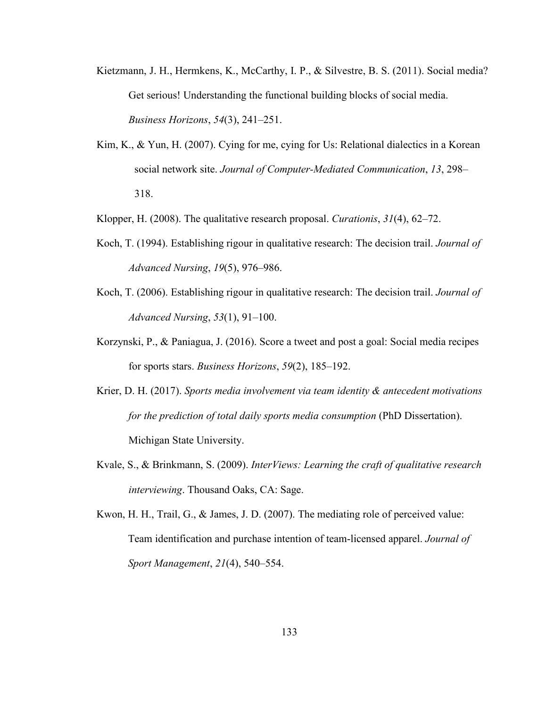- Kietzmann, J. H., Hermkens, K., McCarthy, I. P., & Silvestre, B. S. (2011). Social media? Get serious! Understanding the functional building blocks of social media. *Business Horizons*, *54*(3), 241–251.
- Kim, K., & Yun, H. (2007). Cying for me, cying for Us: Relational dialectics in a Korean social network site. *Journal of Computer-Mediated Communication*, *13*, 298– 318.
- Klopper, H. (2008). The qualitative research proposal. *Curationis*, *31*(4), 62–72.
- Koch, T. (1994). Establishing rigour in qualitative research: The decision trail. *Journal of Advanced Nursing*, *19*(5), 976–986.
- Koch, T. (2006). Establishing rigour in qualitative research: The decision trail. *Journal of Advanced Nursing*, *53*(1), 91–100.
- Korzynski, P., & Paniagua, J. (2016). Score a tweet and post a goal: Social media recipes for sports stars. *Business Horizons*, *59*(2), 185–192.
- Krier, D. H. (2017). *Sports media involvement via team identity & antecedent motivations for the prediction of total daily sports media consumption* (PhD Dissertation). Michigan State University.
- Kvale, S., & Brinkmann, S. (2009). *InterViews: Learning the craft ofqualitative research interviewing*. Thousand Oaks, CA: Sage.
- Kwon, H. H., Trail, G., & James, J. D. (2007). The mediating role of perceived value: Team identification and purchase intention of team-licensed apparel. *Journal of Sport Management*, *21*(4), 540–554.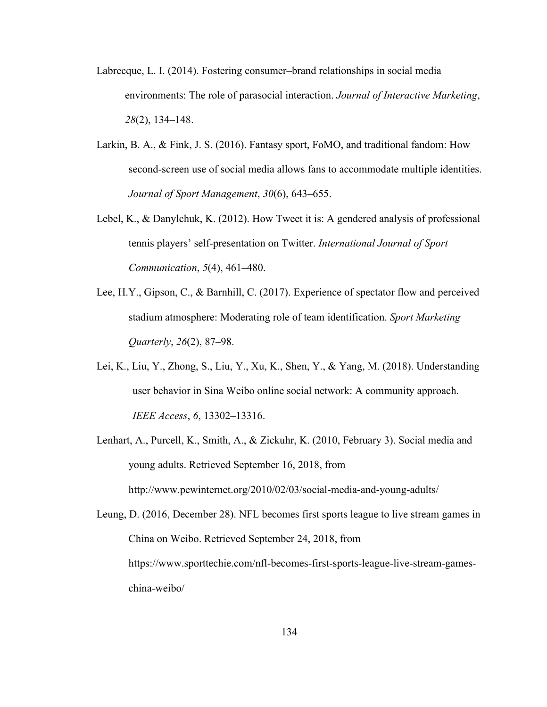- Labrecque, L. I. (2014). Fostering consumer–brand relationships in social media environments: The role of parasocial interaction. *Journal of Interactive Marketing*, *28*(2), 134–148.
- Larkin, B. A., & Fink, J. S. (2016). Fantasy sport, FoMO, and traditional fandom: How second-screen use of social media allows fans to accommodate multiple identities. *Journal of Sport Management*, *30*(6), 643–655.
- Lebel, K., & Danylchuk, K. (2012). How Tweet it is: A gendered analysis of professional tennis players' self-presentation on Twitter.*International Journal of Sport Communication*, *5*(4), 461–480.
- Lee, H.Y., Gipson, C., & Barnhill, C. (2017). Experience of spectator flow and perceived stadium atmosphere: Moderating role of team identification. *Sport Marketing Quarterly*, *26*(2), 87–98.
- Lei, K., Liu, Y., Zhong, S., Liu, Y., Xu, K., Shen, Y., & Yang, M. (2018). Understanding user behavior in Sina Weibo online social network: A community approach.*IEEE Access*, *6*, 13302–13316.
- Lenhart, A., Purcell, K., Smith, A., & Zickuhr, K. (2010, February 3). Social media and young adults. Retrieved September 16,2018, from http://www.pewinternet.org/2010/02/03/social-media-and-young-adults/

Leung, D. (2016, December 28). NFL becomes first sports league to live stream games in China on Weibo. Retrieved September 24,2018, from https://www.sporttechie.com/nfl-becomes-first-sports-league-live-stream-games china-weibo/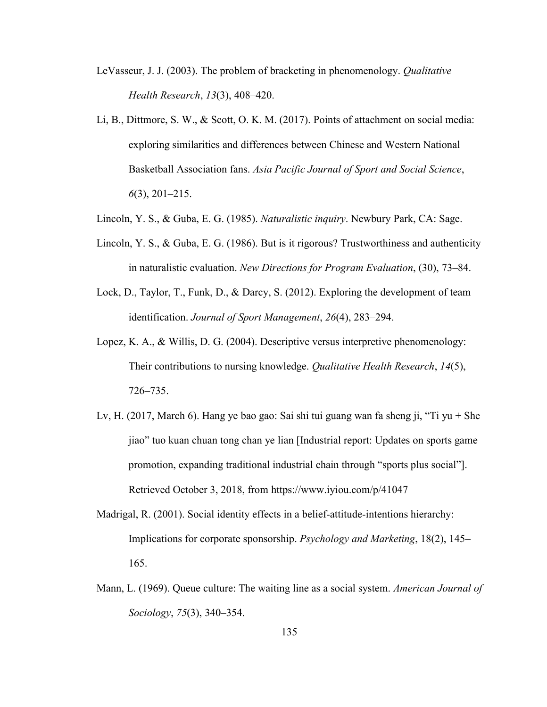- LeVasseur, J. J. (2003). The problem of bracketing in phenomenology. *Qualitative Health Research*, *13*(3), 408–420.
- Li, B., Dittmore, S. W., & Scott, O. K. M.  $(2017)$ . Points of attachment on social media: exploring similarities and differences between Chinese and Western National Basketball Association fans. *Asia Pacific Journal of Sport and Social Science*, *6*(3), 201–215.
- Lincoln, Y. S., & Guba, E. G. (1985). *Naturalistic inquiry*. Newbury Park, CA:Sage.
- Lincoln, Y. S., & Guba, E. G. (1986). But is it rigorous? Trustworthiness and authenticity in naturalistic evaluation. *New Directions for Program Evaluation*, (30), 73–84.
- Lock, D., Taylor, T., Funk, D., & Darcy, S. (2012). Exploring the development of team identification. *Journal of Sport Management*, *26*(4), 283–294.
- Lopez, K. A., & Willis, D. G. (2004). Descriptive versus interpretive phenomenology: Their contributions to nursing knowledge. *Qualitative Health Research*, *14*(5), 726–735.
- Lv, H. (2017, March 6). Hang ye bao gao: Sai shi tui guang wan fa sheng ji,"Ti yu + She jiao" tuo kuan chuan tong chan ye lian [Industrial report: Updates on sports game promotion, expanding traditional industrial chain through "sports plus social"]. Retrieved October 3, 2018, from https://www.iyiou.com/p/41047
- Madrigal, R. (2001). Social identity effects in a belief-attitude-intentions hierarchy: Implications for corporate sponsorship. *Psychology and Marketing*, 18(2), 145– 165.
- Mann, L. (1969). Queue culture: The waiting line as a social system. *American Journal of Sociology*, *75*(3), 340–354.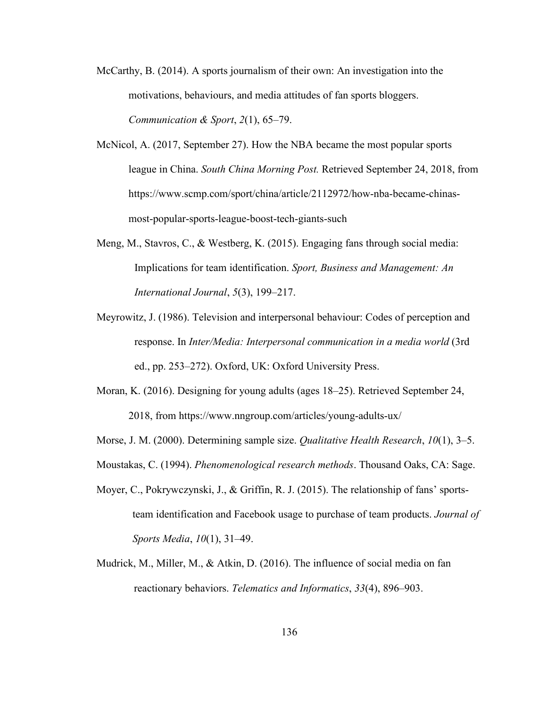- McCarthy, B. (2014). A sports journalism of their own: An investigation into the motivations, behaviours, and media attitudes of fan sports bloggers. *Communication & Sport*, *2*(1), 65–79.
- McNicol, A. (2017, September 27). How the NBA became the most popular sports league in China. *South China Morning Post.* Retrieved September 24, 2018, from https://www.scmp.com/sport/china/article/2112972/how-nba-became-chinas most-popular-sports-league-boost-tech-giants-such
- Meng, M., Stavros, C., & Westberg, K. (2015). Engaging fans through social media: Implications for team identification. *Sport, Business and Management: An International Journal*, *5*(3), 199–217.
- Meyrowitz, J. (1986). Television and interpersonal behaviour: Codes of perception and response. In *Inter/Media: Interpersonal communication in a media world* (3rd ed., pp. 253–272). Oxford, UK: Oxford University Press.
- Moran, K. (2016). Designing for young adults (ages 18–25). Retrieved September 24, 2018, from https://www.nngroup.com/articles/young-adults-ux/
- Morse, J. M. (2000). Determining sample size. *Qualitative Health Research*, *10*(1), 3–5.
- Moustakas, C. (1994). *Phenomenological research methods*. Thousand Oaks, CA: Sage.
- Moyer, C., Pokrywczynski, J., & Griffin, R. J. (2015). The relationship of fans' sportsteam identification and Facebook usage to purchase of team products. *Journal of Sports Media*, *10*(1), 31–49.
- Mudrick, M., Miller, M., & Atkin, D. (2016). The influence of social media on fan reactionary behaviors. *Telematics and Informatics*, *33*(4), 896–903.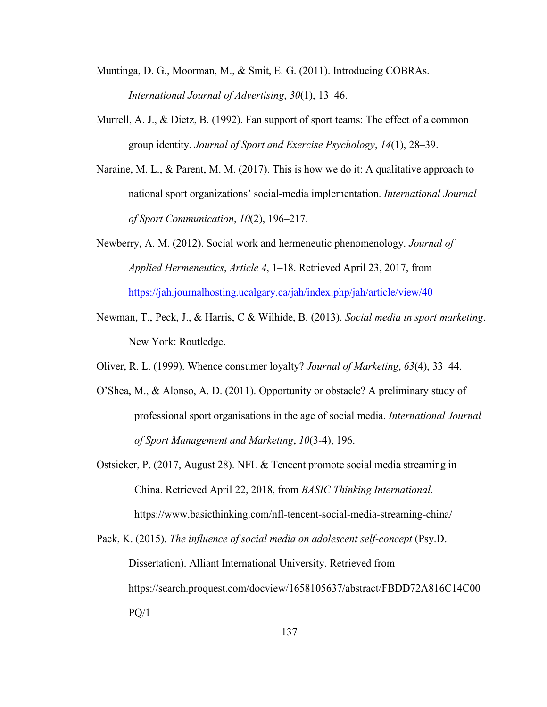- Muntinga, D. G., Moorman, M., & Smit, E. G. (2011). Introducing COBRAs. *International Journal of Advertising*, *30*(1), 13–46.
- Murrell, A. J., & Dietz, B. (1992). Fan support of sport teams: The effect of a common group identity. *Journal of Sport and Exercise Psychology*, *14*(1), 28–39.
- Naraine, M. L., & Parent, M. M. (2017). This is how we do it: A qualitative approach to national sport organizations' social-media implementation. *International Journal of Sport Communication*, *10*(2), 196–217.
- Newberry, A. M. (2012). Social work and hermeneutic phenomenology. *Journal of Applied Hermeneutics*, *Article 4*, 1–18. Retrieved April 23, 2017, from <https://jah.journalhosting.ucalgary.ca/jah/index.php/jah/article/view/40>
- Newman, T., Peck, J., & Harris, C & Wilhide, B. (2013). *Social media in sport marketing*. New York: Routledge.
- Oliver, R. L. (1999). Whence consumer loyalty? *Journal of Marketing*, *63*(4), 33–44.
- O'Shea, M., & Alonso, A. D. (2011). Opportunity or obstacle? A preliminary study of professional sport organisations in the age of social media. *International Journal of Sport Management and Marketing*, *10*(3-4), 196.
- Ostsieker, P. (2017, August 28). NFL & Tencent promote social media streaming in China. Retrieved April 22, 2018, from *BASIC Thinking International*. https://www.basicthinking.com/nfl-tencent-social-media-streaming-china/
- Pack, K. (2015). *The influence of social media on adolescent self-concept* (Psy.D. Dissertation). Alliant International University. Retrieved from https://search.proquest.com/docview/1658105637/abstract/FBDD72A816C14C00  $PQ/1$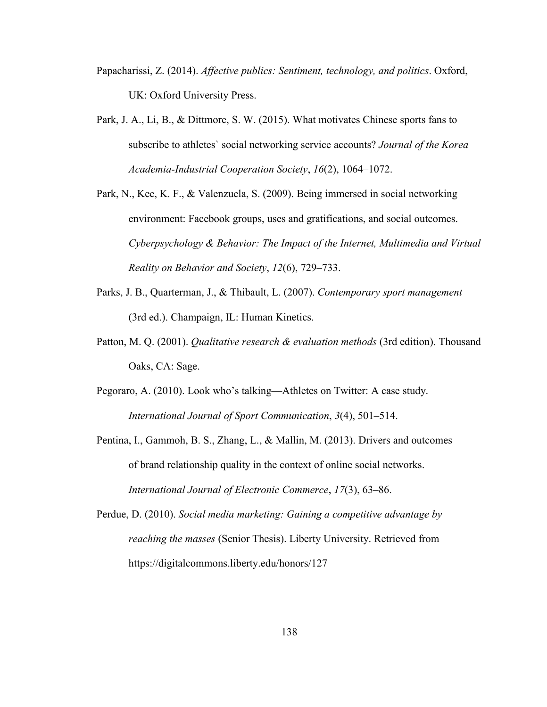- Papacharissi, Z. (2014). *Af ective publics: Sentiment, technology, and politics*. Oxford, UK: Oxford University Press.
- Park, J. A., Li, B., & Dittmore, S. W. (2015). What motivates Chinese sports fans to subscribe to athletes` social networking service accounts? *Journal of the Korea Academia-Industrial Cooperation Society*, *16*(2), 1064–1072.
- Park, N., Kee, K. F., & Valenzuela, S. (2009). Being immersed in social networking environment: Facebook groups, uses and gratifications, and social outcomes. *Cyberpsychology & Behavior: The Impact of the Internet,Multimedia and Virtual Reality on Behavior and Society*, *12*(6), 729–733.
- Parks, J. B., Quarterman, J., & Thibault, L. (2007). *Contemporary sport management* (3rd ed.). Champaign, IL: Human Kinetics.
- Patton, M. Q. (2001). *Qualitative research & evaluation methods* (3rd edition). Thousand Oaks, CA: Sage.
- Pegoraro, A. (2010). Look who's talking—Athletes on Twitter: A case study. *International Journal of Sport Communication*, *3*(4), 501–514.
- Pentina, I., Gammoh, B. S., Zhang, L., & Mallin, M. (2013). Drivers and outcomes of brand relationship quality in the context of online social networks. *International Journal of Electronic Commerce*, *17*(3), 63–86.
- Perdue, D. (2010). *Social media marketing: Gaining a competitive advantage by reaching the masses* (Senior Thesis). Liberty University. Retrieved from https://digitalcommons.liberty.edu/honors/127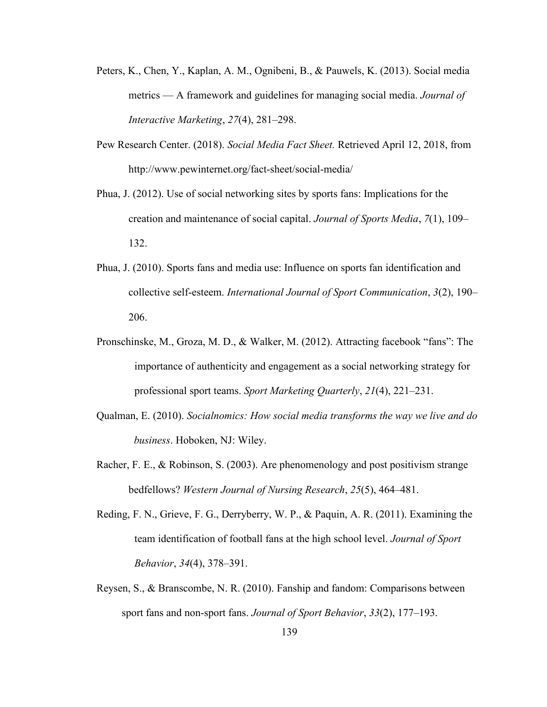- Peters, K., Chen, Y., Kaplan, A. M., Ognibeni, B., & Pauwels, K. (2013). Social media metrics — A framework and guidelines for managing social media. *Journal of Interactive Marketing*, *27*(4), 281–298.
- Pew Research Center. (2018). *Social Media Fact Sheet.*Retrieved April 12, 2018, from http://www.pewinternet.org/fact-sheet/social-media/
- Phua, J. (2012). Use of social networking sites by sports fans: Implications for the creation and maintenance of social capital. *Journal of Sports Media*, *7*(1), 109– 132.
- Phua, J. (2010). Sports fans and media use: Influence on sports fan identification and collective self-esteem. *International Journal of Sport Communication*, *3*(2), 190– 206.
- Pronschinske, M., Groza, M. D., & Walker, M. (2012). Attracting facebook "fans": The importance of authenticity and engagement as a social networking strategy for professional sport teams. *Sport Marketing Quarterly*, *21*(4), 221–231.
- Qualman, E. (2010). *Socialnomics: How social media transforms the way we live and do business*. Hoboken, NJ: Wiley.
- Racher, F. E., & Robinson, S. (2003). Are phenomenology and post positivism strange bedfellows? *Western Journal of Nursing Research*, *25*(5), 464–481.
- Reding, F. N., Grieve, F. G., Derryberry, W. P., & Paquin, A. R. (2011). Examining the team identification of football fans at the high school level. *Journal of Sport Behavior*, *34*(4), 378–391.
- Reysen, S., & Branscombe, N. R. (2010). Fanship and fandom: Comparisons between sport fans and non-sport fans. *Journal of Sport Behavior*, *33*(2), 177–193.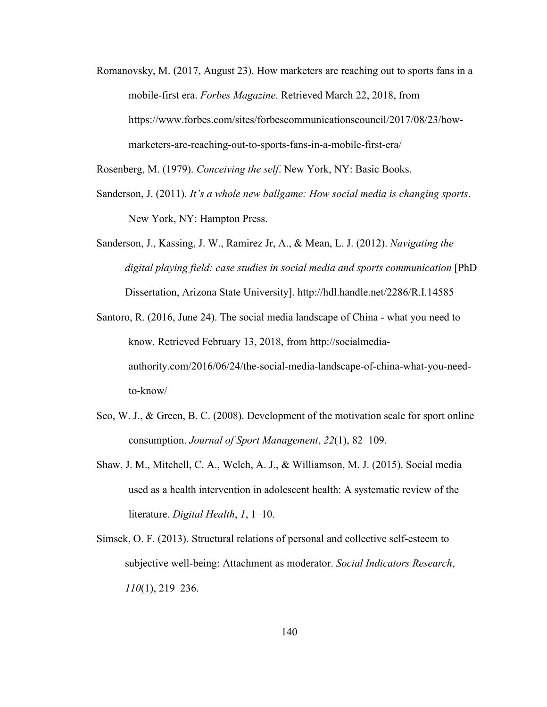Romanovsky, M. (2017, August 23). How marketers are reaching out to sports fans in a mobile-first era. *Forbes Magazine.* Retrieved March 22, 2018, from https://www.forbes.com/sites/forbescommunicationscouncil/2017/08/23/how marketers-are-reaching-out-to-sports-fans-in-a-mobile-first-era/

Rosenberg, M. (1979). *Conceiving the self*. New York, NY: Basic Books.

- Sanderson, J. (2011). *It's a whole new ballgame: How social media is changing sports*. New York, NY: Hampton Press.
- Sanderson, J., Kassing, J. W., Ramirez Jr, A., & Mean, L. J. (2012). *Navigating the digital playing field: case studies in social media and sports communication* [PhD Dissertation, Arizona State University]. http://hdl.handle.net/2286/R.I.14585
- Santoro, R. (2016, June 24). The social media landscape of China what you need to know. Retrieved February 13, 2018, from http://socialmedia authority.com/2016/06/24/the-social-media-landscape-of-china-what-you-needto-know/
- Seo, W. J., & Green, B. C. (2008). Development of the motivation scale for sport online consumption. *Journal of Sport Management*, *22*(1), 82–109.
- Shaw, J. M., Mitchell, C. A., Welch, A. J., & Williamson, M. J. (2015). Social media used as a health intervention in adolescent health: A systematic review of the literature. *Digital Health*, *1*, 1–10.
- Simsek, O. F. (2013). Structural relations of personal and collective self-esteem to subjective well-being: Attachment as moderator. *Social Indicators Research*, *110*(1), 219–236.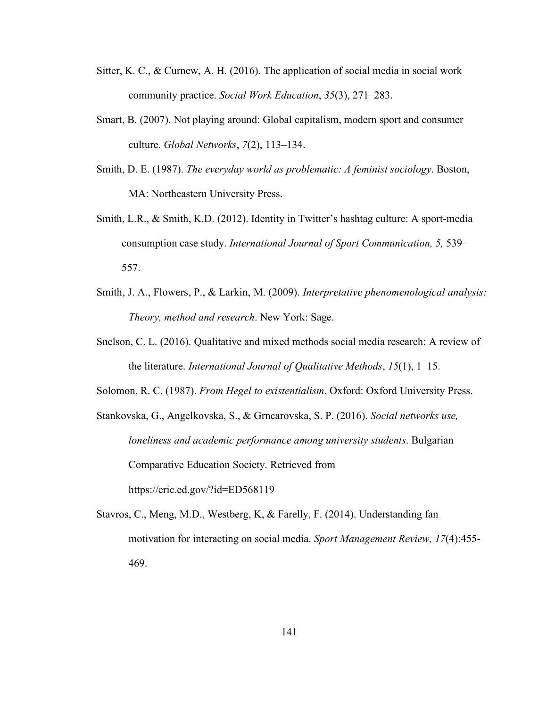- Sitter, K. C., & Curnew, A. H. (2016). The application of social media in social work community practice. *Social Work Education*, *35*(3), 271–283.
- Smart, B. (2007). Not playing around: Global capitalism, modern sport and consumer culture. *Global Networks*, *7*(2), 113–134.
- Smith, D. E. (1987). *The everyday world as problematic: A feminist sociology*. Boston, MA: Northeastern University Press.
- Smith, L.R., & Smith, K.D. (2012). Identity in Twitter's hashtag culture: A sport-media consumption case study. *International Journal of Sport Communication, 5,* 539– 557.
- Smith, J. A., Flowers, P., & Larkin, M. (2009). *Interpretative phenomenological analysis: Theory, method and research*. New York: Sage.
- Snelson, C. L. (2016). Qualitative and mixed methods social media research: A review of the literature. *International Journal of Qualitative Methods*, *15*(1), 1–15.
- Solomon, R. C. (1987). *From Hegel to existentialism*. Oxford: Oxford University Press.

Stankovska, G., Angelkovska, S., & Grncarovska, S. P. (2016). *Social networks use, loneliness and academic performance among university students*. Bulgarian Comparative Education Society. Retrieved from https://eric.ed.gov/?id=ED568119

Stavros, C., Meng, M.D., Westberg, K, & Farelly, F. (2014). Understanding fan motivation for interacting on social media. *Sport Management Review, 17*(4):455- 469.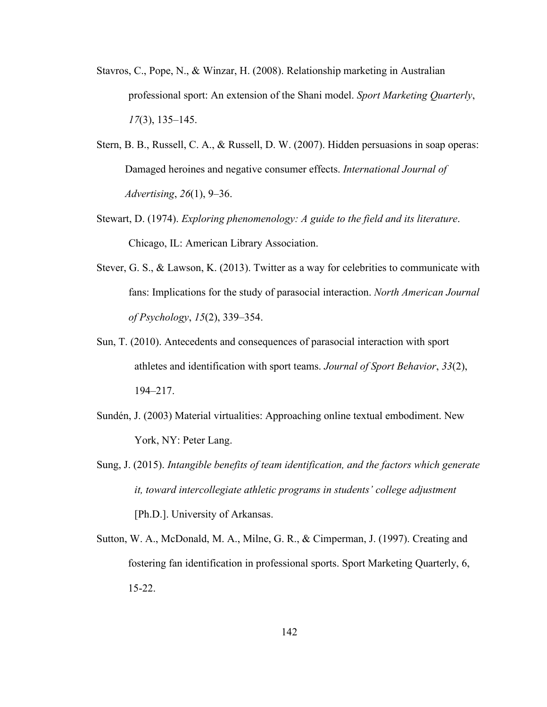- Stavros, C., Pope, N., & Winzar, H. (2008). Relationship marketing in Australian professional sport: An extension of the Shani model. *Sport Marketing Quarterly*, *17*(3), 135–145.
- Stern, B. B., Russell, C. A., & Russell, D. W. (2007). Hidden persuasions in soap operas: Damaged heroines and negative consumer effects. *International Journal of Advertising*, *26*(1), 9–36.
- Stewart, D. (1974). *Exploring phenomenology: A guide to the field and its literature*. Chicago, IL: American Library Association.
- Stever, G. S., & Lawson, K. (2013). Twitter as a way for celebrities to communicate with fans: Implications for the study of parasocial interaction. *North American Journal of Psychology*, *15*(2), 339–354.
- Sun, T. (2010). Antecedents and consequences of parasocial interaction with sport athletes and identification with sport teams. *Journal of Sport Behavior*, 33(2), 194–217.
- Sundén, J. (2003) Material virtualities: Approaching online textual embodiment. New York, NY: Peter Lang.
- Sung, J. (2015). *Intangible benefits of team identification, and the factors which generate it, toward intercollegiate athletic programs in students' college adjustment* [Ph.D.]. University of Arkansas.
- Sutton, W. A., McDonald, M. A., Milne, G. R., & Cimperman, J. (1997). Creating and fostering fan identification in professional sports. Sport Marketing Quarterly, 6, 15-22.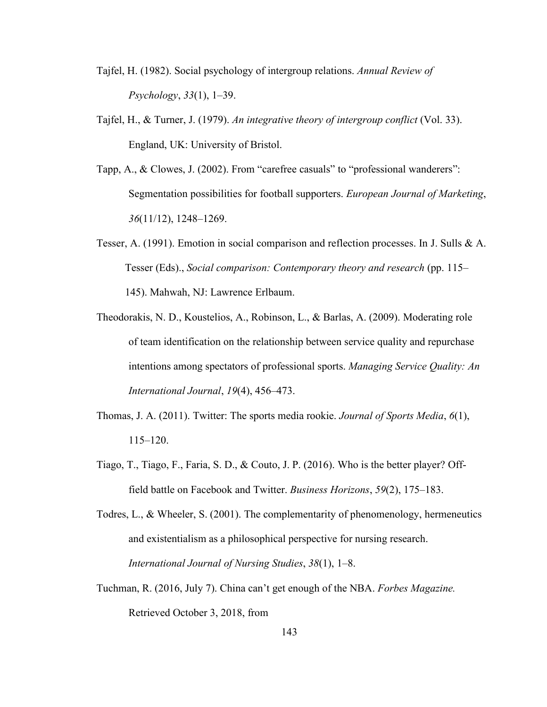- Tajfel, H. (1982). Social psychology of intergroup relations. *Annual Review of Psychology*, *33*(1), 1–39.
- Tajfel, H., & Turner, J. (1979). *An integrative theory of intergroup conflict* (Vol. 33). England, UK: University of Bristol.
- Tapp, A., & Clowes, J. (2002). From "carefree casuals" to "professional wanderers": Segmentation possibilities for football supporters. *European Journal of Marketing*, *36*(11/12), 1248–1269.
- Tesser, A. (1991). Emotion in social comparison and reflection processes. In J. Sulls & A. Tesser (Eds)., *Social comparison: Contemporary theory and research* (pp. 115– 145). Mahwah, NJ: Lawrence Erlbaum.
- Theodorakis, N. D., Koustelios, A., Robinson, L., & Barlas, A. (2009). Moderating role of team identification on the relationship between service quality and repurchase intentions among spectators of professional sports. *Managing Service Quality: An International Journal*, *19*(4), 456–473.
- Thomas, J. A. (2011). Twitter: The sports media rookie. *Journal of Sports Media*, *6*(1), 115–120.
- Tiago, T., Tiago, F., Faria, S. D., & Couto, J. P. (2016). Who is the better player? Offfield battle on Facebook and Twitter. *Business Horizons*, *59*(2), 175–183.
- Todres, L., & Wheeler, S. (2001). The complementarity of phenomenology, hermeneutics and existentialism as a philosophical perspective for nursing research. *International Journal of Nursing Studies*, *38*(1), 1–8.
- Tuchman, R. (2016, July 7). China can't get enough of the NBA. *Forbes Magazine.* Retrieved October 3, 2018, from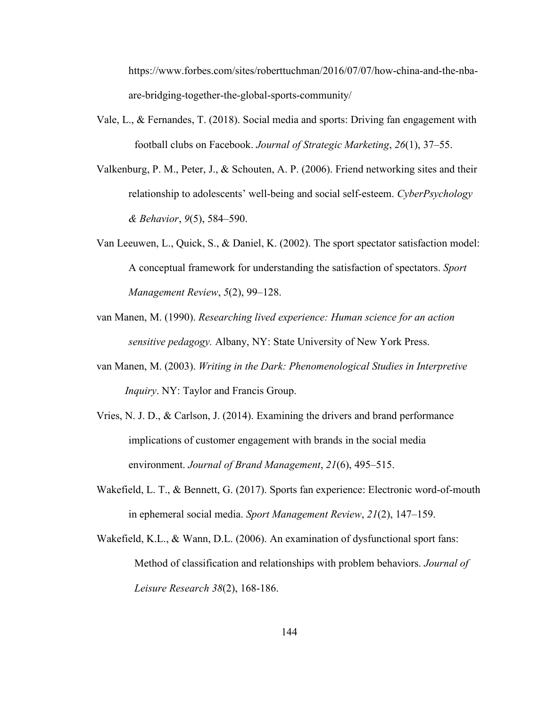https://www.forbes.com/sites/roberttuchman/2016/07/07/how-china-and-the-nba are-bridging-together-the-global-sports-community/

- Vale, L., & Fernandes, T. (2018). Social media and sports: Driving fan engagement with football clubs on Facebook. *Journal of Strategic Marketing*, *26*(1), 37–55.
- Valkenburg, P. M., Peter, J., & Schouten, A. P. (2006). Friend networking sites and their relationship to adolescents' well-being and socialself-esteem. *CyberPsychology & Behavior*, *9*(5), 584–590.
- Van Leeuwen, L., Quick, S., & Daniel, K. (2002). The sport spectator satisfaction model: A conceptual framework for understanding the satisfaction of spectators. *Sport Management Review*, *5*(2), 99–128.
- van Manen, M. (1990). *Researching lived experience: Human science for an action sensitive pedagogy.* Albany, NY: State University of New York Press.
- van Manen, M. (2003). *Writing in the Dark: Phenomenological Studies in Interpretive Inquiry*. NY: Taylor and Francis Group.
- Vries, N. J. D., & Carlson, J. (2014). Examining the drivers and brand performance implications of customer engagement with brands in the social media environment. *Journal of Brand Management*, *21*(6), 495–515.
- Wakefield, L. T., & Bennett, G. (2017). Sports fan experience: Electronic word-of-mouth in ephemeral social media. *Sport Management Review*, *21*(2), 147–159.
- Wakefield, K.L., & Wann, D.L. (2006). An examination of dysfunctional sport fans: Method of classification and relationships with problem behaviors. *Journal of Leisure Research 38*(2), 168-186.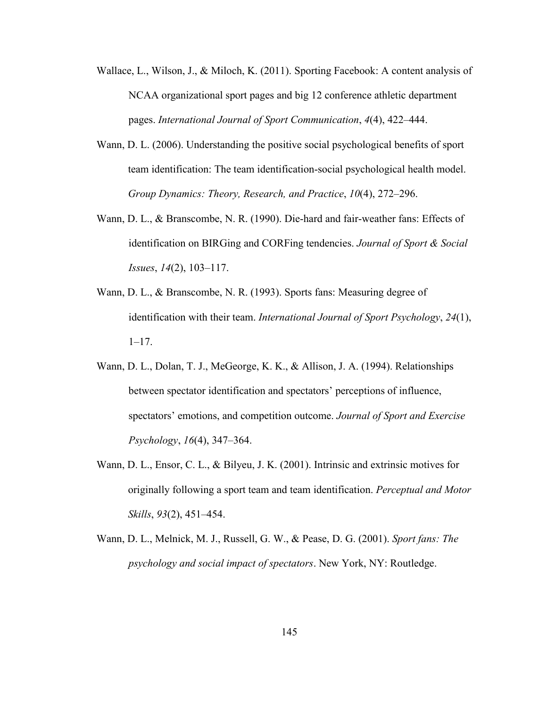- Wallace, L., Wilson, J., & Miloch, K. (2011). Sporting Facebook: A content analysis of NCAA organizational sport pages and big 12 conference athletic department pages. *International Journal of Sport Communication*, *4*(4), 422–444.
- Wann, D. L. (2006). Understanding the positive social psychological benefits of sport team identification: The team identification-social psychological health model. *Group Dynamics: Theory, Research, and Practice*, *10*(4), 272–296.
- Wann, D. L., & Branscombe, N. R. (1990). Die-hard and fair-weather fans: Effects of identification on BIRGing and CORFing tendencies.*Journal of Sport & Social Issues*, *14*(2), 103–117.
- Wann, D. L., & Branscombe, N. R. (1993). Sports fans: Measuring degree of identification with their team. *International Journal of Sport Psychology*, *24*(1),  $1-17.$
- Wann, D. L., Dolan, T. J., MeGeorge, K. K., & Allison, J. A. (1994). Relationships between spectator identification and spectators' perceptions of influence, spectators' emotions, and competition outcome. *Journal of Sport and Exercise Psychology*, *16*(4), 347–364.
- Wann, D. L., Ensor, C. L., & Bilyeu, J. K. (2001). Intrinsic and extrinsic motives for originally following a sport team and team identification. *Perceptual and Motor Skills*, *93*(2), 451–454.
- Wann, D. L., Melnick, M. J., Russell, G. W., & Pease, D. G. (2001). *Sport fans: The psychology and social impact of spectators*. New York, NY: Routledge.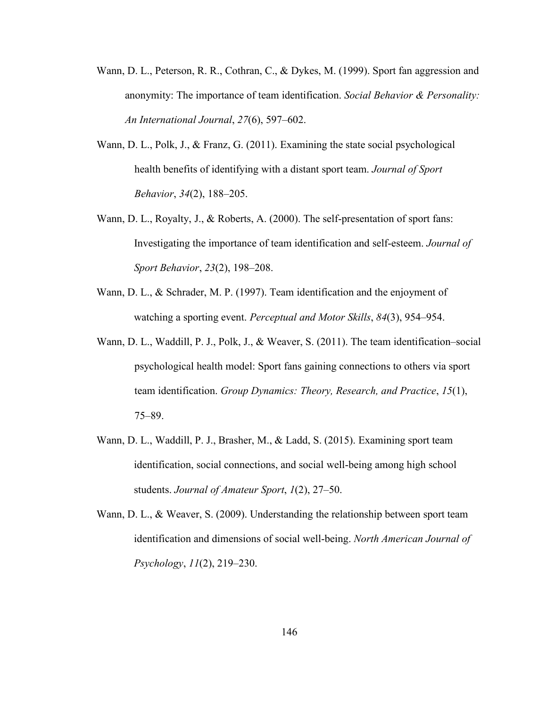- Wann, D. L., Peterson, R. R., Cothran, C., & Dykes, M. (1999). Sport fan aggression and anonymity: The importance of team identification. *Social Behavior & Personality: An International Journal*, *27*(6), 597–602.
- Wann, D. L., Polk, J., & Franz, G. (2011). Examining the state social psychological health benefits of identifying with a distant sport team. *Journal of Sport Behavior*, *34*(2), 188–205.
- Wann, D. L., Royalty, J., & Roberts, A. (2000). The self-presentation of sport fans: Investigating the importance of team identification and self-esteem. *Journal of Sport Behavior*, *23*(2), 198–208.
- Wann, D. L., & Schrader, M. P. (1997). Team identification and the enjoyment of watching a sporting event. *Perceptual and Motor Skills*,*84*(3), 954–954.
- Wann, D. L., Waddill, P. J., Polk, J., & Weaver, S. (2011). The team identification–social psychological health model: Sport fans gaining connections to others via sport team identification. *Group Dynamics: Theory, Research, and Practice*, *15*(1), 75–89.
- Wann, D. L., Waddill, P. J., Brasher, M., & Ladd, S. (2015). Examining sport team identification, social connections, and social well-being among high school students. *Journal of Amateur Sport*,*1*(2), 27–50.
- Wann, D. L., & Weaver, S. (2009). Understanding the relationship between sport team identification and dimensions ofsocial well-being. *North American Journal of Psychology*, *11*(2), 219–230.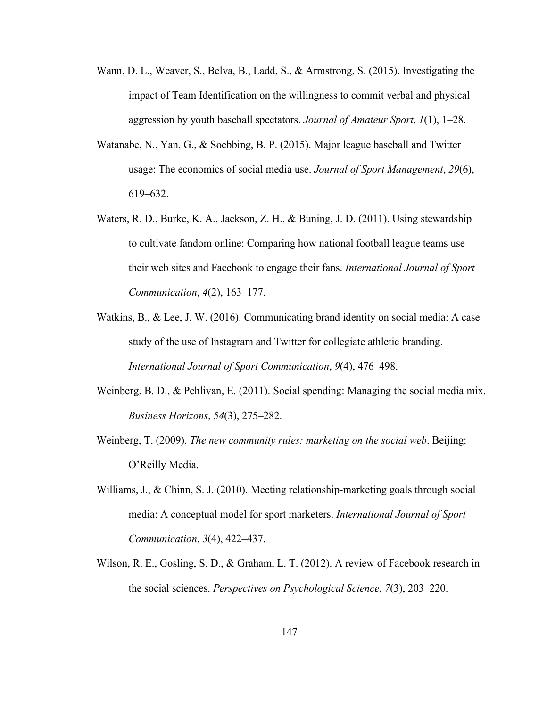- Wann, D. L., Weaver, S., Belva, B., Ladd, S., & Armstrong, S. (2015). Investigating the impact of Team Identification on the willingness to commit verbal and physical aggression by youth baseball spectators. *Journal of Amateur Sport*,*1*(1), 1–28.
- Watanabe, N., Yan, G., & Soebbing, B. P. (2015). Major league baseball and Twitter usage: The economics of social media use. *Journal of Sport Management*, 29(6), 619–632.
- Waters, R. D., Burke, K. A., Jackson, Z. H., & Buning, J. D. (2011). Using stewardship to cultivate fandom online: Comparing how national football league teams use their web sites and Facebook to engage their fans. *International Journal of Sport Communication*, *4*(2), 163–177.
- Watkins, B., & Lee, J. W. (2016). Communicating brand identity on social media: A case study of the use of Instagram and Twitter for collegiate athletic branding. *International Journal of Sport Communication*, *9*(4), 476–498.
- Weinberg, B. D., & Pehlivan, E. (2011). Social spending: Managing the social media mix. *Business Horizons*, *54*(3), 275–282.
- Weinberg, T. (2009). *The new community rules: marketing on the social web*. Beijing: O'Reilly Media.
- Williams, J., & Chinn, S. J. (2010). Meeting relationship-marketing goals through social media: A conceptual model for sport marketers. *International Journal of Sport Communication*, *3*(4), 422–437.
- Wilson, R. E., Gosling, S. D., & Graham, L. T. (2012). A review of Facebook research in the social sciences. *Perspectives on Psychological Science*, *7*(3), 203–220.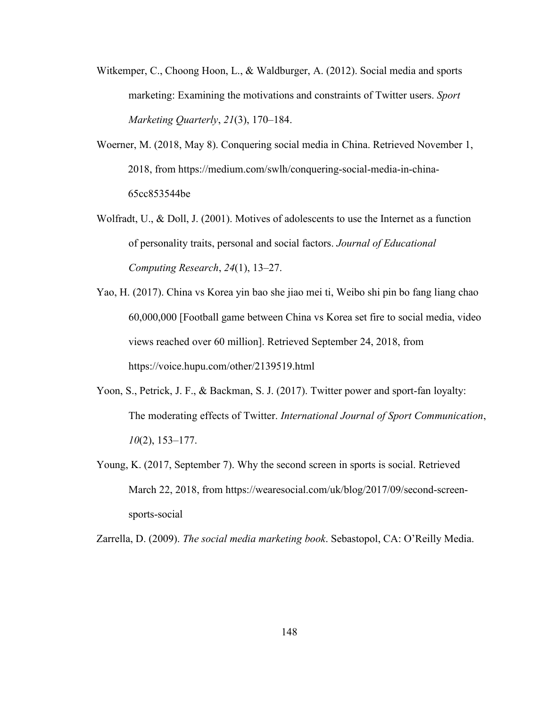- Witkemper, C., Choong Hoon, L., & Waldburger, A. (2012). Social media and sports marketing: Examining the motivations and constraints of Twitter users. *Sport Marketing Quarterly*, *21*(3), 170–184.
- Woerner, M. (2018, May 8). Conquering social media in China. Retrieved November 1, 2018, from https://medium.com/swlh/conquering-social-media-in-china- 65cc853544be
- Wolfradt, U., & Doll, J. (2001). Motives of adolescents to use the Internet as a function of personality traits, personal and social factors. *Journal of Educational Computing Research*, *24*(1), 13–27.
- Yao, H. (2017). China vs Korea yin bao she jiao mei ti, Weibo shi pin bo fang liang chao 60,000,000 [Football game between China vs Korea set fire to social media, video views reached over 60 million]. Retrieved September 24, 2018, from https://voice.hupu.com/other/2139519.html
- Yoon, S., Petrick, J. F., & Backman, S. J. (2017). Twitter power and sport-fan loyalty: The moderating effects ofTwitter. *International Journal of Sport Communication*, *10*(2), 153–177.
- Young, K. (2017, September 7). Why the second screen in sports is social. Retrieved March 22, 2018, from https://wearesocial.com/uk/blog/2017/09/second-screen sports-social

Zarrella, D. (2009). *The social media marketing book*. Sebastopol, CA: O'Reilly Media.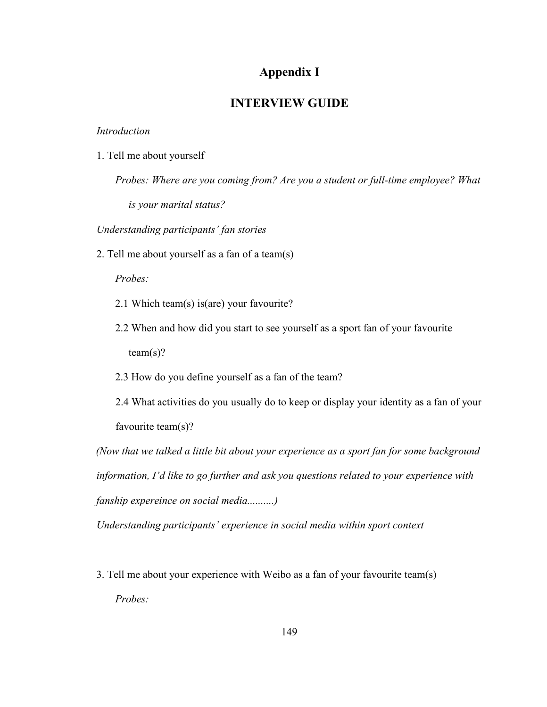## **Appendix I**

## **INTERVIEW GUIDE**

## *Introduction*

1. Tell me about yourself

*Probes: Where are you coming from? Are you a student or full-time employee? What is your marital status?*

*Understanding participants' fan stories*

2. Tell me about yourself as a fan of a team(s)

*Probes:*

- 2.1 Which team(s) is(are) your favourite?
- 2.2 When and how did you start to see yourself as a sport fan of your favourite  $team(s)?$
- 2.3 How do you define yourself as a fan of the team?

2.4 What activities do you usually do to keep or display your identity as a fan of your favourite team(s)?

*(Now that we talked a little bit about your experience as a sport fan for some background information, I'd like to go further and ask you questions related to your experience with fanship expereince on social media..........)*

*Understanding participants' experience in social media within sport context*

3. Tell me about your experience with Weibo as a fan of your favourite team(s) *Probes:*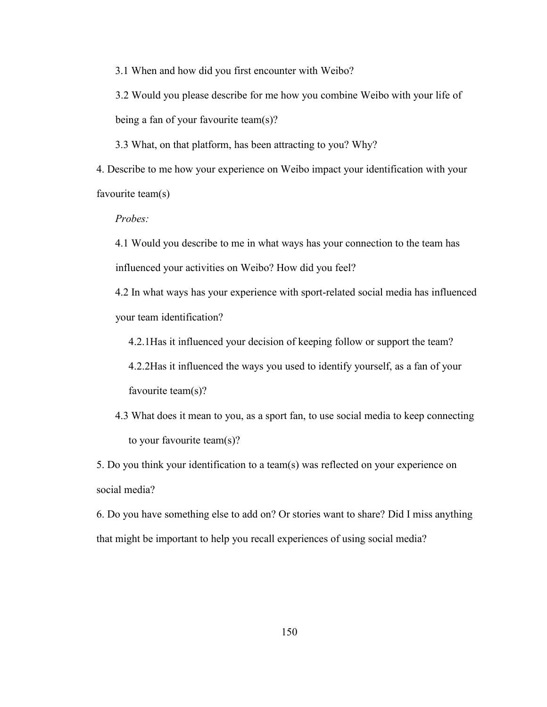3.1 When and how did you first encounter with Weibo?

3.2 Would you please describe for me how you combine Weibo with your life of being a fan of your favourite team(s)?

3.3 What, on that platform, has been attracting to you? Why?

4. Describe to me how your experience on Weibo impact your identification with your favourite team(s)

*Probes:*

4.1 Would you describe to me in what ways has your connection to the team has influenced your activities on Weibo? How did you feel?

4.2 In what ways has your experience with sport-related social media has influenced your team identification?

4.2.1Has it influenced your decision of keeping follow or support the team?

4.2.2Has it influenced the ways you used to identify yourself, as a fan of your favourite team(s)?

4.3 What does it mean to you, as a sport fan, to use social media to keep connecting to your favourite team(s)?

5. Do you think your identification to a team(s) was reflected on your experience on social media?

6. Do you have something else to add on? Or stories wantto share? Did I miss anything that might be important to help you recall experiences of using social media?